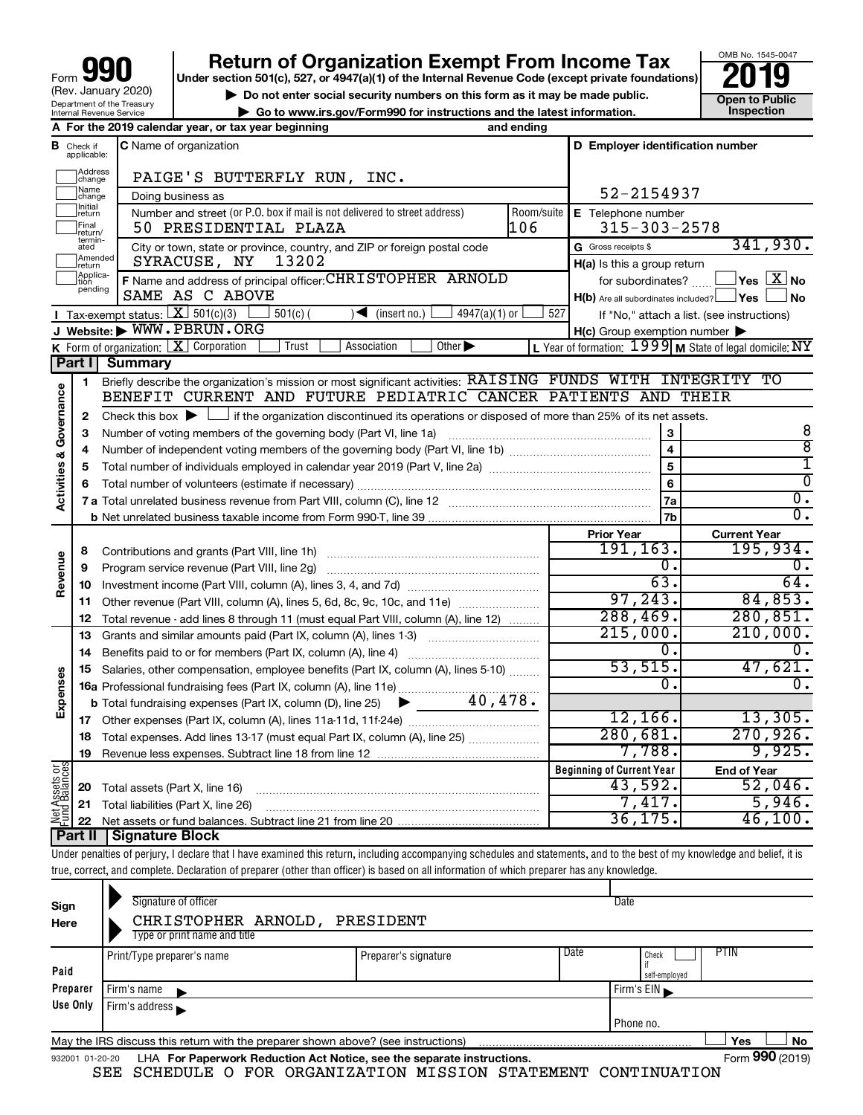| 990<br>Form                                            |
|--------------------------------------------------------|
| (Rev. January 2020)                                    |
| Department of the Treasury<br>Internal Revenue Service |

# **Return of Organization Exempt From Income Tax**<br>r section 501(c), 527, or 4947(a)(1) of the Internal Revenue Code (except private foundations)<br>**2019**

**Under section 501(c), 527, or 4947(a)(1) of the Internal Revenue Code (except private foundations)**



▶ Do not enter social security numbers on this form as it may be made public. <br>
inspection and the latest information. **Dependent in the latest information** and the latest information. **| Go to www.irs.gov/Form990 for instructions and the latest information. Inspection**

|                         |                               | A For the 2019 calendar year, or tax year beginning                                                                                                                           | and ending |                                                     |                                                         |
|-------------------------|-------------------------------|-------------------------------------------------------------------------------------------------------------------------------------------------------------------------------|------------|-----------------------------------------------------|---------------------------------------------------------|
|                         | <b>B</b> Check if applicable: | <b>C</b> Name of organization                                                                                                                                                 |            | D Employer identification number                    |                                                         |
|                         | Address<br>change             | PAIGE'S BUTTERFLY RUN, INC.                                                                                                                                                   |            |                                                     |                                                         |
|                         | Name<br>change                | Doing business as                                                                                                                                                             | 52-2154937 |                                                     |                                                         |
|                         | Initial<br> return            | Number and street (or P.O. box if mail is not delivered to street address)                                                                                                    | Room/suite | E Telephone number                                  |                                                         |
|                         | Final<br> return/             | 50 PRESIDENTIAL PLAZA                                                                                                                                                         | 106        | $315 - 303 - 2578$                                  |                                                         |
|                         | termin-<br>ated               | City or town, state or province, country, and ZIP or foreign postal code                                                                                                      |            | G Gross receipts \$                                 | 341,930.                                                |
|                         | Amended<br>return             | 13202<br>SYRACUSE, NY                                                                                                                                                         |            | H(a) Is this a group return                         |                                                         |
|                         | Applica-<br>pending           | F Name and address of principal officer: CHRISTOPHER ARNOLD                                                                                                                   |            | for subordinates?                                   | $ {\mathsf Y}\mathsf{es}\ \boxed{{\mathsf X}}$ No       |
|                         |                               | SAME AS C ABOVE                                                                                                                                                               |            | H(b) Are all subordinates included? Ves             | ∣No                                                     |
|                         |                               | <b>I</b> Tax-exempt status: $X \overline{301(c)(3)}$<br>$501(c)$ (<br>$\sqrt{\frac{1}{1}}$ (insert no.)<br>$4947(a)(1)$ or                                                    | 527        |                                                     | If "No," attach a list. (see instructions)              |
|                         |                               | J Website: WWW.PBRUN.ORG                                                                                                                                                      |            | $H(c)$ Group exemption number $\blacktriangleright$ |                                                         |
|                         |                               | <b>K</b> Form of organization: $\boxed{\textbf{X}}$ Corporation<br>Other $\blacktriangleright$<br>Trust<br>Association                                                        |            |                                                     | L Year of formation: 1999 M State of legal domicile: NY |
|                         | Part II                       | <b>Summary</b>                                                                                                                                                                |            |                                                     |                                                         |
|                         | $\mathbf{1}$                  | Briefly describe the organization's mission or most significant activities: RAISING FUNDS WITH INTEGRITY TO<br>BENEFIT CURRENT AND FUTURE PEDIATRIC CANCER PATIENTS AND THEIR |            |                                                     |                                                         |
| Governance              |                               | Check this box $\blacktriangleright$ $\Box$ if the organization discontinued its operations or disposed of more than 25% of its net assets.                                   |            |                                                     |                                                         |
|                         | 2<br>3                        | Number of voting members of the governing body (Part VI, line 1a)                                                                                                             |            | 3                                                   | 8                                                       |
|                         | 4                             |                                                                                                                                                                               |            | $\overline{\mathbf{4}}$                             | $\overline{8}$                                          |
| <b>Activities &amp;</b> | 5                             |                                                                                                                                                                               |            | 5                                                   | 1                                                       |
|                         | 6                             |                                                                                                                                                                               |            | 6                                                   | $\overline{0}$                                          |
|                         |                               |                                                                                                                                                                               |            | 7a                                                  | σ.                                                      |
|                         |                               |                                                                                                                                                                               |            | 7b                                                  | $\overline{0}$ .                                        |
|                         |                               |                                                                                                                                                                               |            | <b>Prior Year</b>                                   | <b>Current Year</b>                                     |
|                         | 8                             | Contributions and grants (Part VIII, line 1h)                                                                                                                                 |            | 191, 163.                                           | 195,934.                                                |
|                         | 9                             | Program service revenue (Part VIII, line 2g)                                                                                                                                  |            | 0,                                                  | 0.                                                      |
| Revenue                 | 10                            |                                                                                                                                                                               |            | 63.                                                 | 64.                                                     |
|                         | 11                            | Other revenue (Part VIII, column (A), lines 5, 6d, 8c, 9c, 10c, and 11e)                                                                                                      |            | 97, 243.                                            | 84,853.                                                 |
|                         | 12                            | Total revenue - add lines 8 through 11 (must equal Part VIII, column (A), line 12)                                                                                            |            | 288, 469.                                           | 280, 851.                                               |
|                         | 13                            | Grants and similar amounts paid (Part IX, column (A), lines 1-3)                                                                                                              |            | 215,000.                                            | 210,000.                                                |
|                         | 14                            |                                                                                                                                                                               |            | Ο.                                                  | $\mathbf{0}$ .                                          |
|                         | 15                            | Salaries, other compensation, employee benefits (Part IX, column (A), lines 5-10)                                                                                             |            | 53,515.                                             | 47,621.                                                 |
| Expenses                |                               | 16a Professional fundraising fees (Part IX, column (A), line 11e)                                                                                                             |            | 0.                                                  | $\overline{0}$ .                                        |
|                         |                               | 40,478.<br><b>b</b> Total fundraising expenses (Part IX, column (D), line 25)                                                                                                 |            | 12, 166.                                            | 13,305.                                                 |
|                         | 17                            |                                                                                                                                                                               |            | 280,681.                                            | 270,926.                                                |
|                         | 18                            | Total expenses. Add lines 13-17 (must equal Part IX, column (A), line 25)                                                                                                     |            | 7,788.                                              | 9,925.                                                  |
|                         | 19                            |                                                                                                                                                                               |            | <b>Beginning of Current Year</b>                    |                                                         |
| Net Assets or           |                               |                                                                                                                                                                               |            | 43,592.                                             | <b>End of Year</b><br>52,046.                           |
|                         | 20<br>21                      | Total assets (Part X, line 16)<br>Total liabilities (Part X, line 26)                                                                                                         |            | 7,417.                                              | 5,946.                                                  |
|                         | 22                            |                                                                                                                                                                               |            | 36, 175.                                            | 46,100.                                                 |
|                         |                               |                                                                                                                                                                               |            |                                                     |                                                         |

# **Part II Signature Block**

Under penalties of perjury, I declare that I have examined this return, including accompanying schedules and statements, and to the best of my knowledge and belief, it is true, correct, and complete. Declaration of preparer (other than officer) is based on all information of which preparer has any knowledge.

| Sign<br>Here    | Signature of officer<br>CHRISTOPHER ARNOLD,<br>Type or print name and title       | PRESIDENT                                                              | Date |               |                 |
|-----------------|-----------------------------------------------------------------------------------|------------------------------------------------------------------------|------|---------------|-----------------|
| Paid            | Print/Type preparer's name                                                        | Preparer's signature                                                   | Date | PTIN<br>Check |                 |
|                 |                                                                                   |                                                                        |      | self-employed |                 |
| Preparer        | Firm's name                                                                       |                                                                        |      | Firm's EIN    |                 |
| Use Only        | Firm's address                                                                    |                                                                        |      |               |                 |
|                 |                                                                                   |                                                                        |      | I Phone no.   |                 |
|                 | May the IRS discuss this return with the preparer shown above? (see instructions) |                                                                        |      | Yes           | No              |
| 932001 01-20-20 | SEE SCHEDULE O FOR ORGANIZATION MISSION STATEMENT                                 | LHA For Paperwork Reduction Act Notice, see the separate instructions. |      | CONTINUATION  | Form 990 (2019) |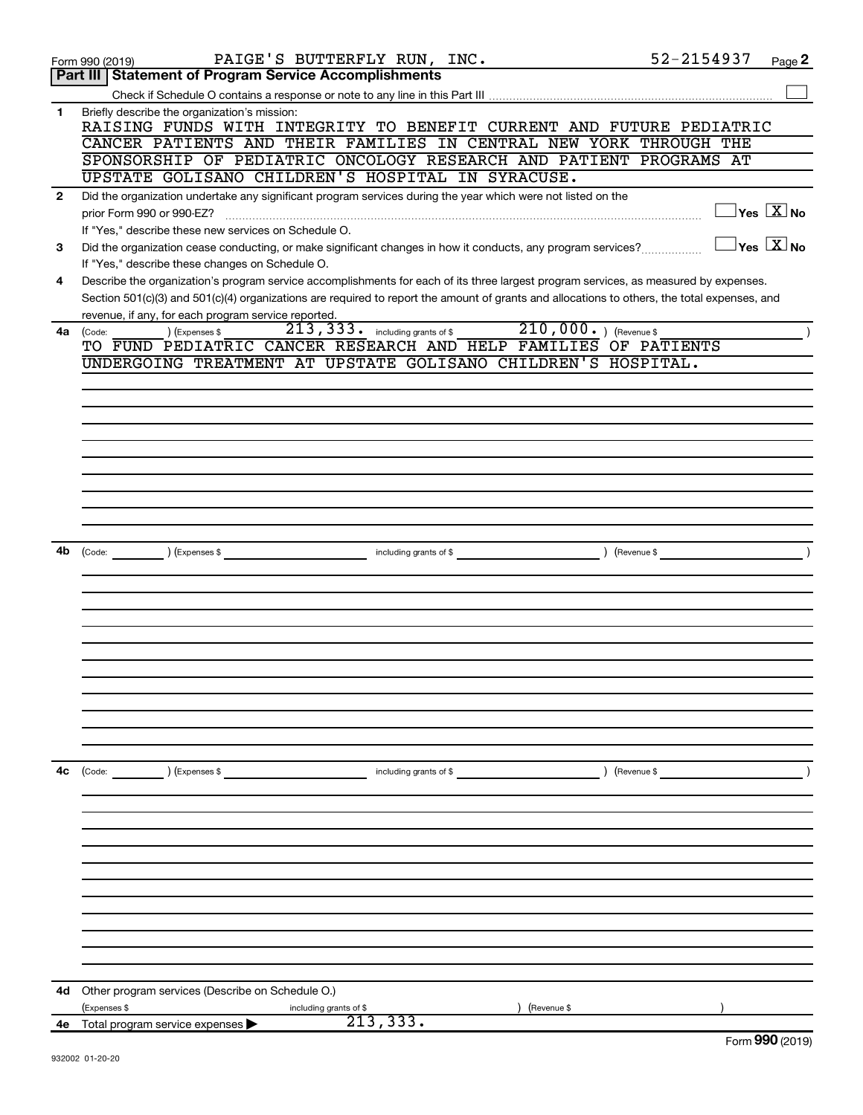|              | PAIGE'S BUTTERFLY RUN, INC.<br>Form 990 (2019)                                                                                                                                                                                                                                                                                              | 52-2154937    | Page 2                                         |
|--------------|---------------------------------------------------------------------------------------------------------------------------------------------------------------------------------------------------------------------------------------------------------------------------------------------------------------------------------------------|---------------|------------------------------------------------|
|              | Part III   Statement of Program Service Accomplishments                                                                                                                                                                                                                                                                                     |               |                                                |
|              |                                                                                                                                                                                                                                                                                                                                             |               |                                                |
| 1            | Briefly describe the organization's mission:<br>RAISING FUNDS WITH INTEGRITY TO BENEFIT CURRENT AND FUTURE PEDIATRIC<br>CANCER PATIENTS AND THEIR FAMILIES IN CENTRAL NEW YORK THROUGH THE                                                                                                                                                  |               |                                                |
|              | SPONSORSHIP OF PEDIATRIC ONCOLOGY RESEARCH AND PATIENT PROGRAMS AT                                                                                                                                                                                                                                                                          |               |                                                |
|              | UPSTATE GOLISANO CHILDREN'S HOSPITAL IN SYRACUSE.                                                                                                                                                                                                                                                                                           |               |                                                |
| $\mathbf{2}$ | Did the organization undertake any significant program services during the year which were not listed on the<br>prior Form 990 or 990-EZ?<br>If "Yes," describe these new services on Schedule O.                                                                                                                                           |               | $\overline{\ }$ Yes $\overline{\ \text{X}}$ No |
| 3            | Did the organization cease conducting, or make significant changes in how it conducts, any program services?                                                                                                                                                                                                                                |               | $\overline{\ }$ Yes $\overline{\ \ X}$ No      |
|              | If "Yes," describe these changes on Schedule O.                                                                                                                                                                                                                                                                                             |               |                                                |
| 4            | Describe the organization's program service accomplishments for each of its three largest program services, as measured by expenses.<br>Section 501(c)(3) and 501(c)(4) organizations are required to report the amount of grants and allocations to others, the total expenses, and<br>revenue, if any, for each program service reported. |               |                                                |
| 4a           | 210,000. ) (Revenue \$<br>213, 333. including grants of \$<br>) (Expenses \$<br>(Code:                                                                                                                                                                                                                                                      |               |                                                |
|              | TO FUND PEDIATRIC CANCER RESEARCH AND HELP FAMILIES OF PATIENTS                                                                                                                                                                                                                                                                             |               |                                                |
|              | UNDERGOING TREATMENT AT UPSTATE GOLISANO CHILDREN'S HOSPITAL.                                                                                                                                                                                                                                                                               |               |                                                |
|              |                                                                                                                                                                                                                                                                                                                                             |               |                                                |
|              |                                                                                                                                                                                                                                                                                                                                             |               |                                                |
|              |                                                                                                                                                                                                                                                                                                                                             |               |                                                |
|              |                                                                                                                                                                                                                                                                                                                                             |               |                                                |
|              |                                                                                                                                                                                                                                                                                                                                             |               |                                                |
|              |                                                                                                                                                                                                                                                                                                                                             |               |                                                |
|              |                                                                                                                                                                                                                                                                                                                                             |               |                                                |
|              |                                                                                                                                                                                                                                                                                                                                             |               |                                                |
|              |                                                                                                                                                                                                                                                                                                                                             |               |                                                |
| 4b           | including grants of \$ (Revenue \$)<br>$\left(\text{Code:} \right)$ $\left(\text{Expenses $}\right)$                                                                                                                                                                                                                                        |               |                                                |
|              |                                                                                                                                                                                                                                                                                                                                             |               |                                                |
|              |                                                                                                                                                                                                                                                                                                                                             |               |                                                |
|              |                                                                                                                                                                                                                                                                                                                                             |               |                                                |
|              |                                                                                                                                                                                                                                                                                                                                             |               |                                                |
|              |                                                                                                                                                                                                                                                                                                                                             |               |                                                |
|              |                                                                                                                                                                                                                                                                                                                                             |               |                                                |
|              |                                                                                                                                                                                                                                                                                                                                             |               |                                                |
|              |                                                                                                                                                                                                                                                                                                                                             |               |                                                |
|              |                                                                                                                                                                                                                                                                                                                                             |               |                                                |
|              |                                                                                                                                                                                                                                                                                                                                             |               |                                                |
|              |                                                                                                                                                                                                                                                                                                                                             |               |                                                |
| 4c           | $\text{(Code:}$ $\qquad \qquad \text{){\text{(Expenses $}}$<br>including grants of \$                                                                                                                                                                                                                                                       | ) (Revenue \$ |                                                |
|              |                                                                                                                                                                                                                                                                                                                                             |               |                                                |
|              |                                                                                                                                                                                                                                                                                                                                             |               |                                                |
|              |                                                                                                                                                                                                                                                                                                                                             |               |                                                |
|              |                                                                                                                                                                                                                                                                                                                                             |               |                                                |
|              |                                                                                                                                                                                                                                                                                                                                             |               |                                                |
|              |                                                                                                                                                                                                                                                                                                                                             |               |                                                |
|              |                                                                                                                                                                                                                                                                                                                                             |               |                                                |
|              |                                                                                                                                                                                                                                                                                                                                             |               |                                                |
|              |                                                                                                                                                                                                                                                                                                                                             |               |                                                |
|              |                                                                                                                                                                                                                                                                                                                                             |               |                                                |
|              |                                                                                                                                                                                                                                                                                                                                             |               |                                                |
| 4d           | Other program services (Describe on Schedule O.)                                                                                                                                                                                                                                                                                            |               |                                                |
|              | (Expenses \$<br>(Revenue \$<br>including grants of \$                                                                                                                                                                                                                                                                                       |               |                                                |
| 4е           | 213, 333.<br>Total program service expenses                                                                                                                                                                                                                                                                                                 |               | $000 \times 20$                                |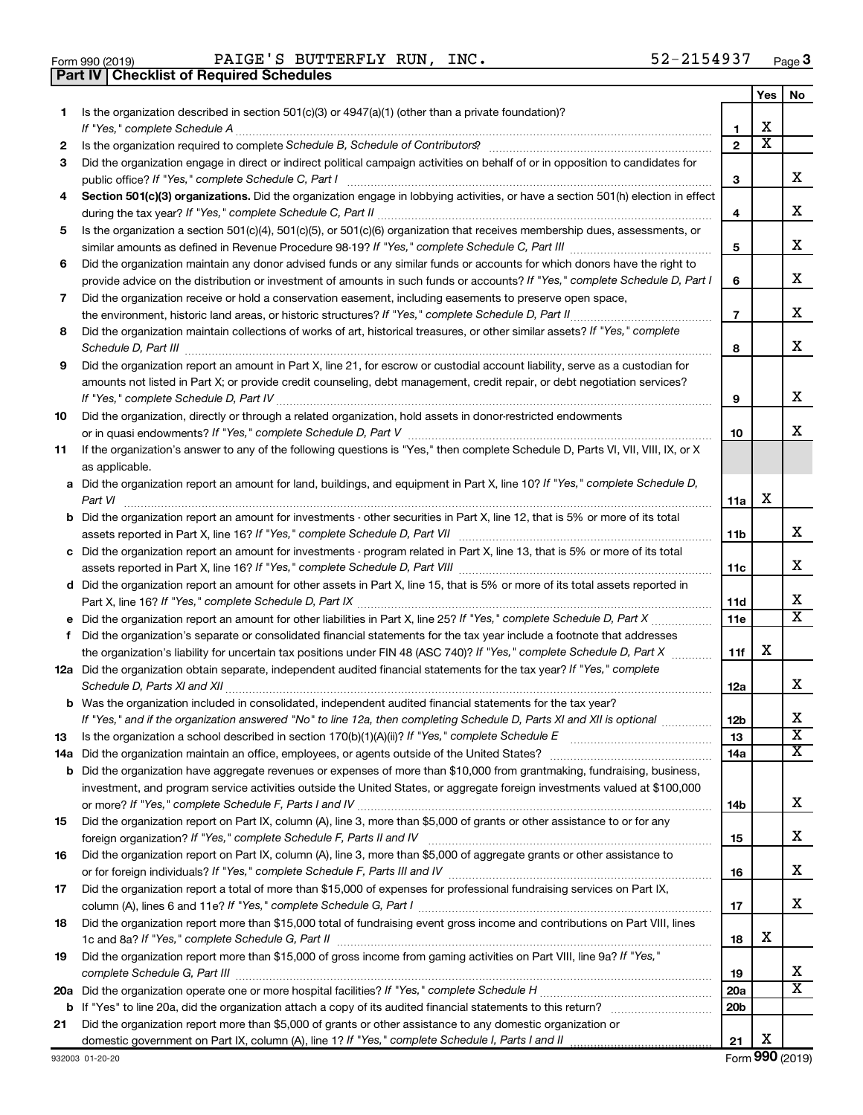| Form 990 (2019) |  |  |
|-----------------|--|--|

**Part IV Checklist of Required Schedules**

Form 990 (2019) Page PAIGE'S BUTTERFLY RUN, INC. 52-2154937

|    |                                                                                                                                                                                                                                                           |                 | Yes                     | No                      |
|----|-----------------------------------------------------------------------------------------------------------------------------------------------------------------------------------------------------------------------------------------------------------|-----------------|-------------------------|-------------------------|
| 1. | Is the organization described in section 501(c)(3) or 4947(a)(1) (other than a private foundation)?<br>If "Yes," complete Schedule A                                                                                                                      | 1               | х                       |                         |
| 2  |                                                                                                                                                                                                                                                           | $\mathbf{2}$    | $\overline{\mathbf{X}}$ |                         |
| 3  | Did the organization engage in direct or indirect political campaign activities on behalf of or in opposition to candidates for                                                                                                                           |                 |                         |                         |
|    | public office? If "Yes," complete Schedule C, Part I                                                                                                                                                                                                      | 3               |                         | x.                      |
| 4  | Section 501(c)(3) organizations. Did the organization engage in lobbying activities, or have a section 501(h) election in effect                                                                                                                          | 4               |                         | x                       |
| 5  | Is the organization a section 501(c)(4), 501(c)(5), or 501(c)(6) organization that receives membership dues, assessments, or                                                                                                                              |                 |                         |                         |
|    |                                                                                                                                                                                                                                                           | 5               |                         | х                       |
| 6  | Did the organization maintain any donor advised funds or any similar funds or accounts for which donors have the right to<br>provide advice on the distribution or investment of amounts in such funds or accounts? If "Yes," complete Schedule D, Part I | 6               |                         | х                       |
| 7  | Did the organization receive or hold a conservation easement, including easements to preserve open space,                                                                                                                                                 | 7               |                         | х                       |
| 8  | Did the organization maintain collections of works of art, historical treasures, or other similar assets? If "Yes," complete                                                                                                                              | 8               |                         | x                       |
| 9  | Did the organization report an amount in Part X, line 21, for escrow or custodial account liability, serve as a custodian for                                                                                                                             |                 |                         |                         |
|    | amounts not listed in Part X; or provide credit counseling, debt management, credit repair, or debt negotiation services?                                                                                                                                 | 9               |                         | x                       |
| 10 | Did the organization, directly or through a related organization, hold assets in donor-restricted endowments                                                                                                                                              | 10              |                         | х                       |
| 11 | If the organization's answer to any of the following questions is "Yes," then complete Schedule D, Parts VI, VII, VIII, IX, or X<br>as applicable.                                                                                                        |                 |                         |                         |
|    | a Did the organization report an amount for land, buildings, and equipment in Part X, line 10? If "Yes," complete Schedule D,<br>Part VI                                                                                                                  | 11a             | х                       |                         |
|    | <b>b</b> Did the organization report an amount for investments - other securities in Part X, line 12, that is 5% or more of its total                                                                                                                     | 11b             |                         | x                       |
|    | c Did the organization report an amount for investments - program related in Part X, line 13, that is 5% or more of its total                                                                                                                             |                 |                         |                         |
|    |                                                                                                                                                                                                                                                           | 11c             |                         | x                       |
|    | d Did the organization report an amount for other assets in Part X, line 15, that is 5% or more of its total assets reported in                                                                                                                           |                 |                         |                         |
|    |                                                                                                                                                                                                                                                           | 11d             |                         | х                       |
|    |                                                                                                                                                                                                                                                           | 11e             |                         | X                       |
| f  | Did the organization's separate or consolidated financial statements for the tax year include a footnote that addresses                                                                                                                                   |                 |                         |                         |
|    | the organization's liability for uncertain tax positions under FIN 48 (ASC 740)? If "Yes," complete Schedule D, Part X                                                                                                                                    | 11f             | х                       |                         |
|    | 12a Did the organization obtain separate, independent audited financial statements for the tax year? If "Yes," complete                                                                                                                                   | 12a             |                         | x                       |
|    | <b>b</b> Was the organization included in consolidated, independent audited financial statements for the tax year?                                                                                                                                        |                 |                         | х                       |
|    | If "Yes," and if the organization answered "No" to line 12a, then completing Schedule D, Parts XI and XII is optional                                                                                                                                     | 12 <sub>b</sub> |                         | $\overline{\textbf{x}}$ |
| 13 |                                                                                                                                                                                                                                                           | 13              |                         | X                       |
|    | <b>b</b> Did the organization have aggregate revenues or expenses of more than \$10,000 from grantmaking, fundraising, business,                                                                                                                          | 14a             |                         |                         |
|    | investment, and program service activities outside the United States, or aggregate foreign investments valued at \$100,000                                                                                                                                |                 |                         |                         |
|    |                                                                                                                                                                                                                                                           | 14b             |                         | х                       |
| 15 | Did the organization report on Part IX, column (A), line 3, more than \$5,000 of grants or other assistance to or for any                                                                                                                                 | 15              |                         | х                       |
| 16 | Did the organization report on Part IX, column (A), line 3, more than \$5,000 of aggregate grants or other assistance to                                                                                                                                  | 16              |                         | х                       |
| 17 | Did the organization report a total of more than \$15,000 of expenses for professional fundraising services on Part IX,                                                                                                                                   |                 |                         |                         |
|    |                                                                                                                                                                                                                                                           | 17              |                         | x                       |
| 18 | Did the organization report more than \$15,000 total of fundraising event gross income and contributions on Part VIII, lines                                                                                                                              | 18              | х                       |                         |
| 19 | Did the organization report more than \$15,000 of gross income from gaming activities on Part VIII, line 9a? If "Yes,"                                                                                                                                    |                 |                         |                         |
|    |                                                                                                                                                                                                                                                           | 19              |                         | х                       |
|    |                                                                                                                                                                                                                                                           | <b>20a</b>      |                         | x                       |
|    |                                                                                                                                                                                                                                                           | 20 <sub>b</sub> |                         |                         |
| 21 | Did the organization report more than \$5,000 of grants or other assistance to any domestic organization or                                                                                                                                               |                 |                         |                         |
|    |                                                                                                                                                                                                                                                           | 21              | х                       |                         |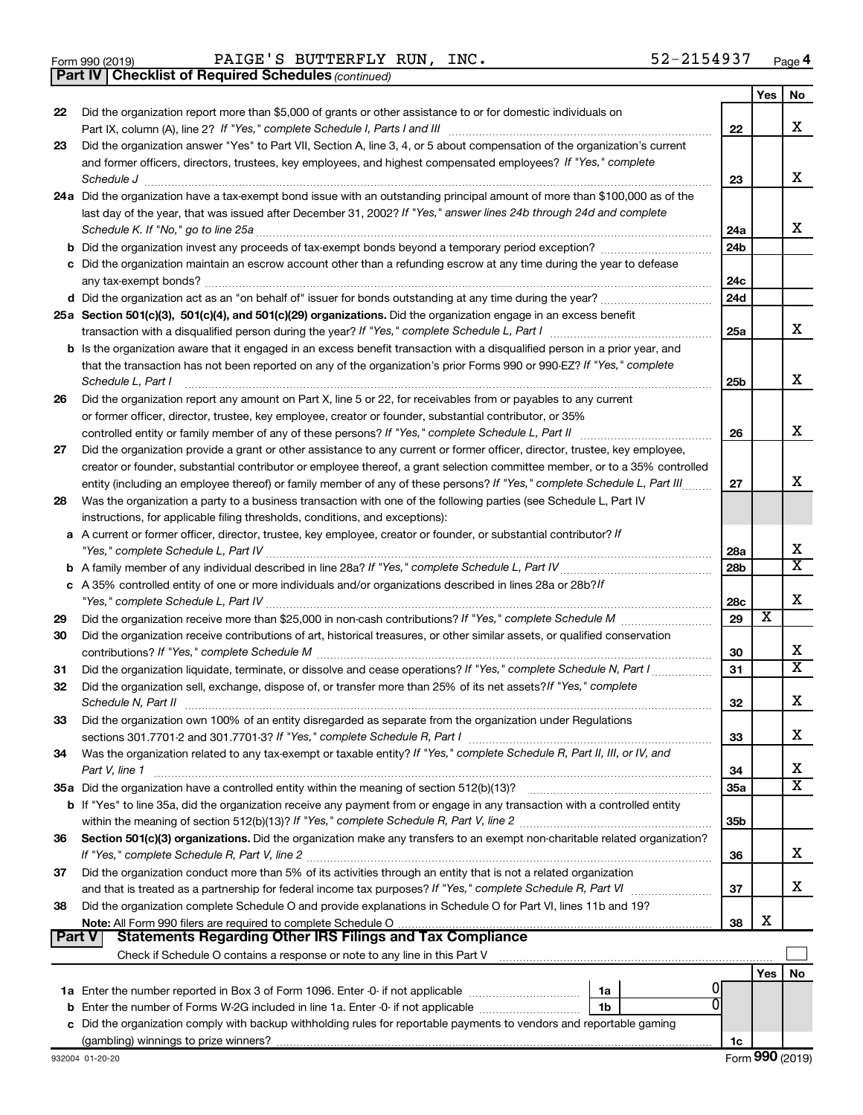|  | Form 990 (2019) |
|--|-----------------|
|  |                 |

Form 990 (2019) Page PAIGE'S BUTTERFLY RUN, INC. 52-2154937

*(continued)* **Part IV Checklist of Required Schedules**

|               |                                                                                                                                                                                                                        |                 | Yes | No                           |
|---------------|------------------------------------------------------------------------------------------------------------------------------------------------------------------------------------------------------------------------|-----------------|-----|------------------------------|
| 22            | Did the organization report more than \$5,000 of grants or other assistance to or for domestic individuals on                                                                                                          |                 |     |                              |
|               |                                                                                                                                                                                                                        | 22              |     | x                            |
| 23            | Did the organization answer "Yes" to Part VII, Section A, line 3, 4, or 5 about compensation of the organization's current                                                                                             |                 |     |                              |
|               | and former officers, directors, trustees, key employees, and highest compensated employees? If "Yes," complete                                                                                                         |                 |     |                              |
|               | Schedule J                                                                                                                                                                                                             | 23              |     | x                            |
|               | 24a Did the organization have a tax-exempt bond issue with an outstanding principal amount of more than \$100,000 as of the                                                                                            |                 |     |                              |
|               | last day of the year, that was issued after December 31, 2002? If "Yes," answer lines 24b through 24d and complete                                                                                                     |                 |     | x                            |
|               | Schedule K. If "No," go to line 25a                                                                                                                                                                                    | 24a             |     |                              |
|               |                                                                                                                                                                                                                        | 24 <sub>b</sub> |     |                              |
|               | c Did the organization maintain an escrow account other than a refunding escrow at any time during the year to defease                                                                                                 | 24c             |     |                              |
|               | any tax-exempt bonds?                                                                                                                                                                                                  | 24 <sub>d</sub> |     |                              |
|               | 25a Section 501(c)(3), 501(c)(4), and 501(c)(29) organizations. Did the organization engage in an excess benefit                                                                                                       |                 |     |                              |
|               |                                                                                                                                                                                                                        | 25a             |     | x                            |
|               | <b>b</b> Is the organization aware that it engaged in an excess benefit transaction with a disqualified person in a prior year, and                                                                                    |                 |     |                              |
|               | that the transaction has not been reported on any of the organization's prior Forms 990 or 990-EZ? If "Yes," complete                                                                                                  |                 |     |                              |
|               | Schedule L, Part I                                                                                                                                                                                                     | 25b             |     | х                            |
| 26            | Did the organization report any amount on Part X, line 5 or 22, for receivables from or payables to any current                                                                                                        |                 |     |                              |
|               | or former officer, director, trustee, key employee, creator or founder, substantial contributor, or 35%                                                                                                                |                 |     |                              |
|               | controlled entity or family member of any of these persons? If "Yes," complete Schedule L, Part II                                                                                                                     | 26              |     | х                            |
| 27            | Did the organization provide a grant or other assistance to any current or former officer, director, trustee, key employee,                                                                                            |                 |     |                              |
|               | creator or founder, substantial contributor or employee thereof, a grant selection committee member, or to a 35% controlled                                                                                            |                 |     |                              |
|               | entity (including an employee thereof) or family member of any of these persons? If "Yes," complete Schedule L, Part III                                                                                               | 27              |     | x                            |
| 28            | Was the organization a party to a business transaction with one of the following parties (see Schedule L, Part IV                                                                                                      |                 |     |                              |
|               | instructions, for applicable filing thresholds, conditions, and exceptions):                                                                                                                                           |                 |     |                              |
|               | a A current or former officer, director, trustee, key employee, creator or founder, or substantial contributor? If                                                                                                     |                 |     |                              |
|               |                                                                                                                                                                                                                        | 28a             |     | х                            |
|               |                                                                                                                                                                                                                        | 28 <sub>b</sub> |     | $\overline{\text{X}}$        |
|               | c A 35% controlled entity of one or more individuals and/or organizations described in lines 28a or 28b?If                                                                                                             |                 |     |                              |
|               |                                                                                                                                                                                                                        | 28c             |     | х                            |
| 29            |                                                                                                                                                                                                                        | 29              | х   |                              |
| 30            | Did the organization receive contributions of art, historical treasures, or other similar assets, or qualified conservation                                                                                            |                 |     |                              |
|               |                                                                                                                                                                                                                        | 30              |     | х<br>$\overline{\texttt{x}}$ |
| 31            | Did the organization liquidate, terminate, or dissolve and cease operations? If "Yes," complete Schedule N, Part I                                                                                                     | 31              |     |                              |
| 32            | Did the organization sell, exchange, dispose of, or transfer more than 25% of its net assets? If "Yes," complete                                                                                                       |                 |     | x                            |
|               | Schedule N, Part II                                                                                                                                                                                                    | 32              |     |                              |
| 33            | Did the organization own 100% of an entity disregarded as separate from the organization under Regulations                                                                                                             | 33              |     | х                            |
| 34            | Was the organization related to any tax-exempt or taxable entity? If "Yes," complete Schedule R, Part II, III, or IV, and                                                                                              |                 |     |                              |
|               | Part V, line 1                                                                                                                                                                                                         | 34              |     | х                            |
|               |                                                                                                                                                                                                                        | 35a             |     | $\overline{\texttt{X}}$      |
|               | b If "Yes" to line 35a, did the organization receive any payment from or engage in any transaction with a controlled entity                                                                                            |                 |     |                              |
|               |                                                                                                                                                                                                                        | 35b             |     |                              |
| 36            | Section 501(c)(3) organizations. Did the organization make any transfers to an exempt non-charitable related organization?                                                                                             |                 |     |                              |
|               |                                                                                                                                                                                                                        | 36              |     | x                            |
| 37            | Did the organization conduct more than 5% of its activities through an entity that is not a related organization                                                                                                       |                 |     |                              |
|               | and that is treated as a partnership for federal income tax purposes? If "Yes," complete Schedule R, Part VI                                                                                                           | 37              |     | x                            |
| 38            | Did the organization complete Schedule O and provide explanations in Schedule O for Part VI, lines 11b and 19?                                                                                                         |                 |     |                              |
|               |                                                                                                                                                                                                                        | 38              | х   |                              |
| <b>Part V</b> | Statements Regarding Other IRS Filings and Tax Compliance                                                                                                                                                              |                 |     |                              |
|               |                                                                                                                                                                                                                        |                 |     |                              |
|               |                                                                                                                                                                                                                        |                 | Yes | No                           |
|               | 1a<br>ŋ                                                                                                                                                                                                                |                 |     |                              |
|               | <b>b</b> Enter the number of Forms W-2G included in line 1a. Enter -0- if not applicable<br>1b<br>c Did the organization comply with backup withholding rules for reportable payments to vendors and reportable gaming |                 |     |                              |
|               |                                                                                                                                                                                                                        | 1c              |     |                              |
|               |                                                                                                                                                                                                                        |                 |     |                              |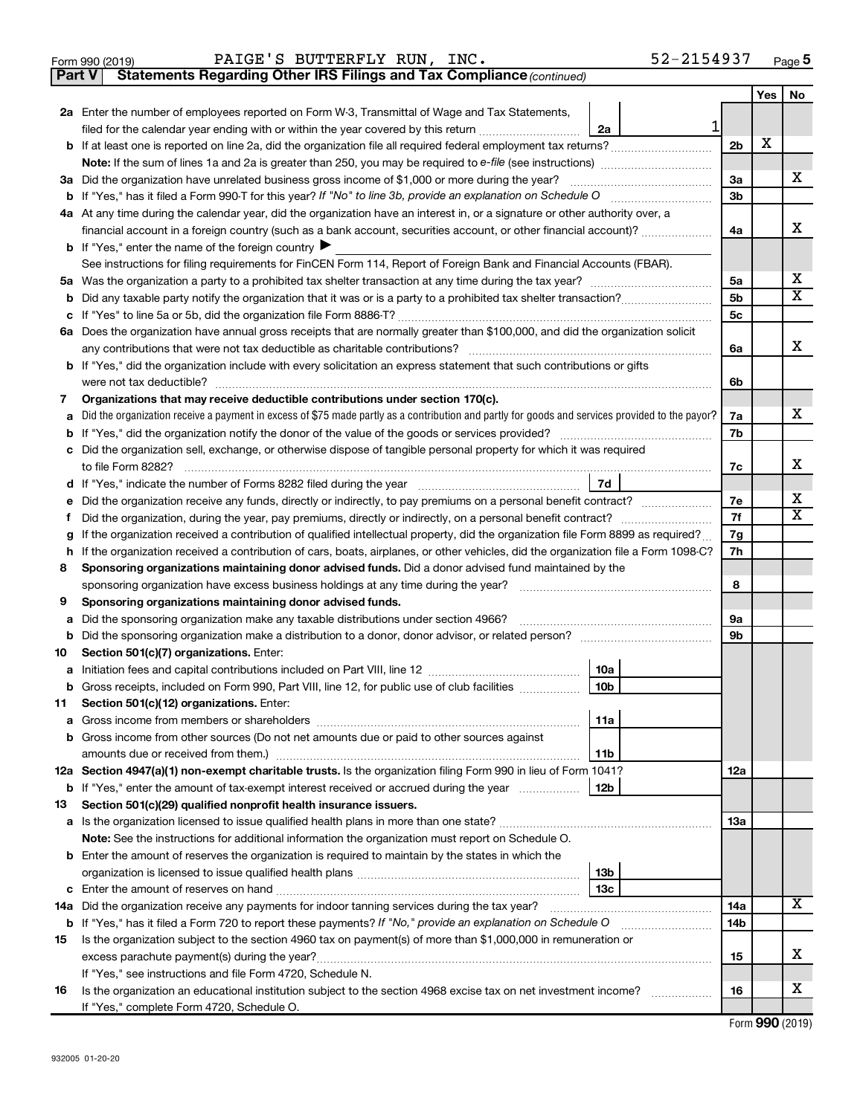|  | Form 990 (2019) |
|--|-----------------|
|  |                 |

**Part V** Statements Regarding Other IRS Filings and Tax Compliance (continued)

|    |                                                                                                                                                                                            |                | Yes | No                    |  |  |  |  |
|----|--------------------------------------------------------------------------------------------------------------------------------------------------------------------------------------------|----------------|-----|-----------------------|--|--|--|--|
|    | 2a Enter the number of employees reported on Form W-3, Transmittal of Wage and Tax Statements,                                                                                             |                |     |                       |  |  |  |  |
|    | 1<br>filed for the calendar year ending with or within the year covered by this return<br>2a                                                                                               |                |     |                       |  |  |  |  |
|    |                                                                                                                                                                                            | 2 <sub>b</sub> | х   |                       |  |  |  |  |
|    |                                                                                                                                                                                            |                |     |                       |  |  |  |  |
|    | 3a Did the organization have unrelated business gross income of \$1,000 or more during the year?                                                                                           | За             |     | x                     |  |  |  |  |
|    |                                                                                                                                                                                            | 3b             |     |                       |  |  |  |  |
|    | 4a At any time during the calendar year, did the organization have an interest in, or a signature or other authority over, a                                                               |                |     |                       |  |  |  |  |
|    | financial account in a foreign country (such as a bank account, securities account, or other financial account)?                                                                           | 4a             |     | X.                    |  |  |  |  |
|    | <b>b</b> If "Yes," enter the name of the foreign country                                                                                                                                   |                |     |                       |  |  |  |  |
|    | See instructions for filing requirements for FinCEN Form 114, Report of Foreign Bank and Financial Accounts (FBAR).                                                                        |                |     |                       |  |  |  |  |
|    |                                                                                                                                                                                            | 5a             |     | X                     |  |  |  |  |
| b  |                                                                                                                                                                                            | 5b             |     | $\overline{\text{X}}$ |  |  |  |  |
| c  |                                                                                                                                                                                            | 5с             |     |                       |  |  |  |  |
|    | 6a Does the organization have annual gross receipts that are normally greater than \$100,000, and did the organization solicit                                                             |                |     |                       |  |  |  |  |
|    |                                                                                                                                                                                            | 6a             |     | x                     |  |  |  |  |
|    | <b>b</b> If "Yes," did the organization include with every solicitation an express statement that such contributions or gifts                                                              |                |     |                       |  |  |  |  |
|    | were not tax deductible?                                                                                                                                                                   | 6b             |     |                       |  |  |  |  |
| 7  | Organizations that may receive deductible contributions under section 170(c).                                                                                                              |                |     |                       |  |  |  |  |
|    | a Did the organization receive a payment in excess of \$75 made partly as a contribution and partly for goods and services provided to the payor?                                          | 7a             |     | x                     |  |  |  |  |
|    |                                                                                                                                                                                            | 7b             |     |                       |  |  |  |  |
| c  | Did the organization sell, exchange, or otherwise dispose of tangible personal property for which it was required                                                                          |                |     |                       |  |  |  |  |
|    |                                                                                                                                                                                            | 7c             |     | х                     |  |  |  |  |
|    | 7d                                                                                                                                                                                         |                |     | x                     |  |  |  |  |
| е  | Did the organization receive any funds, directly or indirectly, to pay premiums on a personal benefit contract?<br>7e<br>7f                                                                |                |     |                       |  |  |  |  |
| Ť. |                                                                                                                                                                                            |                |     |                       |  |  |  |  |
| g  | If the organization received a contribution of qualified intellectual property, did the organization file Form 8899 as required?<br>7g<br>7h                                               |                |     |                       |  |  |  |  |
|    | If the organization received a contribution of cars, boats, airplanes, or other vehicles, did the organization file a Form 1098-C?<br>h.                                                   |                |     |                       |  |  |  |  |
| 8  | Sponsoring organizations maintaining donor advised funds. Did a donor advised fund maintained by the<br>sponsoring organization have excess business holdings at any time during the year? | 8              |     |                       |  |  |  |  |
| 9  | Sponsoring organizations maintaining donor advised funds.                                                                                                                                  |                |     |                       |  |  |  |  |
| а  | Did the sponsoring organization make any taxable distributions under section 4966?                                                                                                         | 9а             |     |                       |  |  |  |  |
| b  |                                                                                                                                                                                            | 9b             |     |                       |  |  |  |  |
| 10 | Section 501(c)(7) organizations. Enter:                                                                                                                                                    |                |     |                       |  |  |  |  |
|    | 10a                                                                                                                                                                                        |                |     |                       |  |  |  |  |
| b  | 10 <sub>b</sub><br>Gross receipts, included on Form 990, Part VIII, line 12, for public use of club facilities                                                                             |                |     |                       |  |  |  |  |
| 11 | Section 501(c)(12) organizations. Enter:                                                                                                                                                   |                |     |                       |  |  |  |  |
|    | 11a<br>Gross income from members or shareholders                                                                                                                                           |                |     |                       |  |  |  |  |
|    | <b>b</b> Gross income from other sources (Do not net amounts due or paid to other sources against                                                                                          |                |     |                       |  |  |  |  |
|    | 11b                                                                                                                                                                                        |                |     |                       |  |  |  |  |
|    | 12a Section 4947(a)(1) non-exempt charitable trusts. Is the organization filing Form 990 in lieu of Form 1041?                                                                             | 12a            |     |                       |  |  |  |  |
|    | 12b<br><b>b</b> If "Yes," enter the amount of tax-exempt interest received or accrued during the year                                                                                      |                |     |                       |  |  |  |  |
| 13 | Section 501(c)(29) qualified nonprofit health insurance issuers.                                                                                                                           |                |     |                       |  |  |  |  |
|    | a Is the organization licensed to issue qualified health plans in more than one state?                                                                                                     | 13a            |     |                       |  |  |  |  |
|    | Note: See the instructions for additional information the organization must report on Schedule O.                                                                                          |                |     |                       |  |  |  |  |
|    | <b>b</b> Enter the amount of reserves the organization is required to maintain by the states in which the                                                                                  |                |     |                       |  |  |  |  |
|    | 13 <sub>b</sub>                                                                                                                                                                            |                |     |                       |  |  |  |  |
|    | 13с                                                                                                                                                                                        |                |     |                       |  |  |  |  |
|    | 14a Did the organization receive any payments for indoor tanning services during the tax year?                                                                                             | 14a            |     | x                     |  |  |  |  |
|    | <b>b</b> If "Yes," has it filed a Form 720 to report these payments? If "No," provide an explanation on Schedule O<br><u> 1986 - Johann Barbara, martin a</u>                              | 14b            |     |                       |  |  |  |  |
| 15 | Is the organization subject to the section 4960 tax on payment(s) of more than \$1,000,000 in remuneration or                                                                              |                |     |                       |  |  |  |  |
|    | excess parachute payment(s) during the year?                                                                                                                                               | 15             |     | X.                    |  |  |  |  |
|    | If "Yes," see instructions and file Form 4720, Schedule N.                                                                                                                                 |                |     |                       |  |  |  |  |
| 16 | Is the organization an educational institution subject to the section 4968 excise tax on net investment income?                                                                            | 16             |     | X.                    |  |  |  |  |
|    | If "Yes," complete Form 4720, Schedule O.                                                                                                                                                  |                |     |                       |  |  |  |  |

Form (2019) **990**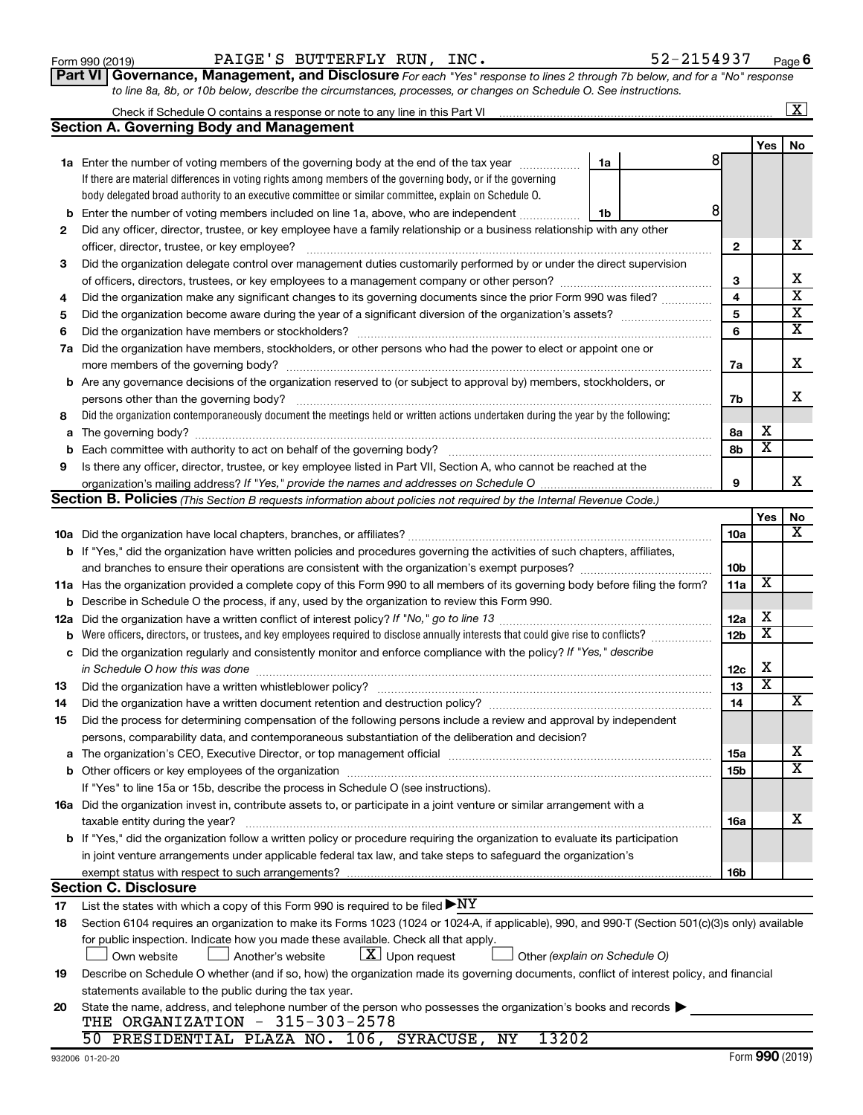|     | body delegated broad authority to an executive committee or similar committee, explain on Schedule O.                                             |    |  |                 |     |                         |
|-----|---------------------------------------------------------------------------------------------------------------------------------------------------|----|--|-----------------|-----|-------------------------|
| b   | Enter the number of voting members included on line 1a, above, who are independent                                                                | 1b |  | 8               |     |                         |
| 2   | Did any officer, director, trustee, or key employee have a family relationship or a business relationship with any other                          |    |  |                 |     |                         |
|     | officer, director, trustee, or key employee?                                                                                                      |    |  | $\mathbf{2}$    |     | х                       |
| З   | Did the organization delegate control over management duties customarily performed by or under the direct supervision                             |    |  |                 |     |                         |
|     |                                                                                                                                                   |    |  | 3               |     | X                       |
| 4   | Did the organization make any significant changes to its governing documents since the prior Form 990 was filed?                                  |    |  | 4               |     | $\overline{\mathbf{x}}$ |
| 5   |                                                                                                                                                   |    |  | 5               |     | X                       |
| 6   |                                                                                                                                                   |    |  | 6               |     | X                       |
| 7a  | Did the organization have members, stockholders, or other persons who had the power to elect or appoint one or                                    |    |  |                 |     |                         |
|     |                                                                                                                                                   |    |  | 7а              |     | х                       |
|     | <b>b</b> Are any governance decisions of the organization reserved to (or subject to approval by) members, stockholders, or                       |    |  |                 |     |                         |
|     |                                                                                                                                                   |    |  | 7b              |     | х                       |
| 8   | Did the organization contemporaneously document the meetings held or written actions undertaken during the year by the following:                 |    |  |                 |     |                         |
|     |                                                                                                                                                   |    |  | 8а              | х   |                         |
| b   |                                                                                                                                                   |    |  | 8b              | х   |                         |
| 9   | Is there any officer, director, trustee, or key employee listed in Part VII, Section A, who cannot be reached at the                              |    |  |                 |     |                         |
|     |                                                                                                                                                   |    |  | 9               |     | х                       |
|     | <b>Section B. Policies</b> (This Section B requests information about policies not required by the Internal Revenue Code.)                        |    |  |                 |     |                         |
|     |                                                                                                                                                   |    |  |                 | Yes | No                      |
|     |                                                                                                                                                   |    |  | 10a             |     | х                       |
|     | <b>b</b> If "Yes," did the organization have written policies and procedures governing the activities of such chapters, affiliates,               |    |  |                 |     |                         |
|     | 10 <sub>b</sub><br>11a                                                                                                                            |    |  |                 |     |                         |
|     | 11a Has the organization provided a complete copy of this Form 990 to all members of its governing body before filing the form?                   |    |  |                 |     |                         |
|     | Describe in Schedule O the process, if any, used by the organization to review this Form 990.<br>b                                                |    |  |                 |     |                         |
| 12a |                                                                                                                                                   |    |  | 12a             | х   |                         |
| b   | Were officers, directors, or trustees, and key employees required to disclose annually interests that could give rise to conflicts?               |    |  | 12 <sub>b</sub> | X   |                         |
| c   | Did the organization regularly and consistently monitor and enforce compliance with the policy? If "Yes," describe                                |    |  |                 |     |                         |
|     |                                                                                                                                                   |    |  | 12c             | х   |                         |
| 13  |                                                                                                                                                   |    |  | 13              | х   |                         |
| 14  | Did the organization have a written document retention and destruction policy? [11] manufaction manufaction in                                    |    |  | 14              |     | х                       |
| 15  | Did the process for determining compensation of the following persons include a review and approval by independent                                |    |  |                 |     |                         |
|     | persons, comparability data, and contemporaneous substantiation of the deliberation and decision?                                                 |    |  |                 |     |                         |
|     |                                                                                                                                                   |    |  | <b>15a</b>      |     | х                       |
|     |                                                                                                                                                   |    |  | 15 <sub>b</sub> |     | $\overline{\textbf{X}}$ |
|     | If "Yes" to line 15a or 15b, describe the process in Schedule O (see instructions).                                                               |    |  |                 |     |                         |
|     | 16a Did the organization invest in, contribute assets to, or participate in a joint venture or similar arrangement with a                         |    |  |                 |     |                         |
|     |                                                                                                                                                   |    |  | 16a             |     | х                       |
|     | <b>b</b> If "Yes," did the organization follow a written policy or procedure requiring the organization to evaluate its participation             |    |  |                 |     |                         |
|     | in joint venture arrangements under applicable federal tax law, and take steps to safeguard the organization's                                    |    |  |                 |     |                         |
|     | exempt status with respect to such arrangements?                                                                                                  |    |  | 16b             |     |                         |
|     | <b>Section C. Disclosure</b>                                                                                                                      |    |  |                 |     |                         |
| 17  | List the states with which a copy of this Form 990 is required to be filed $\blacktriangleright\text{NY}$                                         |    |  |                 |     |                         |
| 18  | Section 6104 requires an organization to make its Forms 1023 (1024 or 1024-A, if applicable), 990, and 990-T (Section 501(c)(3)s only) available  |    |  |                 |     |                         |
|     | for public inspection. Indicate how you made these available. Check all that apply.                                                               |    |  |                 |     |                         |
|     | $ \mathbf{X} $ Upon request<br>Own website<br>Another's website<br>Other (explain on Schedule O)                                                  |    |  |                 |     |                         |
| 19  | Describe on Schedule O whether (and if so, how) the organization made its governing documents, conflict of interest policy, and financial         |    |  |                 |     |                         |
|     | statements available to the public during the tax year.                                                                                           |    |  |                 |     |                         |
| 20  | State the name, address, and telephone number of the person who possesses the organization's books and records<br>THE ORGANIZATION - 315-303-2578 |    |  |                 |     |                         |
|     | 13202<br>50 PRESIDENTIAL PLAZA NO. 106, SYRACUSE, NY                                                                                              |    |  |                 |     |                         |

| Form 990 (2019) |                                                                                                                  | PAIGE'S BUTTERFLY RUN, INC. |  | 52-2154937                                                                                                                  | Page |
|-----------------|------------------------------------------------------------------------------------------------------------------|-----------------------------|--|-----------------------------------------------------------------------------------------------------------------------------|------|
|                 |                                                                                                                  |                             |  | Part VI Governance, Management, and Disclosure For each "Yes" response to lines 2 through 7b below, and for a "No" response |      |
|                 | to line 8a, 8b, or 10b below, describe the circumstances, processes, or changes on Schedule O. See instructions. |                             |  |                                                                                                                             |      |

**1a** Enter the number of voting members of the governing body at the end of the tax year *www.fronoming* 

Check if Schedule O contains a response or note to any line in this Part VI

**Section A. Governing Body and Management**

If there are material differences in voting rights among members of the governing body, or if the governing

Form (2019) **990**

8

**1a**

**Yes No**

 $\boxed{\text{X}}$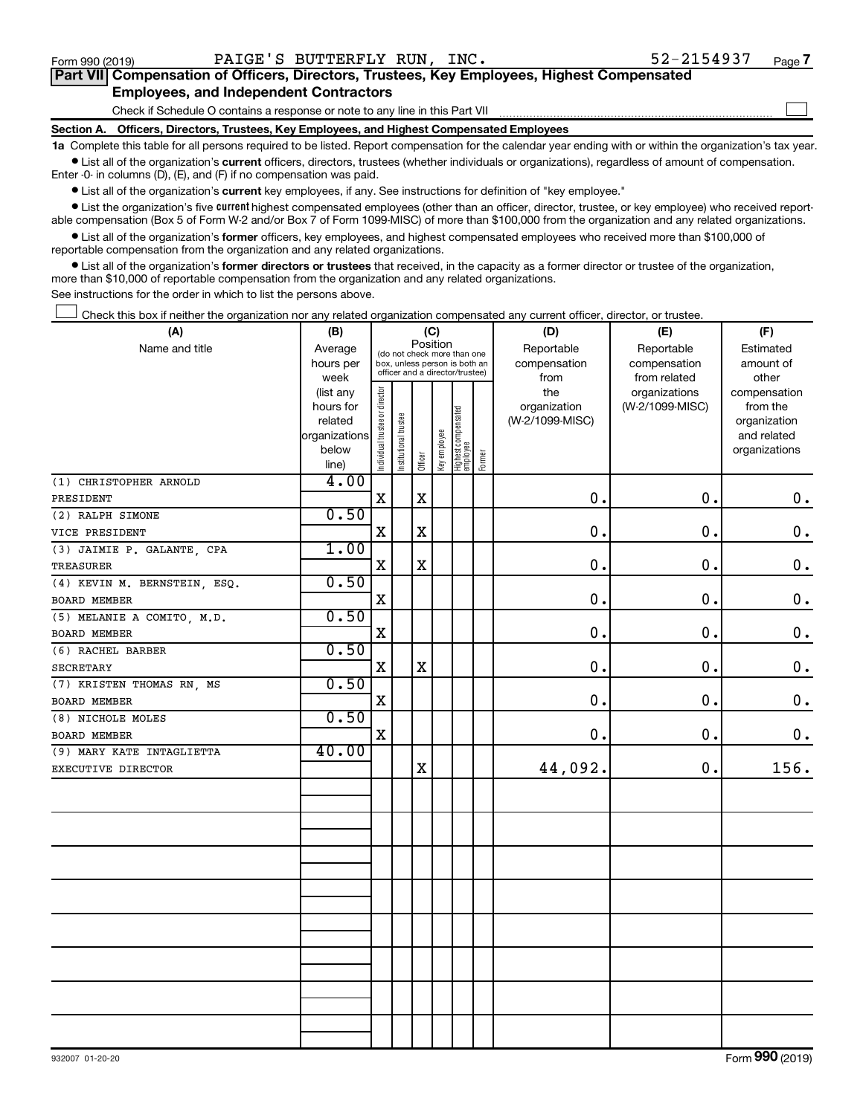$\Box$ 

| Part VII Compensation of Officers, Directors, Trustees, Key Employees, Highest Compensated |  |
|--------------------------------------------------------------------------------------------|--|
| <b>Employees, and Independent Contractors</b>                                              |  |

Check if Schedule O contains a response or note to any line in this Part VII

**Section A. Officers, Directors, Trustees, Key Employees, and Highest Compensated Employees**

**1a**  Complete this table for all persons required to be listed. Report compensation for the calendar year ending with or within the organization's tax year.  $\bullet$  List all of the organization's current officers, directors, trustees (whether individuals or organizations), regardless of amount of compensation.

Enter -0- in columns (D), (E), and (F) if no compensation was paid.

**•** List all of the organization's current key employees, if any. See instructions for definition of "key employee."

• List the organization's five *current* highest compensated employees (other than an officer, director, trustee, or key employee) who received reportable compensation (Box 5 of Form W-2 and/or Box 7 of Form 1099-MISC) of more than \$100,000 from the organization and any related organizations.

 $\bullet$  List all of the organization's former officers, key employees, and highest compensated employees who received more than \$100,000 of reportable compensation from the organization and any related organizations.

**•** List all of the organization's former directors or trustees that received, in the capacity as a former director or trustee of the organization, more than \$10,000 of reportable compensation from the organization and any related organizations.

See instructions for the order in which to list the persons above.

Check this box if neither the organization nor any related organization compensated any current officer, director, or trustee.  $\Box$ 

| (A)                          | (C)<br>(B)             |                                         |                       |             |              |                                                                  | (D)    | (E)                 | (F)                              |                          |
|------------------------------|------------------------|-----------------------------------------|-----------------------|-------------|--------------|------------------------------------------------------------------|--------|---------------------|----------------------------------|--------------------------|
| Name and title               | Average                | Position<br>(do not check more than one |                       |             |              |                                                                  |        | Reportable          | Reportable                       | Estimated                |
|                              | hours per              |                                         |                       |             |              | box, unless person is both an<br>officer and a director/trustee) |        | compensation        | compensation                     | amount of                |
|                              | week                   |                                         |                       |             |              |                                                                  |        | from                | from related                     | other                    |
|                              | (list any<br>hours for |                                         |                       |             |              |                                                                  |        | the<br>organization | organizations<br>(W-2/1099-MISC) | compensation<br>from the |
|                              | related                |                                         |                       |             |              |                                                                  |        | (W-2/1099-MISC)     |                                  | organization             |
|                              | organizations          |                                         |                       |             |              |                                                                  |        |                     |                                  | and related              |
|                              | below                  |                                         |                       |             |              |                                                                  |        |                     |                                  | organizations            |
|                              | line)                  | Individual trustee or director          | Institutional trustee | Officer     | Key employee | Highest compensated<br>employee                                  | Former |                     |                                  |                          |
| (1) CHRISTOPHER ARNOLD       | 4.00                   |                                         |                       |             |              |                                                                  |        |                     |                                  |                          |
| PRESIDENT                    |                        | X                                       |                       | $\mathbf X$ |              |                                                                  |        | $\mathbf 0$ .       | $\mathbf 0$ .                    | $\mathbf 0$ .            |
| (2) RALPH SIMONE             | 0.50                   |                                         |                       |             |              |                                                                  |        |                     |                                  |                          |
| VICE PRESIDENT               |                        | X                                       |                       | $\mathbf X$ |              |                                                                  |        | $\mathbf 0$ .       | $\mathbf 0$ .                    | $\mathbf 0$ .            |
| (3) JAIMIE P. GALANTE, CPA   | 1.00                   |                                         |                       |             |              |                                                                  |        |                     |                                  |                          |
| <b>TREASURER</b>             |                        | $\mathbf X$                             |                       | $\mathbf x$ |              |                                                                  |        | 0.                  | $\mathbf 0$ .                    | $\mathbf 0$ .            |
| (4) KEVIN M. BERNSTEIN, ESQ. | 0.50                   |                                         |                       |             |              |                                                                  |        |                     |                                  |                          |
| BOARD MEMBER                 |                        | $\mathbf X$                             |                       |             |              |                                                                  |        | 0.                  | 0.                               | $\mathbf 0$ .            |
| (5) MELANIE A COMITO, M.D.   | 0.50                   |                                         |                       |             |              |                                                                  |        |                     |                                  |                          |
| <b>BOARD MEMBER</b>          |                        | $\mathbf X$                             |                       |             |              |                                                                  |        | 0.                  | 0.                               | $\mathbf 0$ .            |
| (6) RACHEL BARBER            | 0.50                   |                                         |                       |             |              |                                                                  |        |                     |                                  |                          |
| <b>SECRETARY</b>             |                        | $\mathbf X$                             |                       | $\mathbf X$ |              |                                                                  |        | 0.                  | 0.                               | $\mathbf 0$ .            |
| (7) KRISTEN THOMAS RN, MS    | 0.50                   |                                         |                       |             |              |                                                                  |        |                     |                                  |                          |
| BOARD MEMBER                 |                        | $\mathbf X$                             |                       |             |              |                                                                  |        | 0.                  | 0.                               | $\mathbf 0$ .            |
| (8) NICHOLE MOLES            | 0.50                   |                                         |                       |             |              |                                                                  |        |                     |                                  |                          |
| BOARD MEMBER                 |                        | $\mathbf X$                             |                       |             |              |                                                                  |        | 0.                  | 0.                               | $\mathbf 0$ .            |
| (9) MARY KATE INTAGLIETTA    | 40.00                  |                                         |                       |             |              |                                                                  |        |                     |                                  |                          |
| EXECUTIVE DIRECTOR           |                        |                                         |                       | $\mathbf X$ |              |                                                                  |        | 44,092.             | 0.                               | 156.                     |
|                              |                        |                                         |                       |             |              |                                                                  |        |                     |                                  |                          |
|                              |                        |                                         |                       |             |              |                                                                  |        |                     |                                  |                          |
|                              |                        |                                         |                       |             |              |                                                                  |        |                     |                                  |                          |
|                              |                        |                                         |                       |             |              |                                                                  |        |                     |                                  |                          |
|                              |                        |                                         |                       |             |              |                                                                  |        |                     |                                  |                          |
|                              |                        |                                         |                       |             |              |                                                                  |        |                     |                                  |                          |
|                              |                        |                                         |                       |             |              |                                                                  |        |                     |                                  |                          |
|                              |                        |                                         |                       |             |              |                                                                  |        |                     |                                  |                          |
|                              |                        |                                         |                       |             |              |                                                                  |        |                     |                                  |                          |
|                              |                        |                                         |                       |             |              |                                                                  |        |                     |                                  |                          |
|                              |                        |                                         |                       |             |              |                                                                  |        |                     |                                  |                          |
|                              |                        |                                         |                       |             |              |                                                                  |        |                     |                                  |                          |
|                              |                        |                                         |                       |             |              |                                                                  |        |                     |                                  |                          |
|                              |                        |                                         |                       |             |              |                                                                  |        |                     |                                  |                          |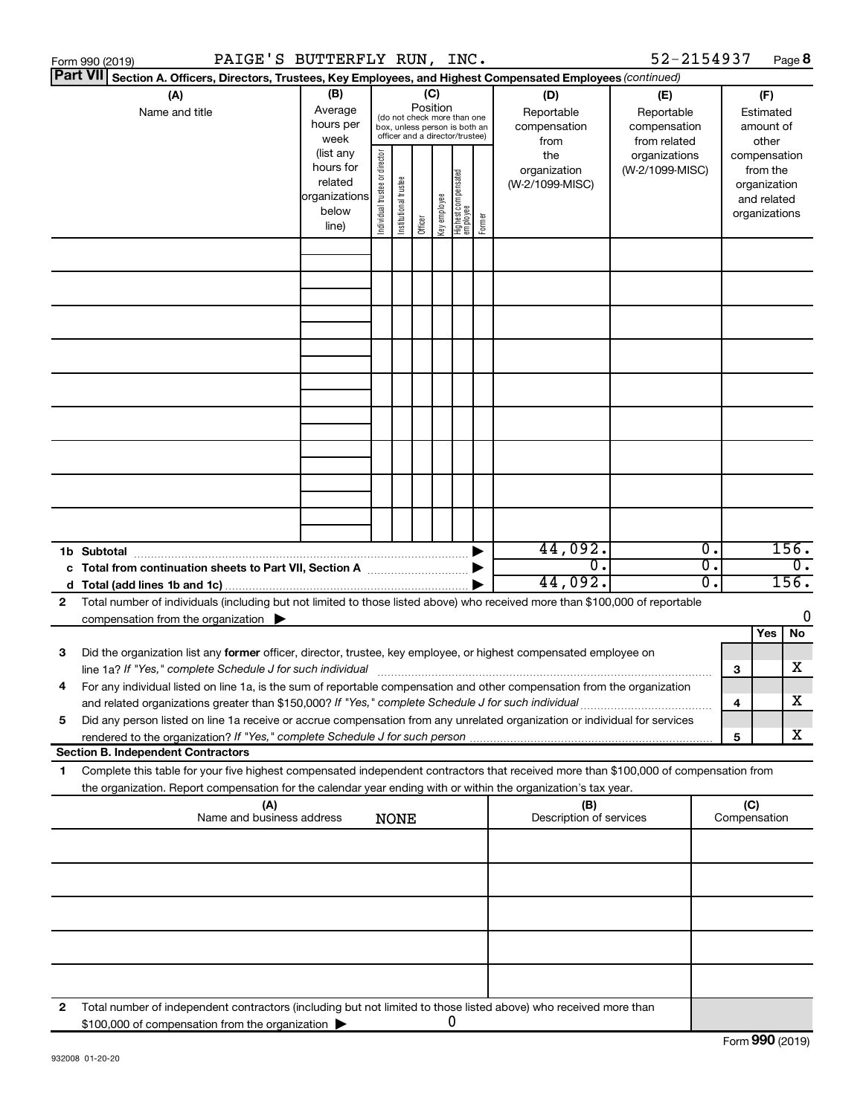|                 | PAIGE'S BUTTERFLY RUN, INC.<br>Form 990 (2019)                                                                                                                                                                                                         |                                                                      |                                                                                                             |                       |         |              |                                   |        |                                           | 52-2154937                                        |                                      |                                        | Page 8                                                                   |
|-----------------|--------------------------------------------------------------------------------------------------------------------------------------------------------------------------------------------------------------------------------------------------------|----------------------------------------------------------------------|-------------------------------------------------------------------------------------------------------------|-----------------------|---------|--------------|-----------------------------------|--------|-------------------------------------------|---------------------------------------------------|--------------------------------------|----------------------------------------|--------------------------------------------------------------------------|
| <b>Part VII</b> | Section A. Officers, Directors, Trustees, Key Employees, and Highest Compensated Employees (continued)                                                                                                                                                 |                                                                      |                                                                                                             |                       |         |              |                                   |        |                                           |                                                   |                                      |                                        |                                                                          |
|                 | (A)<br>Name and title                                                                                                                                                                                                                                  | (B)<br>Average<br>hours per<br>week                                  | Position<br>(do not check more than one<br>box, unless person is both an<br>officer and a director/trustee) |                       |         |              |                                   |        | (D)<br>Reportable<br>compensation<br>from | (E)<br>Reportable<br>compensation<br>from related |                                      | (F)<br>Estimated<br>amount of<br>other |                                                                          |
|                 |                                                                                                                                                                                                                                                        | (list any<br>hours for<br>related<br>organizations<br>below<br>line) | Individual trustee or director                                                                              | Institutional trustee | Officer | Key employee | Highest compensated<br>  employee | Former | the<br>organization<br>(W-2/1099-MISC)    | organizations<br>(W-2/1099-MISC)                  |                                      |                                        | compensation<br>from the<br>organization<br>and related<br>organizations |
|                 |                                                                                                                                                                                                                                                        |                                                                      |                                                                                                             |                       |         |              |                                   |        |                                           |                                                   |                                      |                                        |                                                                          |
|                 |                                                                                                                                                                                                                                                        |                                                                      |                                                                                                             |                       |         |              |                                   |        |                                           |                                                   |                                      |                                        |                                                                          |
|                 |                                                                                                                                                                                                                                                        |                                                                      |                                                                                                             |                       |         |              |                                   |        |                                           |                                                   |                                      |                                        |                                                                          |
|                 |                                                                                                                                                                                                                                                        |                                                                      |                                                                                                             |                       |         |              |                                   |        |                                           |                                                   |                                      |                                        |                                                                          |
|                 |                                                                                                                                                                                                                                                        |                                                                      |                                                                                                             |                       |         |              |                                   |        |                                           |                                                   |                                      |                                        |                                                                          |
|                 |                                                                                                                                                                                                                                                        |                                                                      |                                                                                                             |                       |         |              |                                   |        |                                           |                                                   |                                      |                                        |                                                                          |
|                 |                                                                                                                                                                                                                                                        |                                                                      |                                                                                                             |                       |         |              |                                   |        |                                           |                                                   |                                      |                                        |                                                                          |
|                 |                                                                                                                                                                                                                                                        |                                                                      |                                                                                                             |                       |         |              |                                   |        | 44,092.                                   |                                                   | $\overline{\mathfrak{o}}$ .          |                                        | 156.                                                                     |
|                 | c Total from continuation sheets to Part VII, Section A manus and the set of the Section A                                                                                                                                                             |                                                                      |                                                                                                             |                       |         |              |                                   |        | σ.<br>44,092.                             |                                                   | $\overline{0}$ .<br>$\overline{0}$ . |                                        | $\overline{0}$ .<br>156.                                                 |
| 2               | Total number of individuals (including but not limited to those listed above) who received more than \$100,000 of reportable<br>compensation from the organization $\blacktriangleright$                                                               |                                                                      |                                                                                                             |                       |         |              |                                   |        |                                           |                                                   |                                      |                                        | 0                                                                        |
| 3               | Did the organization list any former officer, director, trustee, key employee, or highest compensated employee on                                                                                                                                      |                                                                      |                                                                                                             |                       |         |              |                                   |        |                                           |                                                   |                                      |                                        | Yes<br>No<br>x                                                           |
|                 | For any individual listed on line 1a, is the sum of reportable compensation and other compensation from the organization<br>and related organizations greater than \$150,000? If "Yes," complete Schedule J for such individual                        |                                                                      |                                                                                                             |                       |         |              |                                   |        |                                           |                                                   |                                      | 3<br>4                                 | х                                                                        |
| 5               | Did any person listed on line 1a receive or accrue compensation from any unrelated organization or individual for services                                                                                                                             |                                                                      |                                                                                                             |                       |         |              |                                   |        |                                           |                                                   |                                      | 5                                      | x                                                                        |
|                 | <b>Section B. Independent Contractors</b>                                                                                                                                                                                                              |                                                                      |                                                                                                             |                       |         |              |                                   |        |                                           |                                                   |                                      |                                        |                                                                          |
| 1               | Complete this table for your five highest compensated independent contractors that received more than \$100,000 of compensation from<br>the organization. Report compensation for the calendar year ending with or within the organization's tax year. |                                                                      |                                                                                                             |                       |         |              |                                   |        |                                           |                                                   |                                      |                                        |                                                                          |
|                 | (A)<br>Name and business address                                                                                                                                                                                                                       |                                                                      |                                                                                                             | <b>NONE</b>           |         |              |                                   |        | (B)<br>Description of services            |                                                   |                                      | (C)<br>Compensation                    |                                                                          |
|                 |                                                                                                                                                                                                                                                        |                                                                      |                                                                                                             |                       |         |              |                                   |        |                                           |                                                   |                                      |                                        |                                                                          |
|                 |                                                                                                                                                                                                                                                        |                                                                      |                                                                                                             |                       |         |              |                                   |        |                                           |                                                   |                                      |                                        |                                                                          |
|                 |                                                                                                                                                                                                                                                        |                                                                      |                                                                                                             |                       |         |              |                                   |        |                                           |                                                   |                                      |                                        |                                                                          |
|                 |                                                                                                                                                                                                                                                        |                                                                      |                                                                                                             |                       |         |              |                                   |        |                                           |                                                   |                                      |                                        |                                                                          |
| 2               | Total number of independent contractors (including but not limited to those listed above) who received more than<br>\$100,000 of compensation from the organization                                                                                    |                                                                      |                                                                                                             |                       |         |              | 0                                 |        |                                           |                                                   |                                      |                                        |                                                                          |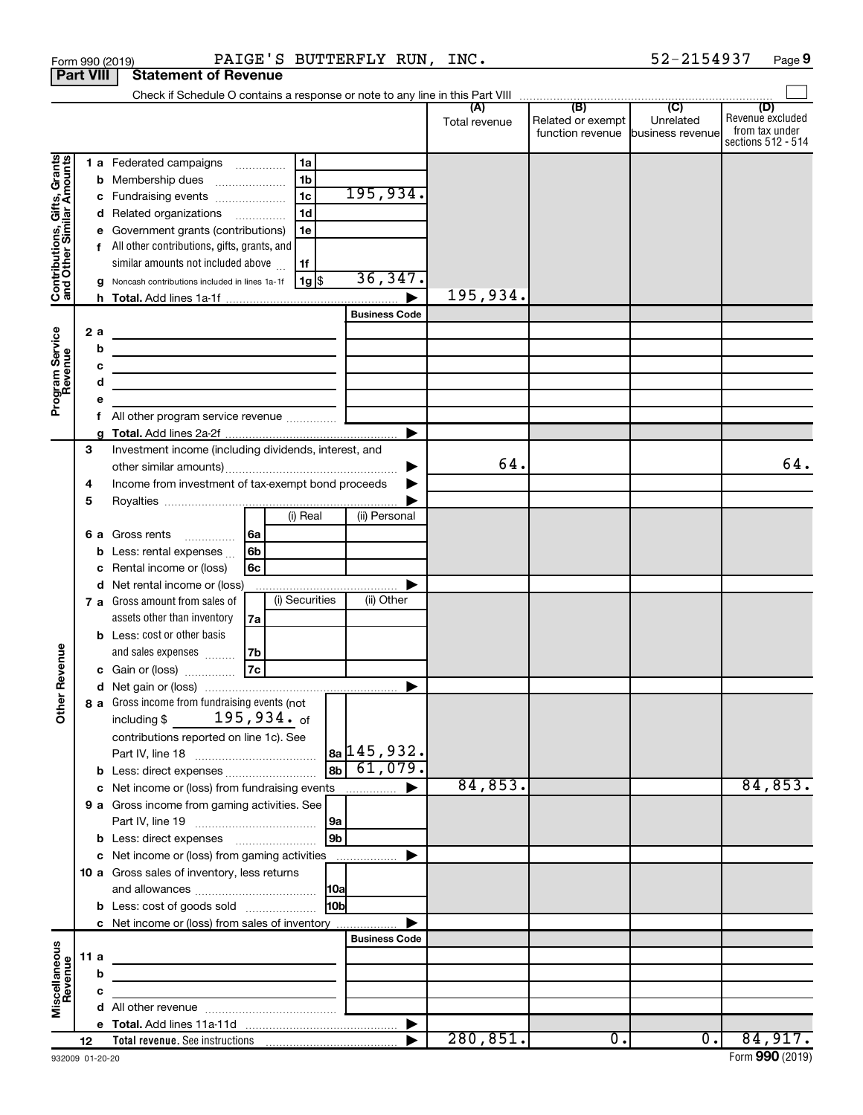|                                                           | Form 990 (2019)  | PAIGE'S BUTTERFLY RUN, INC.                                                                           |                      |               |                                                        | 52-2154937       | Page 9                                                   |
|-----------------------------------------------------------|------------------|-------------------------------------------------------------------------------------------------------|----------------------|---------------|--------------------------------------------------------|------------------|----------------------------------------------------------|
|                                                           | <b>Part VIII</b> | <b>Statement of Revenue</b>                                                                           |                      |               |                                                        |                  |                                                          |
|                                                           |                  |                                                                                                       |                      | (A)           | (B)                                                    | (C)              | (D)                                                      |
|                                                           |                  |                                                                                                       |                      | Total revenue | Related or exempt<br>function revenue business revenue | Unrelated        | Revenue excluded<br>from tax under<br>sections 512 - 514 |
|                                                           |                  | 1 a Federated campaigns<br>1a                                                                         |                      |               |                                                        |                  |                                                          |
| Contributions, Gifts, Grants<br>and Other Similar Amounts |                  | 1 <sub>b</sub><br><b>b</b> Membership dues                                                            |                      |               |                                                        |                  |                                                          |
|                                                           |                  | 1 <sub>c</sub><br>c Fundraising events                                                                | 195,934.             |               |                                                        |                  |                                                          |
|                                                           |                  | 1d<br>d Related organizations                                                                         |                      |               |                                                        |                  |                                                          |
|                                                           |                  | e Government grants (contributions)<br>1e                                                             |                      |               |                                                        |                  |                                                          |
|                                                           |                  | f All other contributions, gifts, grants, and                                                         |                      |               |                                                        |                  |                                                          |
|                                                           |                  | similar amounts not included above<br>1f<br>  1g  \$<br>Noncash contributions included in lines 1a-1f | 36,347.              |               |                                                        |                  |                                                          |
|                                                           | g                |                                                                                                       |                      | 195,934.      |                                                        |                  |                                                          |
|                                                           |                  |                                                                                                       | <b>Business Code</b> |               |                                                        |                  |                                                          |
|                                                           | 2a               | the control of the control of the control of the control of the control of                            |                      |               |                                                        |                  |                                                          |
|                                                           | b                | <u> 1980 - Johann Barn, mars an t-Amerikaansk politiker (* 1908)</u>                                  |                      |               |                                                        |                  |                                                          |
|                                                           | с                | <u> 1989 - Johann Barbara, martxa alemaniar arg</u>                                                   |                      |               |                                                        |                  |                                                          |
|                                                           | d                | the control of the control of the control of the control of the control of                            |                      |               |                                                        |                  |                                                          |
| Program Service<br>Revenue                                | е                |                                                                                                       |                      |               |                                                        |                  |                                                          |
|                                                           | f                |                                                                                                       |                      |               |                                                        |                  |                                                          |
|                                                           | a                |                                                                                                       |                      |               |                                                        |                  |                                                          |
|                                                           | 3                | Investment income (including dividends, interest, and                                                 |                      | 64.           |                                                        |                  | 64.                                                      |
|                                                           | 4                | Income from investment of tax-exempt bond proceeds                                                    | ▶                    |               |                                                        |                  |                                                          |
|                                                           | 5                |                                                                                                       |                      |               |                                                        |                  |                                                          |
|                                                           |                  | (i) Real                                                                                              | (ii) Personal        |               |                                                        |                  |                                                          |
|                                                           |                  | 6 a Gross rents<br>6a                                                                                 |                      |               |                                                        |                  |                                                          |
|                                                           | b                | Less: rental expenses<br>6b                                                                           |                      |               |                                                        |                  |                                                          |
|                                                           | с                | Rental income or (loss)<br>6с                                                                         |                      |               |                                                        |                  |                                                          |
|                                                           | d                | Net rental income or (loss)                                                                           |                      |               |                                                        |                  |                                                          |
|                                                           |                  | (i) Securities<br>7 a Gross amount from sales of                                                      | (ii) Other           |               |                                                        |                  |                                                          |
|                                                           |                  | assets other than inventory<br>7a                                                                     |                      |               |                                                        |                  |                                                          |
|                                                           |                  | <b>b</b> Less: cost or other basis                                                                    |                      |               |                                                        |                  |                                                          |
| venue                                                     |                  | and sales expenses<br>7b<br>$\overline{7c}$                                                           |                      |               |                                                        |                  |                                                          |
|                                                           |                  | c Gain or (loss)                                                                                      |                      |               |                                                        |                  |                                                          |
| č                                                         |                  | 8 a Gross income from fundraising events (not                                                         |                      |               |                                                        |                  |                                                          |
| Other                                                     |                  | $195,934.$ of<br>including \$                                                                         |                      |               |                                                        |                  |                                                          |
|                                                           |                  | contributions reported on line 1c). See                                                               |                      |               |                                                        |                  |                                                          |
|                                                           |                  |                                                                                                       | $ a_2 145,932.$      |               |                                                        |                  |                                                          |
|                                                           |                  |                                                                                                       | $\boxed{8b}$ 61,079. |               |                                                        |                  |                                                          |
|                                                           |                  | c Net income or (loss) from fundraising events                                                        |                      | 84,853.       |                                                        |                  | 84,853.                                                  |
|                                                           |                  | 9 a Gross income from gaming activities. See                                                          |                      |               |                                                        |                  |                                                          |
|                                                           |                  | 9a                                                                                                    |                      |               |                                                        |                  |                                                          |
|                                                           |                  | l 9bl                                                                                                 |                      |               |                                                        |                  |                                                          |
|                                                           |                  | c Net income or (loss) from gaming activities<br>10 a Gross sales of inventory, less returns          |                      |               |                                                        |                  |                                                          |
|                                                           |                  | <b>10a</b>                                                                                            |                      |               |                                                        |                  |                                                          |
|                                                           |                  | 10bl<br><b>b</b> Less: cost of goods sold                                                             |                      |               |                                                        |                  |                                                          |
|                                                           |                  | c Net income or (loss) from sales of inventory                                                        |                      |               |                                                        |                  |                                                          |
|                                                           |                  |                                                                                                       | <b>Business Code</b> |               |                                                        |                  |                                                          |
|                                                           | 11 a             |                                                                                                       |                      |               |                                                        |                  |                                                          |
|                                                           | b                |                                                                                                       |                      |               |                                                        |                  |                                                          |
| Miscellaneous<br>Revenue                                  | c                |                                                                                                       |                      |               |                                                        |                  |                                                          |
|                                                           |                  |                                                                                                       |                      |               |                                                        |                  |                                                          |
|                                                           |                  |                                                                                                       | ▶                    | 280, 851.     | $\overline{0}$ .                                       | $\overline{0}$ . | 84,917.                                                  |
|                                                           | 12               |                                                                                                       |                      |               |                                                        |                  |                                                          |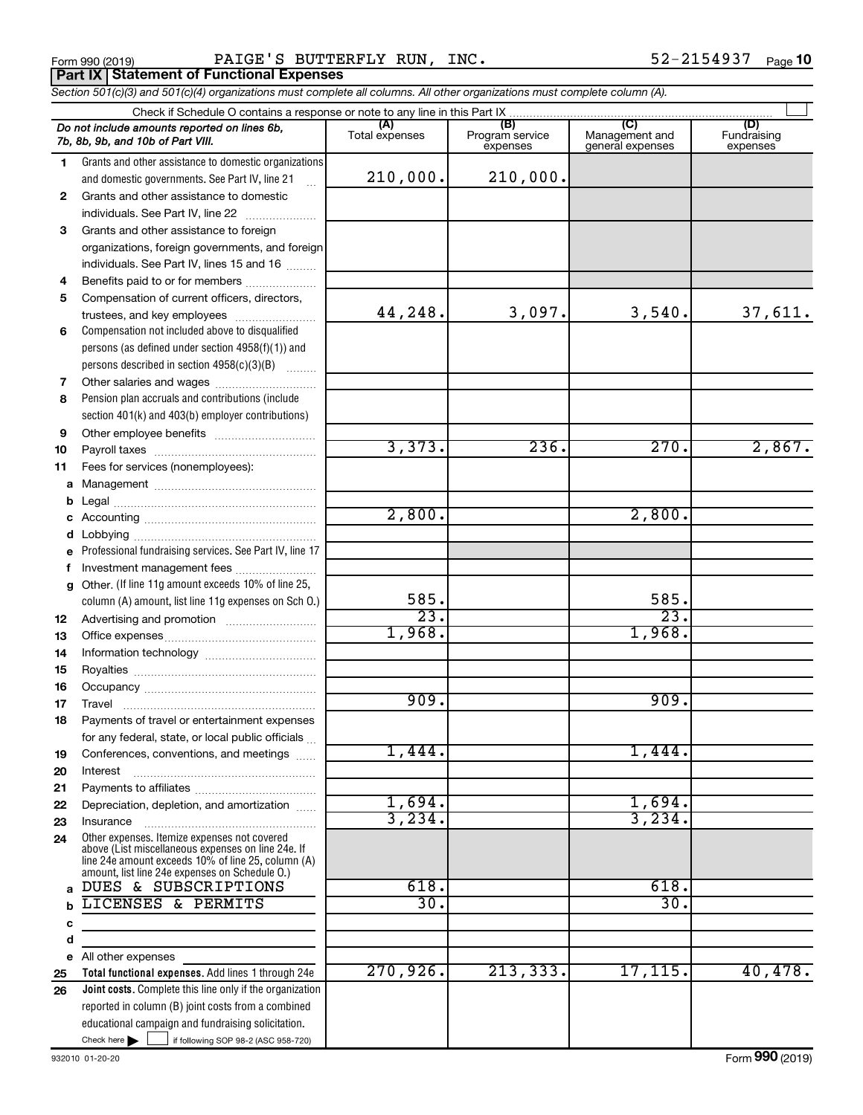Form 990 (2019) Page PAIGE'S BUTTERFLY RUN, INC. 52-2154937 **Part IX Statement of Functional Expenses**

*Section 501(c)(3) and 501(c)(4) organizations must complete all columns. All other organizations must complete column (A).*

|              | Check if Schedule O contains a response or note to any line in this Part IX                        |                       |                                    |                                           |                                |  |  |  |  |  |  |  |
|--------------|----------------------------------------------------------------------------------------------------|-----------------------|------------------------------------|-------------------------------------------|--------------------------------|--|--|--|--|--|--|--|
|              | Do not include amounts reported on lines 6b,<br>7b, 8b, 9b, and 10b of Part VIII.                  | (A)<br>Total expenses | (B)<br>Program service<br>expenses | (C)<br>Management and<br>general expenses | (D)<br>Fundraising<br>expenses |  |  |  |  |  |  |  |
| 1.           | Grants and other assistance to domestic organizations                                              |                       |                                    |                                           |                                |  |  |  |  |  |  |  |
|              | and domestic governments. See Part IV, line 21                                                     | 210,000.              | 210,000.                           |                                           |                                |  |  |  |  |  |  |  |
| $\mathbf{2}$ | Grants and other assistance to domestic                                                            |                       |                                    |                                           |                                |  |  |  |  |  |  |  |
|              | individuals. See Part IV, line 22                                                                  |                       |                                    |                                           |                                |  |  |  |  |  |  |  |
| 3            | Grants and other assistance to foreign                                                             |                       |                                    |                                           |                                |  |  |  |  |  |  |  |
|              | organizations, foreign governments, and foreign                                                    |                       |                                    |                                           |                                |  |  |  |  |  |  |  |
|              | individuals. See Part IV, lines 15 and 16                                                          |                       |                                    |                                           |                                |  |  |  |  |  |  |  |
| 4            | Benefits paid to or for members                                                                    |                       |                                    |                                           |                                |  |  |  |  |  |  |  |
| 5            | Compensation of current officers, directors,                                                       |                       |                                    |                                           |                                |  |  |  |  |  |  |  |
|              | trustees, and key employees                                                                        | 44,248.               | 3,097.                             | 3,540.                                    | 37,611.                        |  |  |  |  |  |  |  |
| 6            | Compensation not included above to disqualified                                                    |                       |                                    |                                           |                                |  |  |  |  |  |  |  |
|              | persons (as defined under section 4958(f)(1)) and                                                  |                       |                                    |                                           |                                |  |  |  |  |  |  |  |
|              | persons described in section 4958(c)(3)(B)                                                         |                       |                                    |                                           |                                |  |  |  |  |  |  |  |
| 7            |                                                                                                    |                       |                                    |                                           |                                |  |  |  |  |  |  |  |
| 8            | Pension plan accruals and contributions (include                                                   |                       |                                    |                                           |                                |  |  |  |  |  |  |  |
|              | section 401(k) and 403(b) employer contributions)                                                  |                       |                                    |                                           |                                |  |  |  |  |  |  |  |
| 9            |                                                                                                    |                       |                                    |                                           |                                |  |  |  |  |  |  |  |
| 10           |                                                                                                    | 3,373.                | 236.                               | 270.                                      | 2,867.                         |  |  |  |  |  |  |  |
| 11           | Fees for services (nonemployees):                                                                  |                       |                                    |                                           |                                |  |  |  |  |  |  |  |
|              |                                                                                                    |                       |                                    |                                           |                                |  |  |  |  |  |  |  |
| b            |                                                                                                    |                       |                                    |                                           |                                |  |  |  |  |  |  |  |
| c            |                                                                                                    | 2,800.                |                                    | 2,800.                                    |                                |  |  |  |  |  |  |  |
|              |                                                                                                    |                       |                                    |                                           |                                |  |  |  |  |  |  |  |
| е            | Professional fundraising services. See Part IV, line 17                                            |                       |                                    |                                           |                                |  |  |  |  |  |  |  |
| f            | Investment management fees                                                                         |                       |                                    |                                           |                                |  |  |  |  |  |  |  |
| g            | Other. (If line 11g amount exceeds 10% of line 25,                                                 |                       |                                    |                                           |                                |  |  |  |  |  |  |  |
|              | column (A) amount, list line 11g expenses on Sch O.)                                               | 585.                  |                                    | 585.                                      |                                |  |  |  |  |  |  |  |
| 12           |                                                                                                    | $\overline{23}$ .     |                                    | $\overline{23}$                           |                                |  |  |  |  |  |  |  |
| 13           |                                                                                                    | 1,968.                |                                    | 1,968.                                    |                                |  |  |  |  |  |  |  |
| 14           |                                                                                                    |                       |                                    |                                           |                                |  |  |  |  |  |  |  |
| 15           |                                                                                                    |                       |                                    |                                           |                                |  |  |  |  |  |  |  |
| 16           |                                                                                                    |                       |                                    |                                           |                                |  |  |  |  |  |  |  |
| 17           |                                                                                                    | 909.                  |                                    | 909.                                      |                                |  |  |  |  |  |  |  |
| 18           | Payments of travel or entertainment expenses                                                       |                       |                                    |                                           |                                |  |  |  |  |  |  |  |
|              | for any federal, state, or local public officials                                                  |                       |                                    |                                           |                                |  |  |  |  |  |  |  |
| 19           | Conferences, conventions, and meetings                                                             | 1,444.                |                                    | 1,444.                                    |                                |  |  |  |  |  |  |  |
| 20           | Interest                                                                                           |                       |                                    |                                           |                                |  |  |  |  |  |  |  |
| 21           |                                                                                                    |                       |                                    |                                           |                                |  |  |  |  |  |  |  |
| 22           | Depreciation, depletion, and amortization                                                          | 1,694.                |                                    | 1,694.                                    |                                |  |  |  |  |  |  |  |
| 23           | Insurance                                                                                          | 3,234.                |                                    | 3,234.                                    |                                |  |  |  |  |  |  |  |
| 24           | Other expenses. Itemize expenses not covered<br>above (List miscellaneous expenses on line 24e. If |                       |                                    |                                           |                                |  |  |  |  |  |  |  |
|              | line 24e amount exceeds 10% of line 25, column (A)                                                 |                       |                                    |                                           |                                |  |  |  |  |  |  |  |
|              | amount, list line 24e expenses on Schedule O.)<br>DUES & SUBSCRIPTIONS                             | 618.                  |                                    | 618.                                      |                                |  |  |  |  |  |  |  |
| a            | LICENSES & PERMITS                                                                                 | 30.                   |                                    | 30.                                       |                                |  |  |  |  |  |  |  |
|              |                                                                                                    |                       |                                    |                                           |                                |  |  |  |  |  |  |  |
| с            |                                                                                                    |                       |                                    |                                           |                                |  |  |  |  |  |  |  |
| d            |                                                                                                    |                       |                                    |                                           |                                |  |  |  |  |  |  |  |
| е            | All other expenses<br>Total functional expenses. Add lines 1 through 24e                           | 270,926.              | 213, 333.                          | 17, 115.                                  | 40,478.                        |  |  |  |  |  |  |  |
| 25<br>26     | Joint costs. Complete this line only if the organization                                           |                       |                                    |                                           |                                |  |  |  |  |  |  |  |
|              | reported in column (B) joint costs from a combined                                                 |                       |                                    |                                           |                                |  |  |  |  |  |  |  |
|              | educational campaign and fundraising solicitation.                                                 |                       |                                    |                                           |                                |  |  |  |  |  |  |  |
|              | Check here $\blacktriangleright$<br>if following SOP 98-2 (ASC 958-720)                            |                       |                                    |                                           |                                |  |  |  |  |  |  |  |
|              |                                                                                                    |                       |                                    |                                           |                                |  |  |  |  |  |  |  |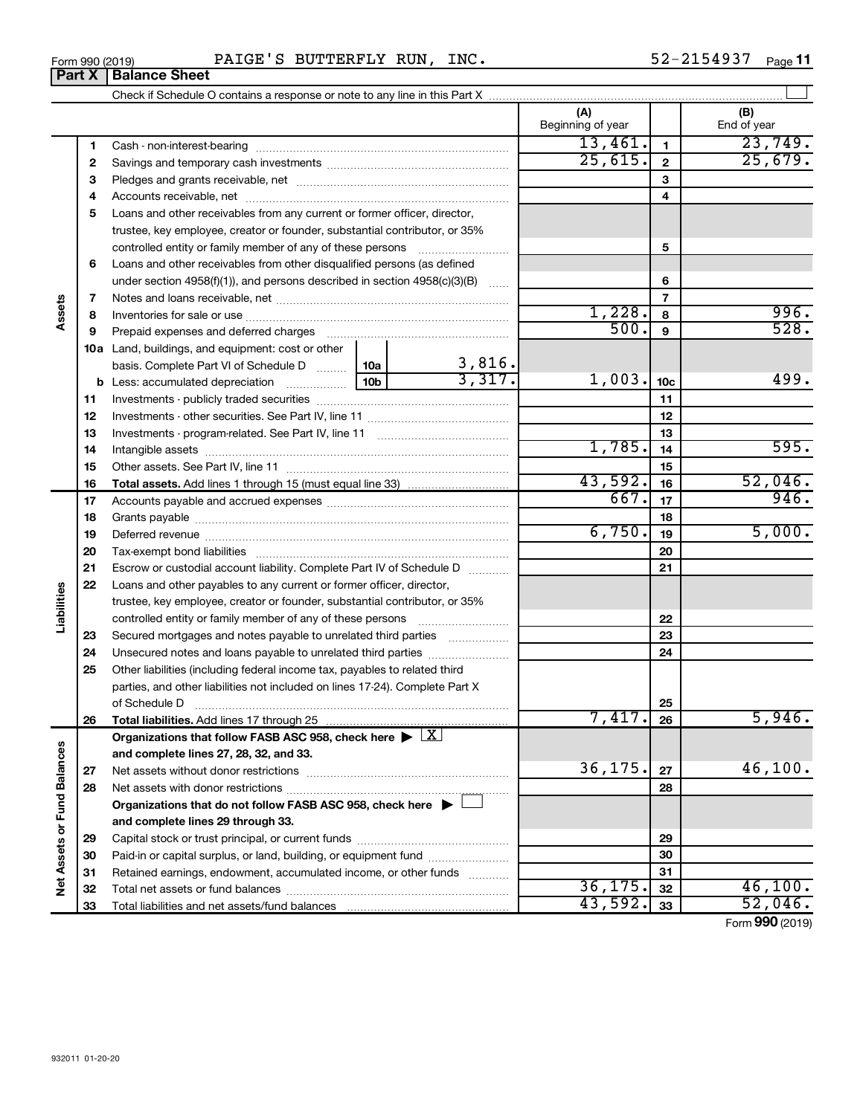**33**

Total liabilities and net assets/fund balances

|  | Form 990 (2019) | PAIGE<br>י י<br><b>BUTTERFLY</b> | <b>RUN</b><br>$_{\tt INC.}$ | -54937<br>n.<br>- 2 ف<br>{ } | Page |
|--|-----------------|----------------------------------|-----------------------------|------------------------------|------|
|--|-----------------|----------------------------------|-----------------------------|------------------------------|------|

|                             |             |                                                                                                                |  |                       | (A)<br>Beginning of year |                 | (B)<br>End of year |
|-----------------------------|-------------|----------------------------------------------------------------------------------------------------------------|--|-----------------------|--------------------------|-----------------|--------------------|
|                             | 1           |                                                                                                                |  |                       | 13,461.                  | $\mathbf{1}$    | 23,749.            |
|                             | $\mathbf 2$ |                                                                                                                |  |                       | 25,615.                  | $\mathbf{2}$    | 25,679.            |
|                             | 3           |                                                                                                                |  |                       |                          | 3               |                    |
|                             | 4           |                                                                                                                |  |                       |                          | 4               |                    |
|                             | 5           | Loans and other receivables from any current or former officer, director,                                      |  |                       |                          |                 |                    |
|                             |             | trustee, key employee, creator or founder, substantial contributor, or 35%                                     |  |                       |                          |                 |                    |
|                             |             | controlled entity or family member of any of these persons                                                     |  |                       |                          | 5               |                    |
|                             | 6           | Loans and other receivables from other disqualified persons (as defined                                        |  |                       |                          |                 |                    |
| Assets                      |             | under section $4958(f)(1)$ , and persons described in section $4958(c)(3)(B)$                                  |  |                       |                          | 6               |                    |
|                             | 7           |                                                                                                                |  |                       |                          | $\overline{7}$  |                    |
|                             | 8           |                                                                                                                |  |                       | 1,228.                   | 8               | 996.               |
|                             | 9           | Prepaid expenses and deferred charges [11] [11] [11] [12] [12] [12] [12] [13] [13] [13] [13] [13] [13] [13] [1 |  |                       | 500.                     | 9               | 528.               |
|                             |             | 10a Land, buildings, and equipment: cost or other                                                              |  |                       |                          |                 |                    |
|                             |             | basis. Complete Part VI of Schedule D  10a                                                                     |  | $\frac{3,816}{3,317}$ |                          |                 |                    |
|                             |             |                                                                                                                |  |                       | 1,003.                   | 10 <sub>c</sub> | 499.               |
|                             | 11          |                                                                                                                |  |                       |                          | 11              |                    |
|                             | 12          |                                                                                                                |  |                       |                          | 12              |                    |
|                             | 13          |                                                                                                                |  |                       |                          | 13              |                    |
|                             | 14          |                                                                                                                |  |                       | 1,785.                   | 14              | 595.               |
|                             | 15          |                                                                                                                |  |                       |                          | 15              |                    |
|                             | 16          |                                                                                                                |  |                       | 43,592.                  | 16              | 52,046.            |
|                             | 17          |                                                                                                                |  |                       | 667.                     | 17              | 946.               |
|                             | 18          |                                                                                                                |  |                       | 18                       |                 |                    |
|                             | 19          |                                                                                                                |  | 6,750.                | 19                       | 5,000.          |                    |
|                             | 20          |                                                                                                                |  |                       |                          | 20              |                    |
|                             | 21          | Escrow or custodial account liability. Complete Part IV of Schedule D                                          |  |                       |                          | 21              |                    |
|                             | 22          | Loans and other payables to any current or former officer, director,                                           |  |                       |                          |                 |                    |
| Liabilities                 |             | trustee, key employee, creator or founder, substantial contributor, or 35%                                     |  |                       |                          |                 |                    |
|                             |             |                                                                                                                |  |                       |                          | 22              |                    |
|                             | 23          | Secured mortgages and notes payable to unrelated third parties                                                 |  |                       |                          | 23              |                    |
|                             | 24          |                                                                                                                |  |                       |                          | 24              |                    |
|                             | 25          | Other liabilities (including federal income tax, payables to related third                                     |  |                       |                          |                 |                    |
|                             |             | parties, and other liabilities not included on lines 17-24). Complete Part X                                   |  |                       |                          |                 |                    |
|                             |             | of Schedule D                                                                                                  |  |                       | 7,417.                   | 25              |                    |
|                             | 26          |                                                                                                                |  |                       |                          | 26              | 5,946.             |
|                             |             | Organizations that follow FASB ASC 958, check here $\blacktriangleright \lfloor X \rfloor$                     |  |                       |                          |                 |                    |
|                             |             | and complete lines 27, 28, 32, and 33.                                                                         |  |                       |                          |                 | 46,100.            |
|                             | 27          |                                                                                                                |  |                       | 36,175.                  | 27              |                    |
|                             | 28          |                                                                                                                |  |                       |                          | 28              |                    |
|                             |             | Organizations that do not follow FASB ASC 958, check here $\blacktriangleright$                                |  |                       |                          |                 |                    |
| Net Assets or Fund Balances |             | and complete lines 29 through 33.                                                                              |  |                       |                          |                 |                    |
|                             | 29          |                                                                                                                |  |                       |                          | 29              |                    |
|                             | 30          | Paid-in or capital surplus, or land, building, or equipment fund                                               |  |                       |                          | 30              |                    |
|                             | 31          | Retained earnings, endowment, accumulated income, or other funds                                               |  |                       | 36, 175.                 | 31              | 46,100.            |
|                             | 32          |                                                                                                                |  |                       |                          | 32              |                    |

Form (2019) **990**

**33** 43,592. 52,046.

# **Part X Balance Sheet**

| Form 990 (2019 |  |
|----------------|--|
|                |  |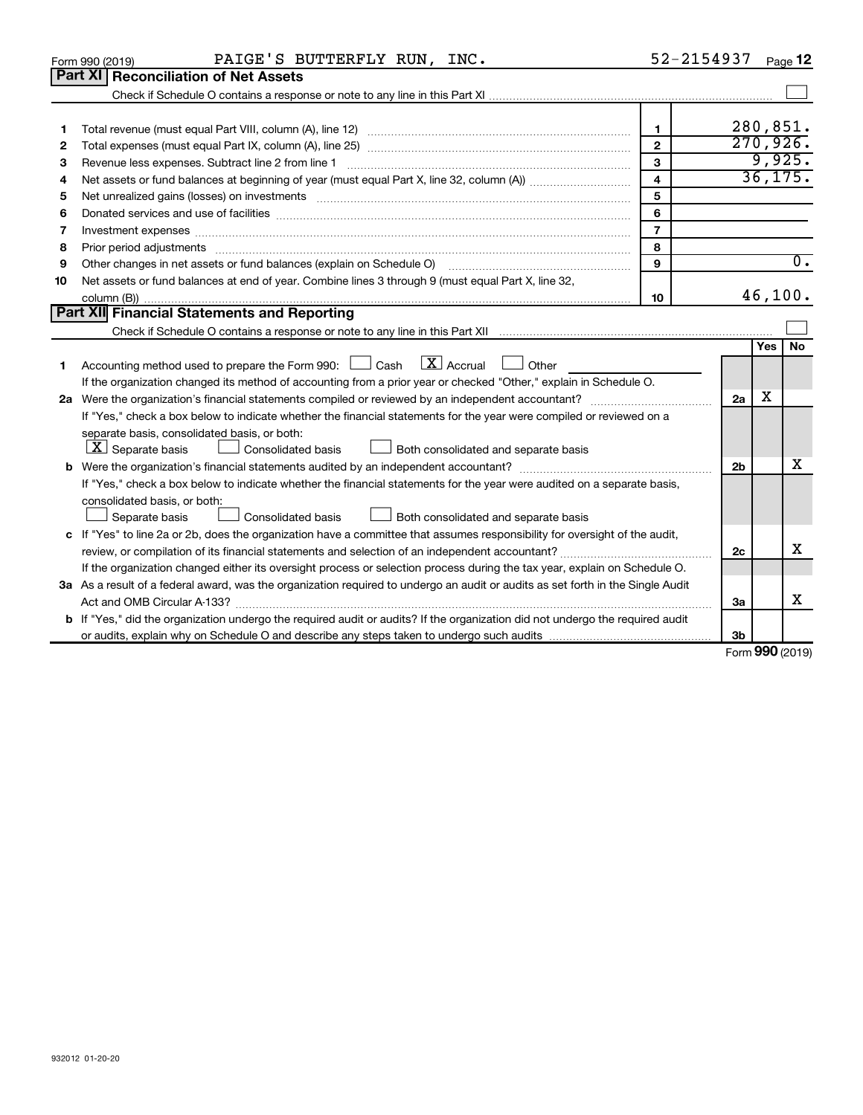|    | PAIGE'S BUTTERFLY RUN, INC.<br>Form 990 (2019)                                                                                  | 52-2154937     |                 |     | Page 12          |  |  |  |
|----|---------------------------------------------------------------------------------------------------------------------------------|----------------|-----------------|-----|------------------|--|--|--|
|    | Part XI   Reconciliation of Net Assets                                                                                          |                |                 |     |                  |  |  |  |
|    |                                                                                                                                 |                |                 |     |                  |  |  |  |
|    |                                                                                                                                 |                |                 |     |                  |  |  |  |
| 1  |                                                                                                                                 | $\mathbf{1}$   | 280,851.        |     |                  |  |  |  |
| 2  |                                                                                                                                 | $\overline{2}$ | 270,926.        |     | 9,925.           |  |  |  |
| 3  | 3                                                                                                                               |                |                 |     |                  |  |  |  |
| 4  | $\overline{\mathbf{4}}$                                                                                                         |                |                 |     |                  |  |  |  |
| 5  | Net unrealized gains (losses) on investments [11] matter continuum matter is a set of the set of the set of the                 | 5              |                 |     |                  |  |  |  |
| 6  |                                                                                                                                 | 6              |                 |     |                  |  |  |  |
| 7  | Investment expenses www.communication.com/www.communication.com/www.communication.com/www.com                                   | $\overline{7}$ |                 |     |                  |  |  |  |
| 8  |                                                                                                                                 | 8              |                 |     |                  |  |  |  |
| 9  | Other changes in net assets or fund balances (explain on Schedule O)                                                            | $\mathbf{Q}$   |                 |     | $\overline{0}$ . |  |  |  |
| 10 | Net assets or fund balances at end of year. Combine lines 3 through 9 (must equal Part X, line 32,                              |                |                 |     |                  |  |  |  |
|    |                                                                                                                                 | 10             |                 |     | 46,100.          |  |  |  |
|    | Part XII Financial Statements and Reporting                                                                                     |                |                 |     |                  |  |  |  |
|    |                                                                                                                                 |                |                 |     |                  |  |  |  |
|    |                                                                                                                                 |                |                 | Yes | No               |  |  |  |
| 1  | $\boxed{\textbf{X}}$ Accrual<br>Accounting method used to prepare the Form 990: [130] Cash<br>Other                             |                |                 |     |                  |  |  |  |
|    | If the organization changed its method of accounting from a prior year or checked "Other," explain in Schedule O.               |                |                 | х   |                  |  |  |  |
|    |                                                                                                                                 |                |                 |     |                  |  |  |  |
|    | If "Yes," check a box below to indicate whether the financial statements for the year were compiled or reviewed on a            |                |                 |     |                  |  |  |  |
|    | separate basis, consolidated basis, or both:                                                                                    |                |                 |     |                  |  |  |  |
|    | $ \mathbf{X} $ Separate basis<br><b>Consolidated basis</b><br>Both consolidated and separate basis                              |                |                 |     |                  |  |  |  |
|    |                                                                                                                                 |                | 2 <sub>b</sub>  |     | X                |  |  |  |
|    | If "Yes," check a box below to indicate whether the financial statements for the year were audited on a separate basis,         |                |                 |     |                  |  |  |  |
|    | consolidated basis, or both:                                                                                                    |                |                 |     |                  |  |  |  |
|    | Separate basis<br>Consolidated basis<br>Both consolidated and separate basis                                                    |                |                 |     |                  |  |  |  |
|    | c If "Yes" to line 2a or 2b, does the organization have a committee that assumes responsibility for oversight of the audit,     |                |                 |     |                  |  |  |  |
|    | review, or compilation of its financial statements and selection of an independent accountant?                                  |                | 2c              |     | x                |  |  |  |
|    | If the organization changed either its oversight process or selection process during the tax year, explain on Schedule O.       |                |                 |     |                  |  |  |  |
|    | 3a As a result of a federal award, was the organization required to undergo an audit or audits as set forth in the Single Audit |                |                 |     |                  |  |  |  |
|    |                                                                                                                                 |                | За              |     | х                |  |  |  |
|    | b If "Yes," did the organization undergo the required audit or audits? If the organization did not undergo the required audit   |                |                 |     |                  |  |  |  |
|    |                                                                                                                                 |                | 3 <sub>b</sub>  |     |                  |  |  |  |
|    |                                                                                                                                 |                | Form 990 (2019) |     |                  |  |  |  |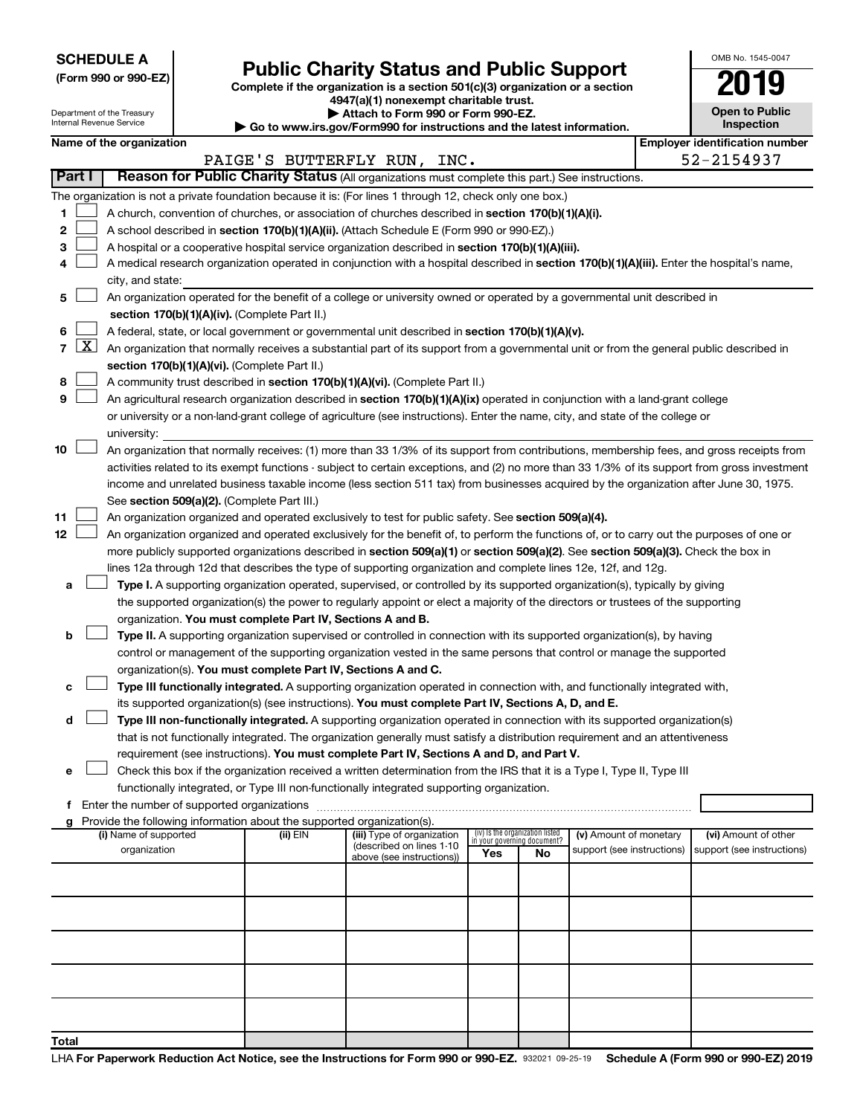**SCHEDULE A**

Department of the Treasury Internal Revenue Service

# Form 990 or 990-EZ) **Public Charity Status and Public Support**<br>
Complete if the organization is a section 501(c)(3) organization or a section<br> **2019**

**4947(a)(1) nonexempt charitable trust. | Attach to Form 990 or Form 990-EZ.** 

**| Go to www.irs.gov/Form990 for instructions and the latest information.**

| OMB No. 1545-0047                   |
|-------------------------------------|
|                                     |
| <b>Open to Public</b><br>Inspection |

**Name of the organization** 

|                |                     |                                                                                                                                                                                                                      |          | PAIGE'S BUTTERFLY RUN, INC.                            |                                                                |    |                            |  | 52-2154937                 |  |  |  |
|----------------|---------------------|----------------------------------------------------------------------------------------------------------------------------------------------------------------------------------------------------------------------|----------|--------------------------------------------------------|----------------------------------------------------------------|----|----------------------------|--|----------------------------|--|--|--|
|                | Part I              | Reason for Public Charity Status (All organizations must complete this part.) See instructions.                                                                                                                      |          |                                                        |                                                                |    |                            |  |                            |  |  |  |
|                |                     | The organization is not a private foundation because it is: (For lines 1 through 12, check only one box.)                                                                                                            |          |                                                        |                                                                |    |                            |  |                            |  |  |  |
| 1              |                     | A church, convention of churches, or association of churches described in section 170(b)(1)(A)(i).                                                                                                                   |          |                                                        |                                                                |    |                            |  |                            |  |  |  |
| 2              |                     | A school described in section 170(b)(1)(A)(ii). (Attach Schedule E (Form 990 or 990-EZ).)                                                                                                                            |          |                                                        |                                                                |    |                            |  |                            |  |  |  |
| 3              |                     | A hospital or a cooperative hospital service organization described in section 170(b)(1)(A)(iii).                                                                                                                    |          |                                                        |                                                                |    |                            |  |                            |  |  |  |
| 4              |                     | A medical research organization operated in conjunction with a hospital described in section 170(b)(1)(A)(iii). Enter the hospital's name,                                                                           |          |                                                        |                                                                |    |                            |  |                            |  |  |  |
|                |                     | city, and state:                                                                                                                                                                                                     |          |                                                        |                                                                |    |                            |  |                            |  |  |  |
| 5              |                     | An organization operated for the benefit of a college or university owned or operated by a governmental unit described in                                                                                            |          |                                                        |                                                                |    |                            |  |                            |  |  |  |
|                |                     | section 170(b)(1)(A)(iv). (Complete Part II.)                                                                                                                                                                        |          |                                                        |                                                                |    |                            |  |                            |  |  |  |
| 6              |                     | A federal, state, or local government or governmental unit described in section $170(b)(1)(A)(v)$ .                                                                                                                  |          |                                                        |                                                                |    |                            |  |                            |  |  |  |
| $\overline{7}$ | $\lfloor x \rfloor$ | An organization that normally receives a substantial part of its support from a governmental unit or from the general public described in                                                                            |          |                                                        |                                                                |    |                            |  |                            |  |  |  |
|                |                     | section 170(b)(1)(A)(vi). (Complete Part II.)                                                                                                                                                                        |          |                                                        |                                                                |    |                            |  |                            |  |  |  |
| 8              |                     | A community trust described in section 170(b)(1)(A)(vi). (Complete Part II.)                                                                                                                                         |          |                                                        |                                                                |    |                            |  |                            |  |  |  |
| 9              |                     | An agricultural research organization described in section 170(b)(1)(A)(ix) operated in conjunction with a land-grant college                                                                                        |          |                                                        |                                                                |    |                            |  |                            |  |  |  |
|                |                     | or university or a non-land-grant college of agriculture (see instructions). Enter the name, city, and state of the college or                                                                                       |          |                                                        |                                                                |    |                            |  |                            |  |  |  |
|                |                     | university:                                                                                                                                                                                                          |          |                                                        |                                                                |    |                            |  |                            |  |  |  |
| 10             |                     | An organization that normally receives: (1) more than 33 1/3% of its support from contributions, membership fees, and gross receipts from                                                                            |          |                                                        |                                                                |    |                            |  |                            |  |  |  |
|                |                     | activities related to its exempt functions - subject to certain exceptions, and (2) no more than 33 1/3% of its support from gross investment                                                                        |          |                                                        |                                                                |    |                            |  |                            |  |  |  |
|                |                     | income and unrelated business taxable income (less section 511 tax) from businesses acquired by the organization after June 30, 1975.                                                                                |          |                                                        |                                                                |    |                            |  |                            |  |  |  |
|                |                     | See section 509(a)(2). (Complete Part III.)                                                                                                                                                                          |          |                                                        |                                                                |    |                            |  |                            |  |  |  |
| 11             |                     | An organization organized and operated exclusively to test for public safety. See section 509(a)(4).                                                                                                                 |          |                                                        |                                                                |    |                            |  |                            |  |  |  |
| 12             |                     | An organization organized and operated exclusively for the benefit of, to perform the functions of, or to carry out the purposes of one or                                                                           |          |                                                        |                                                                |    |                            |  |                            |  |  |  |
|                |                     | more publicly supported organizations described in section 509(a)(1) or section 509(a)(2). See section 509(a)(3). Check the box in                                                                                   |          |                                                        |                                                                |    |                            |  |                            |  |  |  |
|                |                     | lines 12a through 12d that describes the type of supporting organization and complete lines 12e, 12f, and 12g.                                                                                                       |          |                                                        |                                                                |    |                            |  |                            |  |  |  |
| а              |                     | Type I. A supporting organization operated, supervised, or controlled by its supported organization(s), typically by giving                                                                                          |          |                                                        |                                                                |    |                            |  |                            |  |  |  |
|                |                     | the supported organization(s) the power to regularly appoint or elect a majority of the directors or trustees of the supporting                                                                                      |          |                                                        |                                                                |    |                            |  |                            |  |  |  |
|                |                     | organization. You must complete Part IV, Sections A and B.                                                                                                                                                           |          |                                                        |                                                                |    |                            |  |                            |  |  |  |
| b              |                     | Type II. A supporting organization supervised or controlled in connection with its supported organization(s), by having                                                                                              |          |                                                        |                                                                |    |                            |  |                            |  |  |  |
|                |                     | control or management of the supporting organization vested in the same persons that control or manage the supported                                                                                                 |          |                                                        |                                                                |    |                            |  |                            |  |  |  |
|                |                     | organization(s). You must complete Part IV, Sections A and C.                                                                                                                                                        |          |                                                        |                                                                |    |                            |  |                            |  |  |  |
| с              |                     | Type III functionally integrated. A supporting organization operated in connection with, and functionally integrated with,                                                                                           |          |                                                        |                                                                |    |                            |  |                            |  |  |  |
|                |                     | its supported organization(s) (see instructions). You must complete Part IV, Sections A, D, and E.                                                                                                                   |          |                                                        |                                                                |    |                            |  |                            |  |  |  |
| d              |                     | Type III non-functionally integrated. A supporting organization operated in connection with its supported organization(s)                                                                                            |          |                                                        |                                                                |    |                            |  |                            |  |  |  |
|                |                     | that is not functionally integrated. The organization generally must satisfy a distribution requirement and an attentiveness                                                                                         |          |                                                        |                                                                |    |                            |  |                            |  |  |  |
|                |                     | requirement (see instructions). You must complete Part IV, Sections A and D, and Part V.                                                                                                                             |          |                                                        |                                                                |    |                            |  |                            |  |  |  |
| е              |                     | Check this box if the organization received a written determination from the IRS that it is a Type I, Type II, Type III<br>functionally integrated, or Type III non-functionally integrated supporting organization. |          |                                                        |                                                                |    |                            |  |                            |  |  |  |
| f              |                     | Enter the number of supported organizations                                                                                                                                                                          |          |                                                        |                                                                |    |                            |  |                            |  |  |  |
| a              |                     | Provide the following information about the supported organization(s).                                                                                                                                               |          |                                                        |                                                                |    |                            |  |                            |  |  |  |
|                |                     | (i) Name of supported                                                                                                                                                                                                | (ii) EIN | (iii) Type of organization                             | (iv) Is the organization listed<br>in your governing document? |    | (v) Amount of monetary     |  | (vi) Amount of other       |  |  |  |
|                |                     | organization                                                                                                                                                                                                         |          | (described on lines 1-10)<br>above (see instructions)) | Yes                                                            | No | support (see instructions) |  | support (see instructions) |  |  |  |
|                |                     |                                                                                                                                                                                                                      |          |                                                        |                                                                |    |                            |  |                            |  |  |  |
|                |                     |                                                                                                                                                                                                                      |          |                                                        |                                                                |    |                            |  |                            |  |  |  |
|                |                     |                                                                                                                                                                                                                      |          |                                                        |                                                                |    |                            |  |                            |  |  |  |
|                |                     |                                                                                                                                                                                                                      |          |                                                        |                                                                |    |                            |  |                            |  |  |  |
|                |                     |                                                                                                                                                                                                                      |          |                                                        |                                                                |    |                            |  |                            |  |  |  |
|                |                     |                                                                                                                                                                                                                      |          |                                                        |                                                                |    |                            |  |                            |  |  |  |
|                |                     |                                                                                                                                                                                                                      |          |                                                        |                                                                |    |                            |  |                            |  |  |  |
|                |                     |                                                                                                                                                                                                                      |          |                                                        |                                                                |    |                            |  |                            |  |  |  |
|                |                     |                                                                                                                                                                                                                      |          |                                                        |                                                                |    |                            |  |                            |  |  |  |
|                |                     |                                                                                                                                                                                                                      |          |                                                        |                                                                |    |                            |  |                            |  |  |  |
| Total          |                     |                                                                                                                                                                                                                      |          |                                                        |                                                                |    |                            |  |                            |  |  |  |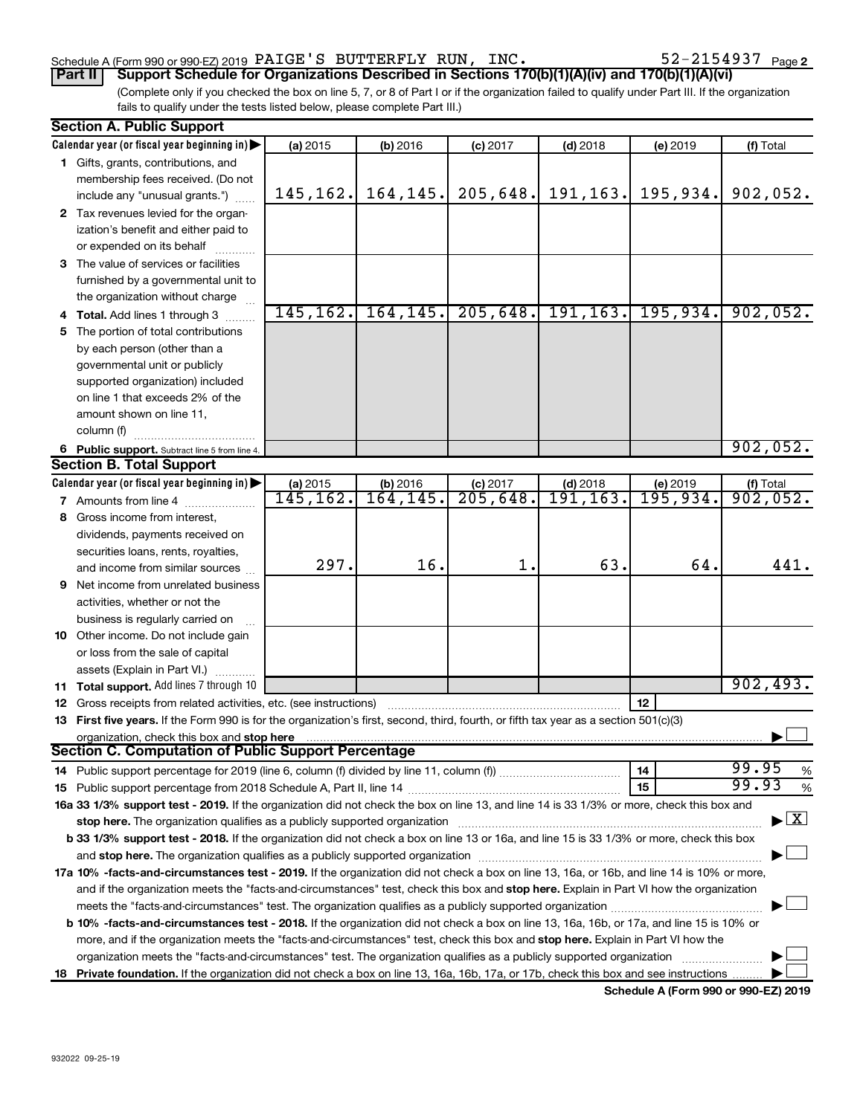# Schedule A (Form 990 or 990-EZ) 2019  $\rm PAIGE$  'S BUTTERFLY RUN, INC.  $\rm 52\text{--}2154937$   $\rm Page$

(Complete only if you checked the box on line 5, 7, or 8 of Part I or if the organization failed to qualify under Part III. If the organization fails to qualify under the tests listed below, please complete Part III.) **Part II Support Schedule for Organizations Described in Sections 170(b)(1)(A)(iv) and 170(b)(1)(A)(vi)**

| <b>Section A. Public Support</b>                                                                                                                                                                                              |           |           |                      |                 |          |                                          |
|-------------------------------------------------------------------------------------------------------------------------------------------------------------------------------------------------------------------------------|-----------|-----------|----------------------|-----------------|----------|------------------------------------------|
| Calendar year (or fiscal year beginning in)                                                                                                                                                                                   | (a) 2015  | (b) 2016  | $(c)$ 2017           | $(d)$ 2018      | (e) 2019 | (f) Total                                |
| 1 Gifts, grants, contributions, and                                                                                                                                                                                           |           |           |                      |                 |          |                                          |
| membership fees received. (Do not                                                                                                                                                                                             |           |           |                      |                 |          |                                          |
| include any "unusual grants.")                                                                                                                                                                                                | 145,162.  | 164, 145. | 205,648.             | 191, 163.       | 195,934. | 902,052.                                 |
| 2 Tax revenues levied for the organ-                                                                                                                                                                                          |           |           |                      |                 |          |                                          |
| ization's benefit and either paid to                                                                                                                                                                                          |           |           |                      |                 |          |                                          |
| or expended on its behalf                                                                                                                                                                                                     |           |           |                      |                 |          |                                          |
| 3 The value of services or facilities                                                                                                                                                                                         |           |           |                      |                 |          |                                          |
| furnished by a governmental unit to                                                                                                                                                                                           |           |           |                      |                 |          |                                          |
| the organization without charge                                                                                                                                                                                               |           |           |                      |                 |          |                                          |
| 4 Total. Add lines 1 through 3                                                                                                                                                                                                | 145, 162. | 164, 145. | 205,648.             | 191, 163.       | 195,934. | 902,052.                                 |
| 5 The portion of total contributions                                                                                                                                                                                          |           |           |                      |                 |          |                                          |
| by each person (other than a                                                                                                                                                                                                  |           |           |                      |                 |          |                                          |
| governmental unit or publicly                                                                                                                                                                                                 |           |           |                      |                 |          |                                          |
| supported organization) included                                                                                                                                                                                              |           |           |                      |                 |          |                                          |
| on line 1 that exceeds 2% of the                                                                                                                                                                                              |           |           |                      |                 |          |                                          |
| amount shown on line 11,                                                                                                                                                                                                      |           |           |                      |                 |          |                                          |
| column (f)                                                                                                                                                                                                                    |           |           |                      |                 |          |                                          |
| 6 Public support. Subtract line 5 from line 4.                                                                                                                                                                                |           |           |                      |                 |          | 902,052.                                 |
| <b>Section B. Total Support</b>                                                                                                                                                                                               |           |           |                      |                 |          |                                          |
| Calendar year (or fiscal year beginning in)                                                                                                                                                                                   | (a) 2015  | (b) 2016  | $(c)$ 2017           | $(d)$ 2018      | (e) 2019 |                                          |
| <b>7</b> Amounts from line 4                                                                                                                                                                                                  | 145, 162. | 164,145.  | $\overline{205,648}$ | <u>191,163.</u> | 195,934. | $(f)$ Total<br>902, 052.                 |
| 8 Gross income from interest,                                                                                                                                                                                                 |           |           |                      |                 |          |                                          |
| dividends, payments received on                                                                                                                                                                                               |           |           |                      |                 |          |                                          |
| securities loans, rents, royalties,                                                                                                                                                                                           |           |           |                      |                 |          |                                          |
| and income from similar sources                                                                                                                                                                                               | 297.      | 16.       | 1.                   | 63.             | 64.      | 441.                                     |
| <b>9</b> Net income from unrelated business                                                                                                                                                                                   |           |           |                      |                 |          |                                          |
| activities, whether or not the                                                                                                                                                                                                |           |           |                      |                 |          |                                          |
| business is regularly carried on                                                                                                                                                                                              |           |           |                      |                 |          |                                          |
| 10 Other income. Do not include gain                                                                                                                                                                                          |           |           |                      |                 |          |                                          |
| or loss from the sale of capital                                                                                                                                                                                              |           |           |                      |                 |          |                                          |
| assets (Explain in Part VI.)                                                                                                                                                                                                  |           |           |                      |                 |          |                                          |
| 11 Total support. Add lines 7 through 10                                                                                                                                                                                      |           |           |                      |                 |          | 902, 493.                                |
| <b>12</b> Gross receipts from related activities, etc. (see instructions)                                                                                                                                                     |           |           |                      |                 | 12       |                                          |
| 13 First five years. If the Form 990 is for the organization's first, second, third, fourth, or fifth tax year as a section 501(c)(3)                                                                                         |           |           |                      |                 |          |                                          |
| organization, check this box and stop here                                                                                                                                                                                    |           |           |                      |                 |          |                                          |
| <b>Section C. Computation of Public Support Percentage</b>                                                                                                                                                                    |           |           |                      |                 |          |                                          |
|                                                                                                                                                                                                                               |           |           |                      |                 | 14       | 99.95<br>%                               |
|                                                                                                                                                                                                                               |           |           |                      |                 | 15       | 99.93<br>$\%$                            |
| 16a 33 1/3% support test - 2019. If the organization did not check the box on line 13, and line 14 is 33 1/3% or more, check this box and                                                                                     |           |           |                      |                 |          |                                          |
| stop here. The organization qualifies as a publicly supported organization manufaction manufacture or manufacture manufacture manufacture manufacture manufacture manufacture manufacture manufacture manufacture manufacture |           |           |                      |                 |          | $\blacktriangleright$ $\boxed{\text{X}}$ |
| b 33 1/3% support test - 2018. If the organization did not check a box on line 13 or 16a, and line 15 is 33 1/3% or more, check this box                                                                                      |           |           |                      |                 |          |                                          |
|                                                                                                                                                                                                                               |           |           |                      |                 |          |                                          |
| 17a 10% -facts-and-circumstances test - 2019. If the organization did not check a box on line 13, 16a, or 16b, and line 14 is 10% or more,                                                                                    |           |           |                      |                 |          |                                          |
| and if the organization meets the "facts-and-circumstances" test, check this box and stop here. Explain in Part VI how the organization                                                                                       |           |           |                      |                 |          |                                          |
|                                                                                                                                                                                                                               |           |           |                      |                 |          |                                          |
| <b>b 10%</b> -facts-and-circumstances test - 2018. If the organization did not check a box on line 13, 16a, 16b, or 17a, and line 15 is 10% or                                                                                |           |           |                      |                 |          |                                          |
| more, and if the organization meets the "facts-and-circumstances" test, check this box and stop here. Explain in Part VI how the                                                                                              |           |           |                      |                 |          |                                          |
| organization meets the "facts-and-circumstances" test. The organization qualifies as a publicly supported organization                                                                                                        |           |           |                      |                 |          |                                          |
| 18 Private foundation. If the organization did not check a box on line 13, 16a, 16b, 17a, or 17b, check this box and see instructions                                                                                         |           |           |                      |                 |          |                                          |
|                                                                                                                                                                                                                               |           |           |                      |                 |          |                                          |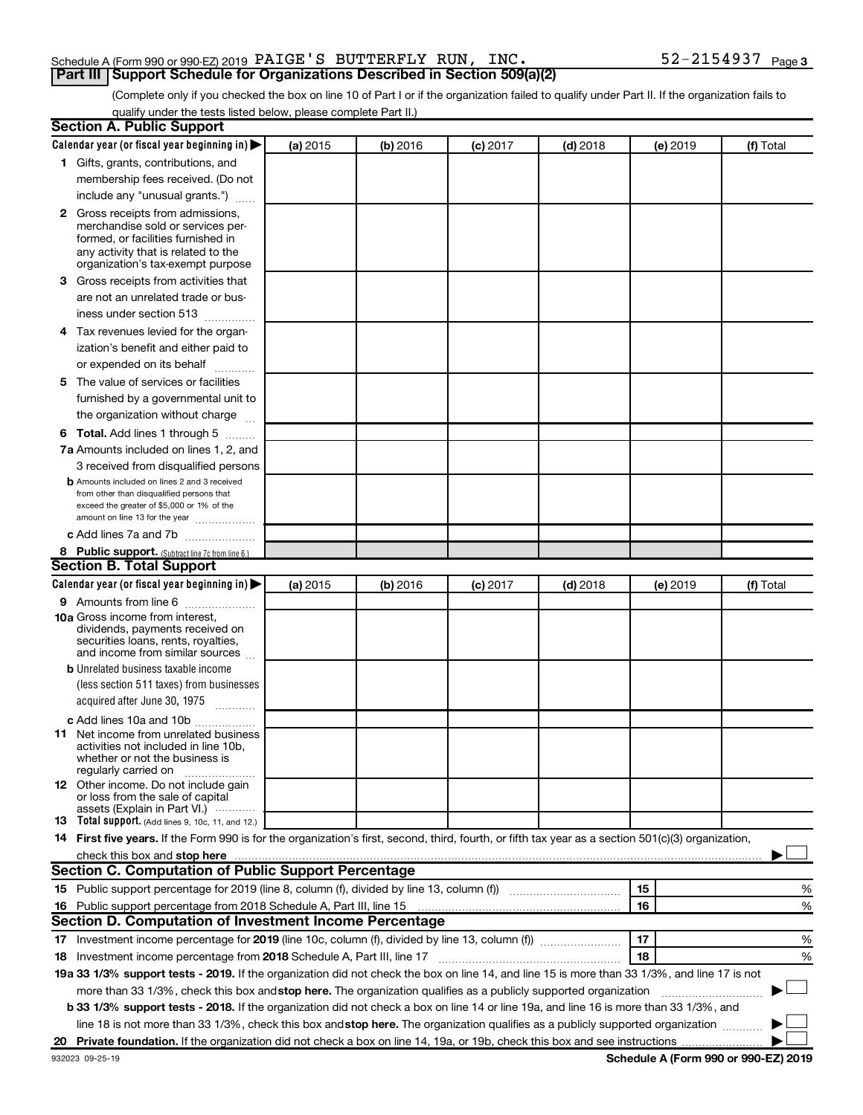# Schedule A (Form 990 or 990-EZ) 2019  $\rm PAIGE$  'S BUTTERFLY RUN, INC.  $\rm 52\text{--}2154937$   $\rm Page$ **Part III Support Schedule for Organizations Described in Section 509(a)(2)**

(Complete only if you checked the box on line 10 of Part I or if the organization failed to qualify under Part II. If the organization fails to qualify under the tests listed below, please complete Part II.)

|    | <b>Section A. Public Support</b>                                                                                                                                                                                               |          |          |            |            |          |                                      |
|----|--------------------------------------------------------------------------------------------------------------------------------------------------------------------------------------------------------------------------------|----------|----------|------------|------------|----------|--------------------------------------|
|    | Calendar year (or fiscal year beginning in)                                                                                                                                                                                    | (a) 2015 | (b) 2016 | $(c)$ 2017 | $(d)$ 2018 | (e) 2019 | (f) Total                            |
|    | 1 Gifts, grants, contributions, and                                                                                                                                                                                            |          |          |            |            |          |                                      |
|    | membership fees received. (Do not                                                                                                                                                                                              |          |          |            |            |          |                                      |
|    | include any "unusual grants.")                                                                                                                                                                                                 |          |          |            |            |          |                                      |
|    | 2 Gross receipts from admissions,<br>merchandise sold or services per-<br>formed, or facilities furnished in<br>any activity that is related to the<br>organization's tax-exempt purpose                                       |          |          |            |            |          |                                      |
|    | 3 Gross receipts from activities that                                                                                                                                                                                          |          |          |            |            |          |                                      |
|    | are not an unrelated trade or bus-<br>iness under section 513                                                                                                                                                                  |          |          |            |            |          |                                      |
|    | 4 Tax revenues levied for the organ-                                                                                                                                                                                           |          |          |            |            |          |                                      |
|    | ization's benefit and either paid to                                                                                                                                                                                           |          |          |            |            |          |                                      |
|    | or expended on its behalf                                                                                                                                                                                                      |          |          |            |            |          |                                      |
|    | 5 The value of services or facilities<br>furnished by a governmental unit to<br>the organization without charge                                                                                                                |          |          |            |            |          |                                      |
|    | <b>6 Total.</b> Add lines 1 through 5                                                                                                                                                                                          |          |          |            |            |          |                                      |
|    | 7a Amounts included on lines 1, 2, and                                                                                                                                                                                         |          |          |            |            |          |                                      |
|    | 3 received from disqualified persons                                                                                                                                                                                           |          |          |            |            |          |                                      |
|    | <b>b</b> Amounts included on lines 2 and 3 received<br>from other than disqualified persons that<br>exceed the greater of \$5,000 or 1% of the<br>amount on line 13 for the year                                               |          |          |            |            |          |                                      |
|    | c Add lines 7a and 7b                                                                                                                                                                                                          |          |          |            |            |          |                                      |
|    | 8 Public support. (Subtract line 7c from line 6.)                                                                                                                                                                              |          |          |            |            |          |                                      |
|    | <b>Section B. Total Support</b>                                                                                                                                                                                                |          |          |            |            |          |                                      |
|    | Calendar year (or fiscal year beginning in) $\blacktriangleright$                                                                                                                                                              | (a) 2015 | (b) 2016 | $(c)$ 2017 | $(d)$ 2018 | (e) 2019 | (f) Total                            |
|    | <b>9</b> Amounts from line 6                                                                                                                                                                                                   |          |          |            |            |          |                                      |
|    | <b>10a</b> Gross income from interest,<br>dividends, payments received on<br>securities loans, rents, royalties,<br>and income from similar sources                                                                            |          |          |            |            |          |                                      |
|    | <b>b</b> Unrelated business taxable income                                                                                                                                                                                     |          |          |            |            |          |                                      |
|    | (less section 511 taxes) from businesses<br>acquired after June 30, 1975<br>$\mathcal{L}$ . The contract of $\mathcal{L}$                                                                                                      |          |          |            |            |          |                                      |
|    | c Add lines 10a and 10b                                                                                                                                                                                                        |          |          |            |            |          |                                      |
|    | <b>11</b> Net income from unrelated business<br>activities not included in line 10b.<br>whether or not the business is<br>regularly carried on                                                                                 |          |          |            |            |          |                                      |
|    | <b>12</b> Other income. Do not include gain<br>or loss from the sale of capital<br>assets (Explain in Part VI.)                                                                                                                |          |          |            |            |          |                                      |
|    | <b>13</b> Total support. (Add lines 9, 10c, 11, and 12.)                                                                                                                                                                       |          |          |            |            |          |                                      |
|    | 14 First five years. If the Form 990 is for the organization's first, second, third, fourth, or fifth tax year as a section 501(c)(3) organization,                                                                            |          |          |            |            |          |                                      |
|    | check this box and stop here Mathematical Communication and stop here Mathematical Communication and stop here Mathematical Communication and Stop here Mathematical Communication and Stop here Mathematical Communication an |          |          |            |            |          |                                      |
|    | <b>Section C. Computation of Public Support Percentage</b>                                                                                                                                                                     |          |          |            |            |          |                                      |
|    |                                                                                                                                                                                                                                |          |          |            |            | 15       | %                                    |
|    | 16 Public support percentage from 2018 Schedule A, Part III, line 15                                                                                                                                                           |          |          |            |            | 16       | %                                    |
|    | Section D. Computation of Investment Income Percentage                                                                                                                                                                         |          |          |            |            |          |                                      |
|    |                                                                                                                                                                                                                                |          |          |            |            | 17       | %                                    |
|    | 18 Investment income percentage from 2018 Schedule A, Part III, line 17                                                                                                                                                        |          |          |            |            | 18       | %                                    |
|    | 19a 33 1/3% support tests - 2019. If the organization did not check the box on line 14, and line 15 is more than 33 1/3%, and line 17 is not                                                                                   |          |          |            |            |          |                                      |
|    | more than 33 1/3%, check this box and stop here. The organization qualifies as a publicly supported organization                                                                                                               |          |          |            |            |          |                                      |
|    | <b>b 33 1/3% support tests - 2018.</b> If the organization did not check a box on line 14 or line 19a, and line 16 is more than 33 1/3%, and                                                                                   |          |          |            |            |          |                                      |
|    | line 18 is not more than 33 1/3%, check this box and stop here. The organization qualifies as a publicly supported organization <i>manner</i>                                                                                  |          |          |            |            |          |                                      |
| 20 |                                                                                                                                                                                                                                |          |          |            |            |          |                                      |
|    | 932023 09-25-19                                                                                                                                                                                                                |          |          |            |            |          | Schedule A (Form 990 or 990-EZ) 2019 |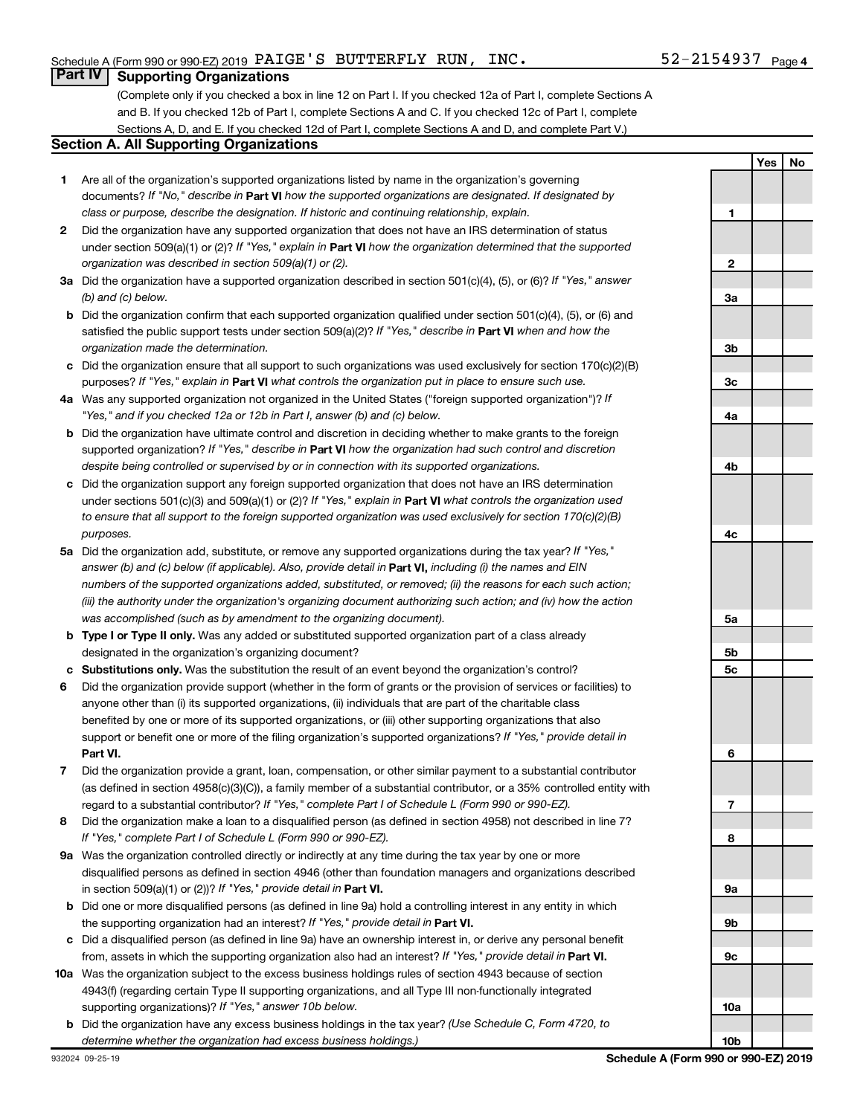# **Part IV Supporting Organizations**

(Complete only if you checked a box in line 12 on Part I. If you checked 12a of Part I, complete Sections A and B. If you checked 12b of Part I, complete Sections A and C. If you checked 12c of Part I, complete Sections A, D, and E. If you checked 12d of Part I, complete Sections A and D, and complete Part V.)

# **Section A. All Supporting Organizations**

- **1** Are all of the organization's supported organizations listed by name in the organization's governing documents? If "No," describe in Part VI how the supported organizations are designated. If designated by *class or purpose, describe the designation. If historic and continuing relationship, explain.*
- **2** Did the organization have any supported organization that does not have an IRS determination of status under section 509(a)(1) or (2)? If "Yes," explain in Part **VI** how the organization determined that the supported *organization was described in section 509(a)(1) or (2).*
- **3a** Did the organization have a supported organization described in section 501(c)(4), (5), or (6)? If "Yes," answer *(b) and (c) below.*
- **b** Did the organization confirm that each supported organization qualified under section 501(c)(4), (5), or (6) and satisfied the public support tests under section 509(a)(2)? If "Yes," describe in Part VI when and how the *organization made the determination.*
- **c** Did the organization ensure that all support to such organizations was used exclusively for section 170(c)(2)(B) purposes? If "Yes," explain in Part VI what controls the organization put in place to ensure such use.
- **4 a** *If* Was any supported organization not organized in the United States ("foreign supported organization")? *"Yes," and if you checked 12a or 12b in Part I, answer (b) and (c) below.*
- **b** Did the organization have ultimate control and discretion in deciding whether to make grants to the foreign supported organization? If "Yes," describe in Part VI how the organization had such control and discretion *despite being controlled or supervised by or in connection with its supported organizations.*
- **c** Did the organization support any foreign supported organization that does not have an IRS determination under sections 501(c)(3) and 509(a)(1) or (2)? If "Yes," explain in Part VI what controls the organization used *to ensure that all support to the foreign supported organization was used exclusively for section 170(c)(2)(B) purposes.*
- **5a** Did the organization add, substitute, or remove any supported organizations during the tax year? If "Yes," answer (b) and (c) below (if applicable). Also, provide detail in **Part VI,** including (i) the names and EIN *numbers of the supported organizations added, substituted, or removed; (ii) the reasons for each such action; (iii) the authority under the organization's organizing document authorizing such action; and (iv) how the action was accomplished (such as by amendment to the organizing document).*
- **b** Type I or Type II only. Was any added or substituted supported organization part of a class already designated in the organization's organizing document?
- **c Substitutions only.**  Was the substitution the result of an event beyond the organization's control?
- **6** Did the organization provide support (whether in the form of grants or the provision of services or facilities) to **Part VI.** support or benefit one or more of the filing organization's supported organizations? If "Yes," provide detail in anyone other than (i) its supported organizations, (ii) individuals that are part of the charitable class benefited by one or more of its supported organizations, or (iii) other supporting organizations that also
- **7** Did the organization provide a grant, loan, compensation, or other similar payment to a substantial contributor regard to a substantial contributor? If "Yes," complete Part I of Schedule L (Form 990 or 990-EZ). (as defined in section 4958(c)(3)(C)), a family member of a substantial contributor, or a 35% controlled entity with
- **8** Did the organization make a loan to a disqualified person (as defined in section 4958) not described in line 7? *If "Yes," complete Part I of Schedule L (Form 990 or 990-EZ).*
- **9 a** Was the organization controlled directly or indirectly at any time during the tax year by one or more in section 509(a)(1) or (2))? If "Yes," provide detail in **Part VI.** disqualified persons as defined in section 4946 (other than foundation managers and organizations described
- **b** Did one or more disqualified persons (as defined in line 9a) hold a controlling interest in any entity in which the supporting organization had an interest? If "Yes," provide detail in Part VI.
- **c** Did a disqualified person (as defined in line 9a) have an ownership interest in, or derive any personal benefit from, assets in which the supporting organization also had an interest? If "Yes," provide detail in Part VI.
- **10 a** Was the organization subject to the excess business holdings rules of section 4943 because of section supporting organizations)? If "Yes," answer 10b below. 4943(f) (regarding certain Type II supporting organizations, and all Type III non-functionally integrated
- **b** Did the organization have any excess business holdings in the tax year? (Use Schedule C, Form 4720, to *determine whether the organization had excess business holdings.)*

**Yes No 1 2 3a 3b 3c 4a 4b 4c 5a 5b 5c 6 7 8 9a 9b 9c 10a 10b**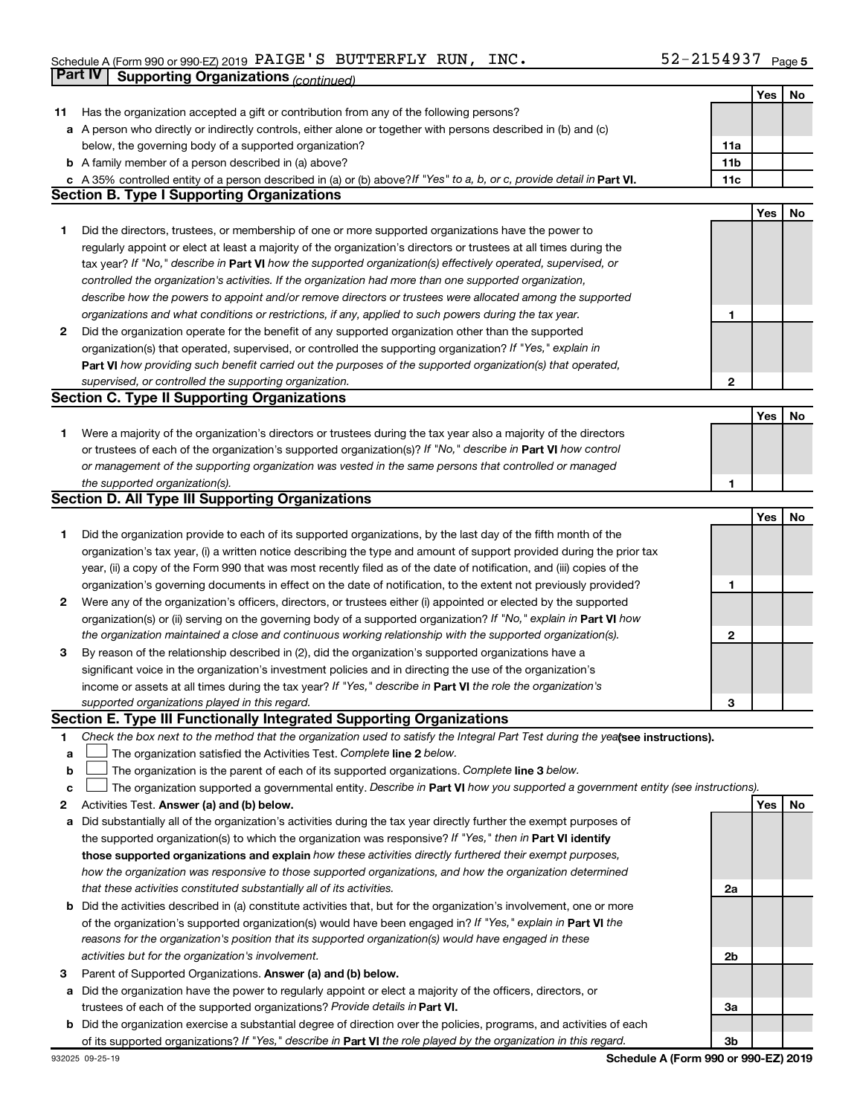#### Schedule A (Form 990 or 990-EZ) 2019 PAIGE S BUTTERFLY RUN, INC .  $52 - 2154937$  Page PAIGE'S BUTTERFLY RUN, INC. 52-2154937

|              | Part IV<br><b>Supporting Organizations (continued)</b>                                                                                                                                                                            |                 |     |    |
|--------------|-----------------------------------------------------------------------------------------------------------------------------------------------------------------------------------------------------------------------------------|-----------------|-----|----|
|              |                                                                                                                                                                                                                                   |                 | Yes | No |
| 11           | Has the organization accepted a gift or contribution from any of the following persons?                                                                                                                                           |                 |     |    |
|              | a A person who directly or indirectly controls, either alone or together with persons described in (b) and (c)                                                                                                                    |                 |     |    |
|              | below, the governing body of a supported organization?                                                                                                                                                                            | 11a             |     |    |
|              | <b>b</b> A family member of a person described in (a) above?                                                                                                                                                                      | 11 <sub>b</sub> |     |    |
|              | c A 35% controlled entity of a person described in (a) or (b) above? If "Yes" to a, b, or c, provide detail in Part VI.                                                                                                           | 11c             |     |    |
|              | <b>Section B. Type I Supporting Organizations</b>                                                                                                                                                                                 |                 |     |    |
|              |                                                                                                                                                                                                                                   |                 | Yes | No |
| 1            | Did the directors, trustees, or membership of one or more supported organizations have the power to                                                                                                                               |                 |     |    |
|              | regularly appoint or elect at least a majority of the organization's directors or trustees at all times during the                                                                                                                |                 |     |    |
|              | tax year? If "No," describe in Part VI how the supported organization(s) effectively operated, supervised, or                                                                                                                     |                 |     |    |
|              | controlled the organization's activities. If the organization had more than one supported organization,                                                                                                                           |                 |     |    |
|              | describe how the powers to appoint and/or remove directors or trustees were allocated among the supported                                                                                                                         |                 |     |    |
|              | organizations and what conditions or restrictions, if any, applied to such powers during the tax year.                                                                                                                            | 1               |     |    |
| 2            | Did the organization operate for the benefit of any supported organization other than the supported                                                                                                                               |                 |     |    |
|              | organization(s) that operated, supervised, or controlled the supporting organization? If "Yes," explain in                                                                                                                        |                 |     |    |
|              | Part VI how providing such benefit carried out the purposes of the supported organization(s) that operated,                                                                                                                       |                 |     |    |
|              | supervised, or controlled the supporting organization.                                                                                                                                                                            | $\mathbf{2}$    |     |    |
|              | <b>Section C. Type II Supporting Organizations</b>                                                                                                                                                                                |                 |     |    |
|              |                                                                                                                                                                                                                                   |                 | Yes | No |
|              |                                                                                                                                                                                                                                   |                 |     |    |
| 1.           | Were a majority of the organization's directors or trustees during the tax year also a majority of the directors<br>or trustees of each of the organization's supported organization(s)? If "No," describe in Part VI how control |                 |     |    |
|              |                                                                                                                                                                                                                                   |                 |     |    |
|              | or management of the supporting organization was vested in the same persons that controlled or managed                                                                                                                            |                 |     |    |
|              | the supported organization(s).<br><b>Section D. All Type III Supporting Organizations</b>                                                                                                                                         | 1               |     |    |
|              |                                                                                                                                                                                                                                   |                 |     |    |
|              |                                                                                                                                                                                                                                   |                 | Yes | No |
| 1            | Did the organization provide to each of its supported organizations, by the last day of the fifth month of the                                                                                                                    |                 |     |    |
|              | organization's tax year, (i) a written notice describing the type and amount of support provided during the prior tax                                                                                                             |                 |     |    |
|              | year, (ii) a copy of the Form 990 that was most recently filed as of the date of notification, and (iii) copies of the                                                                                                            |                 |     |    |
|              | organization's governing documents in effect on the date of notification, to the extent not previously provided?                                                                                                                  | 1               |     |    |
| $\mathbf{2}$ | Were any of the organization's officers, directors, or trustees either (i) appointed or elected by the supported                                                                                                                  |                 |     |    |
|              | organization(s) or (ii) serving on the governing body of a supported organization? If "No," explain in Part VI how                                                                                                                |                 |     |    |
|              | the organization maintained a close and continuous working relationship with the supported organization(s).                                                                                                                       | 2               |     |    |
| 3            | By reason of the relationship described in (2), did the organization's supported organizations have a                                                                                                                             |                 |     |    |
|              | significant voice in the organization's investment policies and in directing the use of the organization's                                                                                                                        |                 |     |    |
|              | income or assets at all times during the tax year? If "Yes," describe in Part VI the role the organization's                                                                                                                      |                 |     |    |
|              | supported organizations played in this regard.                                                                                                                                                                                    | З               |     |    |
|              | Section E. Type III Functionally Integrated Supporting Organizations                                                                                                                                                              |                 |     |    |
| 1            | Check the box next to the method that the organization used to satisfy the Integral Part Test during the yealsee instructions).                                                                                                   |                 |     |    |
| а            | The organization satisfied the Activities Test. Complete line 2 below.                                                                                                                                                            |                 |     |    |
| b            | The organization is the parent of each of its supported organizations. Complete line 3 below.                                                                                                                                     |                 |     |    |
| с            | The organization supported a governmental entity. Describe in Part VI how you supported a government entity (see instructions).                                                                                                   |                 |     |    |
| 2            | Activities Test. Answer (a) and (b) below.                                                                                                                                                                                        |                 | Yes | No |
| а            | Did substantially all of the organization's activities during the tax year directly further the exempt purposes of                                                                                                                |                 |     |    |
|              | the supported organization(s) to which the organization was responsive? If "Yes," then in Part VI identify                                                                                                                        |                 |     |    |
|              | those supported organizations and explain how these activities directly furthered their exempt purposes,                                                                                                                          |                 |     |    |
|              | how the organization was responsive to those supported organizations, and how the organization determined                                                                                                                         |                 |     |    |
|              | that these activities constituted substantially all of its activities.                                                                                                                                                            | 2a              |     |    |
| b            | Did the activities described in (a) constitute activities that, but for the organization's involvement, one or more                                                                                                               |                 |     |    |
|              | of the organization's supported organization(s) would have been engaged in? If "Yes," explain in Part VI the                                                                                                                      |                 |     |    |
|              | reasons for the organization's position that its supported organization(s) would have engaged in these                                                                                                                            |                 |     |    |
|              | activities but for the organization's involvement.                                                                                                                                                                                | 2b              |     |    |
| 3            | Parent of Supported Organizations. Answer (a) and (b) below.                                                                                                                                                                      |                 |     |    |
| а            | Did the organization have the power to regularly appoint or elect a majority of the officers, directors, or                                                                                                                       |                 |     |    |
|              | trustees of each of the supported organizations? Provide details in Part VI.                                                                                                                                                      | За              |     |    |
| b            | Did the organization exercise a substantial degree of direction over the policies, programs, and activities of each                                                                                                               |                 |     |    |
|              | of its supported organizations? If "Yes," describe in Part VI the role played by the organization in this regard.                                                                                                                 | 3b              |     |    |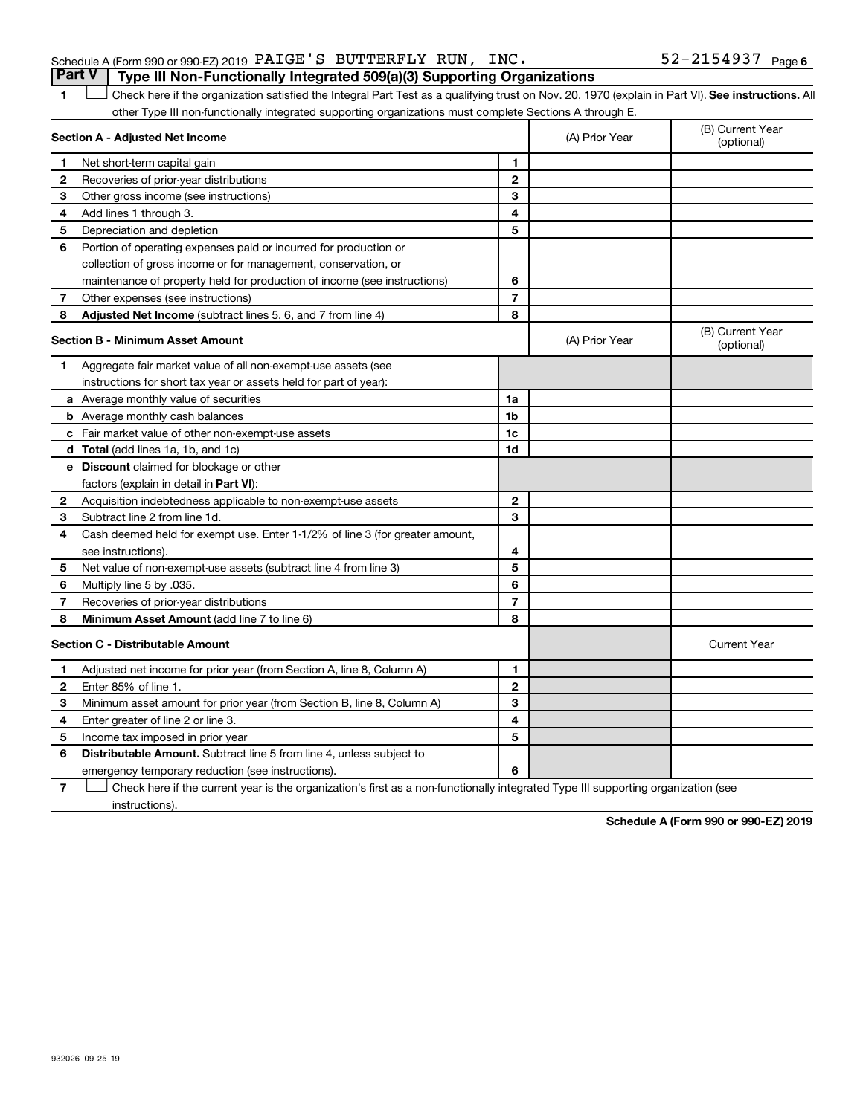| Schedule A (Form 990 or 990-EZ) 2019 $\verb PAIGE'S $ $\verb BUTTERFLY $ $\verb RUN $ , $\verb INC .$ |  |  | $52 - 2154937$ Page 6 |  |
|-------------------------------------------------------------------------------------------------------|--|--|-----------------------|--|
| <b>Part V</b> Type III Non-Functionally Integrated 509(a)(3) Supporting Organizations                 |  |  |                       |  |

1 **Letter See instructions.** All Check here if the organization satisfied the Integral Part Test as a qualifying trust on Nov. 20, 1970 (explain in Part VI). See instructions. All other Type III non-functionally integrated supporting organizations must complete Sections A through E.

|   | Section A - Adjusted Net Income                                              |                | (A) Prior Year | (B) Current Year<br>(optional) |
|---|------------------------------------------------------------------------------|----------------|----------------|--------------------------------|
| 1 | Net short-term capital gain                                                  | 1              |                |                                |
| 2 | Recoveries of prior-year distributions                                       | $\mathbf{2}$   |                |                                |
| 3 | Other gross income (see instructions)                                        | 3              |                |                                |
| 4 | Add lines 1 through 3.                                                       | 4              |                |                                |
| 5 | Depreciation and depletion                                                   | 5              |                |                                |
| 6 | Portion of operating expenses paid or incurred for production or             |                |                |                                |
|   | collection of gross income or for management, conservation, or               |                |                |                                |
|   | maintenance of property held for production of income (see instructions)     | 6              |                |                                |
| 7 | Other expenses (see instructions)                                            | $\overline{7}$ |                |                                |
| 8 | Adjusted Net Income (subtract lines 5, 6, and 7 from line 4)                 | 8              |                |                                |
|   | <b>Section B - Minimum Asset Amount</b>                                      |                | (A) Prior Year | (B) Current Year<br>(optional) |
| 1 | Aggregate fair market value of all non-exempt-use assets (see                |                |                |                                |
|   | instructions for short tax year or assets held for part of year):            |                |                |                                |
|   | a Average monthly value of securities                                        | 1a             |                |                                |
|   | <b>b</b> Average monthly cash balances                                       | 1b             |                |                                |
|   | c Fair market value of other non-exempt-use assets                           | 1c             |                |                                |
|   | <b>d</b> Total (add lines 1a, 1b, and 1c)                                    | 1 <sub>d</sub> |                |                                |
|   | e Discount claimed for blockage or other                                     |                |                |                                |
|   | factors (explain in detail in Part VI):                                      |                |                |                                |
| 2 | Acquisition indebtedness applicable to non-exempt-use assets                 | $\mathbf{2}$   |                |                                |
| 3 | Subtract line 2 from line 1d.                                                | 3              |                |                                |
| 4 | Cash deemed held for exempt use. Enter 1-1/2% of line 3 (for greater amount, |                |                |                                |
|   | see instructions).                                                           | 4              |                |                                |
| 5 | Net value of non-exempt-use assets (subtract line 4 from line 3)             | 5              |                |                                |
| 6 | Multiply line 5 by .035.                                                     | 6              |                |                                |
| 7 | Recoveries of prior-year distributions                                       | $\overline{7}$ |                |                                |
| 8 | <b>Minimum Asset Amount (add line 7 to line 6)</b>                           | 8              |                |                                |
|   | <b>Section C - Distributable Amount</b>                                      |                |                | <b>Current Year</b>            |
| 1 | Adjusted net income for prior year (from Section A, line 8, Column A)        | 1              |                |                                |
| 2 | Enter 85% of line 1.                                                         | $\mathbf{2}$   |                |                                |
| 3 | Minimum asset amount for prior year (from Section B, line 8, Column A)       | 3              |                |                                |
| 4 | Enter greater of line 2 or line 3.                                           | 4              |                |                                |
| 5 | Income tax imposed in prior year                                             | 5              |                |                                |
| 6 | <b>Distributable Amount.</b> Subtract line 5 from line 4, unless subject to  |                |                |                                |
|   | emergency temporary reduction (see instructions).                            | 6              |                |                                |

**7** Check here if the current year is the organization's first as a non-functionally integrated Type III supporting organization (see † instructions).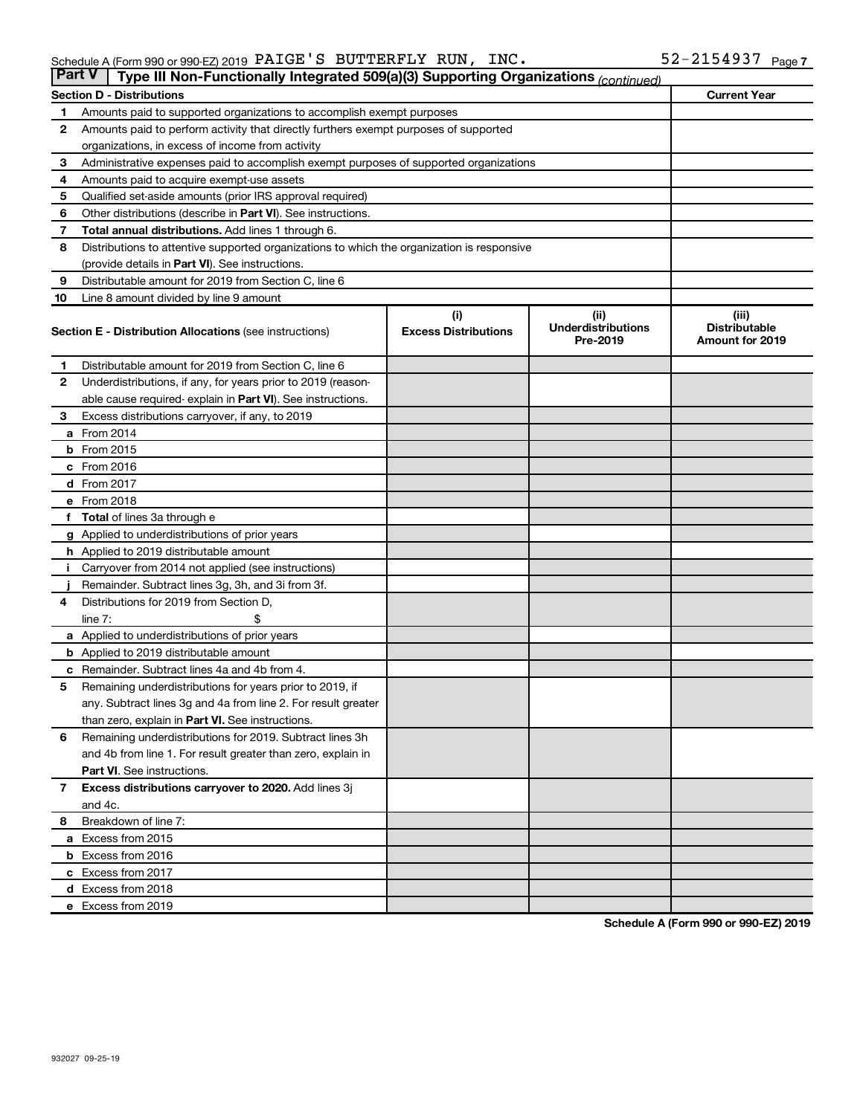| <b>Part V</b> | Type III Non-Functionally Integrated 509(a)(3) Supporting Organizations (continued)        |                                    |                                               |                                                         |  |  |  |  |
|---------------|--------------------------------------------------------------------------------------------|------------------------------------|-----------------------------------------------|---------------------------------------------------------|--|--|--|--|
|               | <b>Current Year</b><br><b>Section D - Distributions</b>                                    |                                    |                                               |                                                         |  |  |  |  |
| 1             | Amounts paid to supported organizations to accomplish exempt purposes                      |                                    |                                               |                                                         |  |  |  |  |
| 2             | Amounts paid to perform activity that directly furthers exempt purposes of supported       |                                    |                                               |                                                         |  |  |  |  |
|               | organizations, in excess of income from activity                                           |                                    |                                               |                                                         |  |  |  |  |
| 3             | Administrative expenses paid to accomplish exempt purposes of supported organizations      |                                    |                                               |                                                         |  |  |  |  |
| 4             | Amounts paid to acquire exempt-use assets                                                  |                                    |                                               |                                                         |  |  |  |  |
| 5             | Qualified set-aside amounts (prior IRS approval required)                                  |                                    |                                               |                                                         |  |  |  |  |
| 6             | Other distributions (describe in Part VI). See instructions.                               |                                    |                                               |                                                         |  |  |  |  |
| 7             | Total annual distributions. Add lines 1 through 6.                                         |                                    |                                               |                                                         |  |  |  |  |
| 8             | Distributions to attentive supported organizations to which the organization is responsive |                                    |                                               |                                                         |  |  |  |  |
|               | (provide details in Part VI). See instructions.                                            |                                    |                                               |                                                         |  |  |  |  |
| 9             | Distributable amount for 2019 from Section C, line 6                                       |                                    |                                               |                                                         |  |  |  |  |
| 10            | Line 8 amount divided by line 9 amount                                                     |                                    |                                               |                                                         |  |  |  |  |
|               | <b>Section E - Distribution Allocations (see instructions)</b>                             | (i)<br><b>Excess Distributions</b> | (ii)<br><b>Underdistributions</b><br>Pre-2019 | (iii)<br><b>Distributable</b><br><b>Amount for 2019</b> |  |  |  |  |
| 1.            | Distributable amount for 2019 from Section C, line 6                                       |                                    |                                               |                                                         |  |  |  |  |
| $\mathbf{2}$  | Underdistributions, if any, for years prior to 2019 (reason-                               |                                    |                                               |                                                         |  |  |  |  |
|               | able cause required- explain in Part VI). See instructions.                                |                                    |                                               |                                                         |  |  |  |  |
| 3             | Excess distributions carryover, if any, to 2019                                            |                                    |                                               |                                                         |  |  |  |  |
|               | a From 2014                                                                                |                                    |                                               |                                                         |  |  |  |  |
|               | <b>b</b> From 2015                                                                         |                                    |                                               |                                                         |  |  |  |  |
|               | c From 2016                                                                                |                                    |                                               |                                                         |  |  |  |  |
|               | d From 2017                                                                                |                                    |                                               |                                                         |  |  |  |  |
|               | e From 2018                                                                                |                                    |                                               |                                                         |  |  |  |  |
|               | f Total of lines 3a through e                                                              |                                    |                                               |                                                         |  |  |  |  |
|               | <b>g</b> Applied to underdistributions of prior years                                      |                                    |                                               |                                                         |  |  |  |  |
|               | <b>h</b> Applied to 2019 distributable amount                                              |                                    |                                               |                                                         |  |  |  |  |
|               | Carryover from 2014 not applied (see instructions)                                         |                                    |                                               |                                                         |  |  |  |  |
|               | Remainder. Subtract lines 3g, 3h, and 3i from 3f.                                          |                                    |                                               |                                                         |  |  |  |  |
| 4             | Distributions for 2019 from Section D,                                                     |                                    |                                               |                                                         |  |  |  |  |
|               | $line 7$ :                                                                                 |                                    |                                               |                                                         |  |  |  |  |
|               | a Applied to underdistributions of prior years                                             |                                    |                                               |                                                         |  |  |  |  |
|               | <b>b</b> Applied to 2019 distributable amount                                              |                                    |                                               |                                                         |  |  |  |  |
| с             | Remainder. Subtract lines 4a and 4b from 4.                                                |                                    |                                               |                                                         |  |  |  |  |
| 5             | Remaining underdistributions for years prior to 2019, if                                   |                                    |                                               |                                                         |  |  |  |  |
|               | any. Subtract lines 3g and 4a from line 2. For result greater                              |                                    |                                               |                                                         |  |  |  |  |
|               | than zero, explain in Part VI. See instructions.                                           |                                    |                                               |                                                         |  |  |  |  |
| 6             | Remaining underdistributions for 2019. Subtract lines 3h                                   |                                    |                                               |                                                         |  |  |  |  |
|               | and 4b from line 1. For result greater than zero, explain in                               |                                    |                                               |                                                         |  |  |  |  |
|               | <b>Part VI.</b> See instructions.                                                          |                                    |                                               |                                                         |  |  |  |  |
| $\mathbf{7}$  | Excess distributions carryover to 2020. Add lines 3j                                       |                                    |                                               |                                                         |  |  |  |  |
|               | and 4c.                                                                                    |                                    |                                               |                                                         |  |  |  |  |
| 8             | Breakdown of line 7:                                                                       |                                    |                                               |                                                         |  |  |  |  |
|               | a Excess from 2015                                                                         |                                    |                                               |                                                         |  |  |  |  |
|               | <b>b</b> Excess from 2016                                                                  |                                    |                                               |                                                         |  |  |  |  |
|               | c Excess from 2017                                                                         |                                    |                                               |                                                         |  |  |  |  |
|               | d Excess from 2018                                                                         |                                    |                                               |                                                         |  |  |  |  |
|               | e Excess from 2019                                                                         |                                    |                                               |                                                         |  |  |  |  |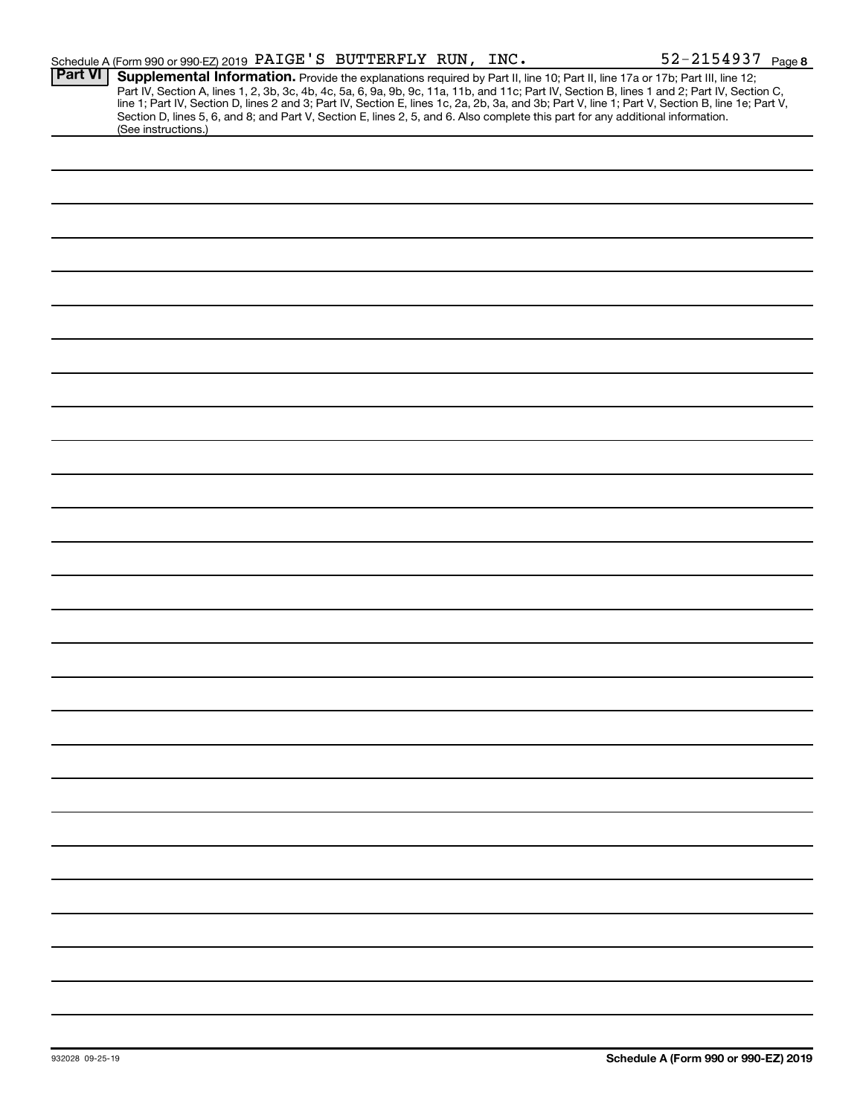|                | Schedule A (Form 990 or 990-EZ) 2019 PAIGE'S BUTTERFLY RUN, INC.                                                                                                                                                                                                                                                                                                                                                                                                                                                            | 52-2154937 Page 8 |
|----------------|-----------------------------------------------------------------------------------------------------------------------------------------------------------------------------------------------------------------------------------------------------------------------------------------------------------------------------------------------------------------------------------------------------------------------------------------------------------------------------------------------------------------------------|-------------------|
| <b>Part VI</b> | Supplemental Information. Provide the explanations required by Part II, line 10; Part II, line 17a or 17b; Part III, line 12;<br>Part IV, Section A, lines 1, 2, 3b, 3c, 4b, 4c, 5a, 6, 9a, 9b, 9c, 11a, 11b, and 11c; Part IV, Section B, lines 1 and 2; Part IV, Section C,<br>line 1; Part IV, Section D, lines 2 and 3; Part IV, Section E, lines 1c, 2a, 2b,<br>Section D, lines 5, 6, and 8; and Part V, Section E, lines 2, 5, and 6. Also complete this part for any additional information.<br>(See instructions.) |                   |
|                |                                                                                                                                                                                                                                                                                                                                                                                                                                                                                                                             |                   |
|                |                                                                                                                                                                                                                                                                                                                                                                                                                                                                                                                             |                   |
|                |                                                                                                                                                                                                                                                                                                                                                                                                                                                                                                                             |                   |
|                |                                                                                                                                                                                                                                                                                                                                                                                                                                                                                                                             |                   |
|                |                                                                                                                                                                                                                                                                                                                                                                                                                                                                                                                             |                   |
|                |                                                                                                                                                                                                                                                                                                                                                                                                                                                                                                                             |                   |
|                |                                                                                                                                                                                                                                                                                                                                                                                                                                                                                                                             |                   |
|                |                                                                                                                                                                                                                                                                                                                                                                                                                                                                                                                             |                   |
|                |                                                                                                                                                                                                                                                                                                                                                                                                                                                                                                                             |                   |
|                |                                                                                                                                                                                                                                                                                                                                                                                                                                                                                                                             |                   |
|                |                                                                                                                                                                                                                                                                                                                                                                                                                                                                                                                             |                   |
|                |                                                                                                                                                                                                                                                                                                                                                                                                                                                                                                                             |                   |
|                |                                                                                                                                                                                                                                                                                                                                                                                                                                                                                                                             |                   |
|                |                                                                                                                                                                                                                                                                                                                                                                                                                                                                                                                             |                   |
|                |                                                                                                                                                                                                                                                                                                                                                                                                                                                                                                                             |                   |
|                |                                                                                                                                                                                                                                                                                                                                                                                                                                                                                                                             |                   |
|                |                                                                                                                                                                                                                                                                                                                                                                                                                                                                                                                             |                   |
|                |                                                                                                                                                                                                                                                                                                                                                                                                                                                                                                                             |                   |
|                |                                                                                                                                                                                                                                                                                                                                                                                                                                                                                                                             |                   |
|                |                                                                                                                                                                                                                                                                                                                                                                                                                                                                                                                             |                   |
|                |                                                                                                                                                                                                                                                                                                                                                                                                                                                                                                                             |                   |
|                |                                                                                                                                                                                                                                                                                                                                                                                                                                                                                                                             |                   |
|                |                                                                                                                                                                                                                                                                                                                                                                                                                                                                                                                             |                   |
|                |                                                                                                                                                                                                                                                                                                                                                                                                                                                                                                                             |                   |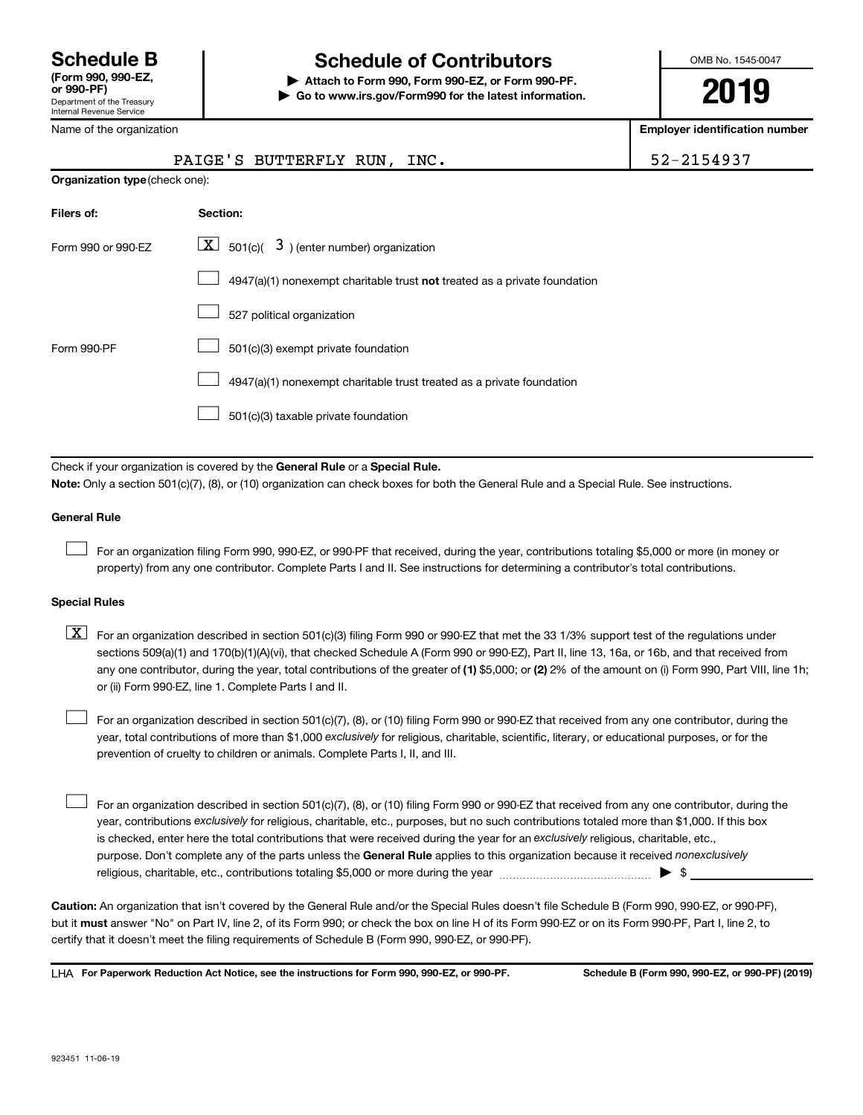# **Schedule B Schedule of Contributors**

**or 990-PF) | Attach to Form 990, Form 990-EZ, or Form 990-PF. | Go to www.irs.gov/Form990 for the latest information.** OMB No. 1545-0047

**2019**

**Employer identification number**

| Name of the organization       | <b>Employer identification number</b>                                                                                                                                                                                                                                                                                                                                                                                                            |            |
|--------------------------------|--------------------------------------------------------------------------------------------------------------------------------------------------------------------------------------------------------------------------------------------------------------------------------------------------------------------------------------------------------------------------------------------------------------------------------------------------|------------|
|                                | PAIGE'S BUTTERFLY RUN, INC.                                                                                                                                                                                                                                                                                                                                                                                                                      | 52-2154937 |
| Organization type (check one): |                                                                                                                                                                                                                                                                                                                                                                                                                                                  |            |
| Filers of:                     | Section:                                                                                                                                                                                                                                                                                                                                                                                                                                         |            |
| Form 990 or 990-EZ             | $\underline{\mathbf{X}}$ 501(c)( $3$ ) (enter number) organization                                                                                                                                                                                                                                                                                                                                                                               |            |
|                                | 4947(a)(1) nonexempt charitable trust not treated as a private foundation                                                                                                                                                                                                                                                                                                                                                                        |            |
|                                | 527 political organization                                                                                                                                                                                                                                                                                                                                                                                                                       |            |
| Form 990-PF                    | 501(c)(3) exempt private foundation                                                                                                                                                                                                                                                                                                                                                                                                              |            |
|                                | 4947(a)(1) nonexempt charitable trust treated as a private foundation                                                                                                                                                                                                                                                                                                                                                                            |            |
|                                | 501(c)(3) taxable private foundation                                                                                                                                                                                                                                                                                                                                                                                                             |            |
|                                | Check if your organization is covered by the General Rule or a Special Rule.<br>Note: Only a section 501(c)(7), (8), or (10) organization can check boxes for both the General Rule and a Special Rule. See instructions.                                                                                                                                                                                                                        |            |
| <b>General Rule</b>            |                                                                                                                                                                                                                                                                                                                                                                                                                                                  |            |
|                                | For an organization filing Form 990, 990-EZ, or 990-PF that received, during the year, contributions totaling \$5,000 or more (in money or<br>property) from any one contributor. Complete Parts I and II. See instructions for determining a contributor's total contributions.                                                                                                                                                                 |            |
| <b>Special Rules</b>           |                                                                                                                                                                                                                                                                                                                                                                                                                                                  |            |
| $\lfloor x \rfloor$            | For an organization described in section 501(c)(3) filing Form 990 or 990-EZ that met the 33 1/3% support test of the regulations under<br>sections 509(a)(1) and 170(b)(1)(A)(vi), that checked Schedule A (Form 990 or 990-EZ), Part II, line 13, 16a, or 16b, and that received from<br>any one contributor, during the year, total contributions of the greater of (1) \$5,000; or (2) 2% of the amount on (i) Form 990, Part VIII, line 1h; |            |

year, total contributions of more than \$1,000 *exclusively* for religious, charitable, scientific, literary, or educational purposes, or for the For an organization described in section 501(c)(7), (8), or (10) filing Form 990 or 990-EZ that received from any one contributor, during the prevention of cruelty to children or animals. Complete Parts I, II, and III.  $\Box$ 

purpose. Don't complete any of the parts unless the General Rule applies to this organization because it received nonexclusively year, contributions exclusively for religious, charitable, etc., purposes, but no such contributions totaled more than \$1,000. If this box is checked, enter here the total contributions that were received during the year for an exclusively religious, charitable, etc., For an organization described in section 501(c)(7), (8), or (10) filing Form 990 or 990-EZ that received from any one contributor, during the religious, charitable, etc., contributions totaling \$5,000 or more during the year  $\ldots$  $\ldots$  $\ldots$  $\ldots$  $\ldots$  $\ldots$  $\Box$ 

**Caution:**  An organization that isn't covered by the General Rule and/or the Special Rules doesn't file Schedule B (Form 990, 990-EZ, or 990-PF),  **must** but it answer "No" on Part IV, line 2, of its Form 990; or check the box on line H of its Form 990-EZ or on its Form 990-PF, Part I, line 2, to certify that it doesn't meet the filing requirements of Schedule B (Form 990, 990-EZ, or 990-PF).

**For Paperwork Reduction Act Notice, see the instructions for Form 990, 990-EZ, or 990-PF. Schedule B (Form 990, 990-EZ, or 990-PF) (2019)** LHA

or (ii) Form 990-EZ, line 1. Complete Parts I and II.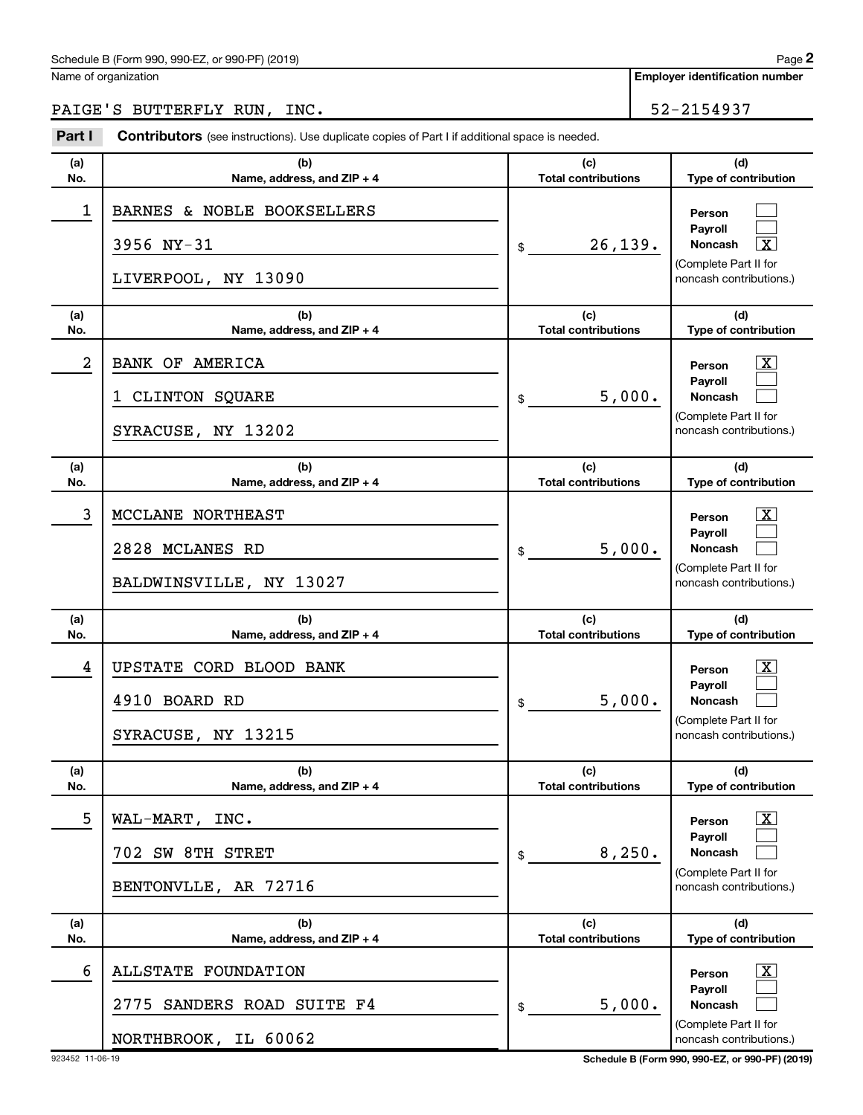### Schedule B (Form 990, 990-EZ, or 990-PF) (2019)

Name of organization

# PAIGE'S BUTTERFLY RUN, INC. The set of the set of the set of the set of the set of the set of the set of the set of the set of the set of the set of the set of the set of the set of the set of the set of the set of the set

**(a) No. (b) Name, address, and ZIP + 4 (c) Total contributions (d) Type of contribution Person Payroll Noncash (a) No. (b) Name, address, and ZIP + 4 (c) Total contributions (d) Type of contribution Person Payroll Noncash (a) No. (b) Name, address, and ZIP + 4 (c) Total contributions (d) Type of contribution Person Payroll Noncash (a) No. (b) Name, address, and ZIP + 4 (c) Total contributions (d) Type of contribution Person Payroll Noncash (a) No. (b) Name, address, and ZIP + 4 (c) Total contributions (d) Type of contribution Person Payroll Noncash (a) No. (b) Name, address, and ZIP + 4 (c) Total contributions (d) Type of contribution Person Payroll Noncash Part I** Contributors (see instructions). Use duplicate copies of Part I if additional space is needed. \$ (Complete Part II for noncash contributions.) \$ (Complete Part II for noncash contributions.) \$ (Complete Part II for noncash contributions.) \$ (Complete Part II for noncash contributions.) \$ (Complete Part II for noncash contributions.) \$ (Complete Part II for noncash contributions.)  $\Box$  $\Box$  $\lceil \texttt{X} \rceil$  $\overline{\mathbf{X}}$  $\Box$  $\Box$  $\lceil \text{X} \rceil$  $\Box$  $\Box$  $\boxed{\textbf{X}}$  $\Box$  $\Box$  $\boxed{\textbf{X}}$  $\Box$  $\Box$  $\boxed{\textbf{X}}$  $\Box$  $\Box$ 1 BARNES & NOBLE BOOKSELLERS 3956 NY-31  $\vert \text{s} \vert$  26,139. LIVERPOOL, NY 13090 2 | BANK OF AMERICA 1 CLINTON SQUARE  $\vert \text{ }_{\text{\$ }}$  5,000. SYRACUSE, NY 13202 3 MCCLANE NORTHEAST X 2828 MCLANES RD  $\frac{1}{3}$  5,000. BALDWINSVILLE, NY 13027 4 UPSTATE CORD BLOOD BANK X 4910 BOARD RD 5,000. SYRACUSE, NY 13215  $5$  | WAL-MART, INC. 702 SW 8TH STRET 8,250. BENTONVLLE, AR 72716 6 ALLSTATE FOUNDATION X 2775 SANDERS ROAD SUITE F4  $\vert \text{\$}$  5,000. NORTHBROOK, IL 60062

923452 11-06-19 **Schedule B (Form 990, 990-EZ, or 990-PF) (2019)**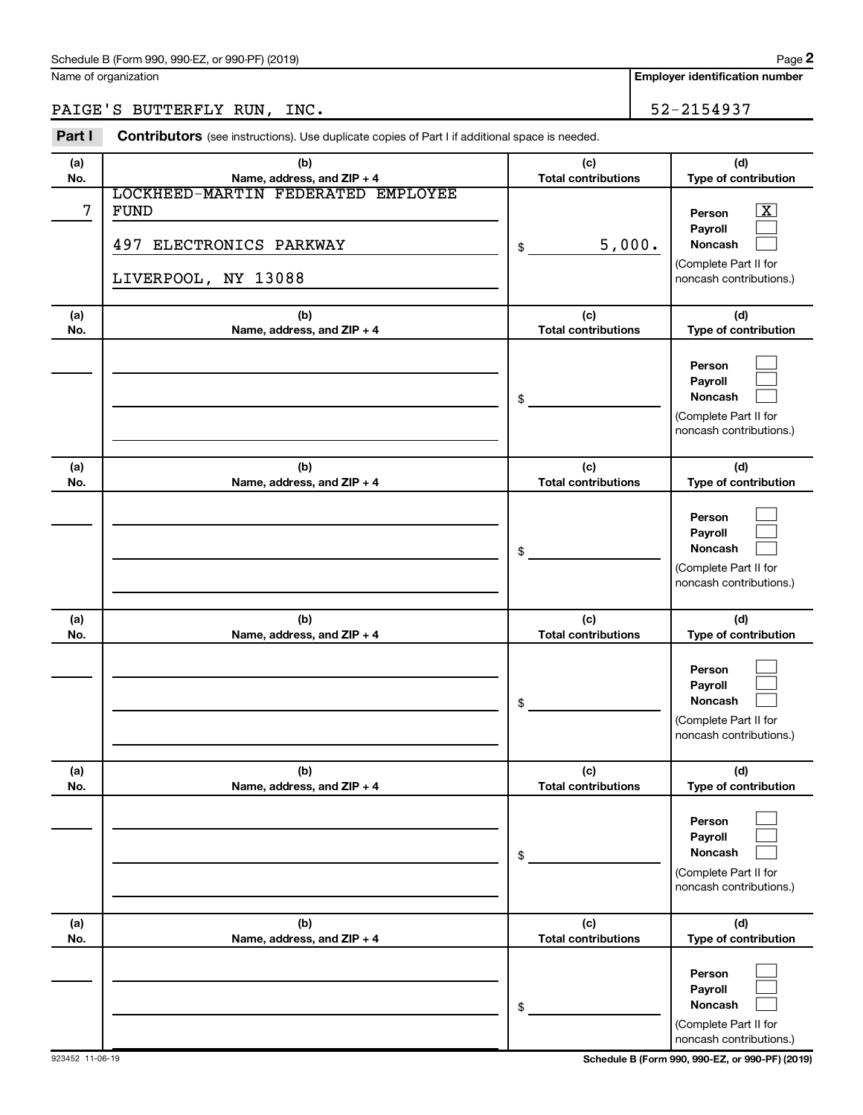Name of organization

**Employer identification number**

# PAIGE'S BUTTERFLY RUN, INC. 52-2154937

| Part I     | Contributors (see instructions). Use duplicate copies of Part I if additional space is needed.      |                                   |                                                                                                                  |  |  |
|------------|-----------------------------------------------------------------------------------------------------|-----------------------------------|------------------------------------------------------------------------------------------------------------------|--|--|
| (a)<br>No. | (b)<br>Name, address, and ZIP + 4                                                                   | (c)<br><b>Total contributions</b> | (d)<br>Type of contribution                                                                                      |  |  |
| 7          | LOCKHEED-MARTIN FEDERATED EMPLOYEE<br><b>FUND</b><br>497 ELECTRONICS PARKWAY<br>LIVERPOOL, NY 13088 | 5,000.<br>\$                      | $\overline{\text{X}}$<br>Person<br>Payroll<br><b>Noncash</b><br>(Complete Part II for<br>noncash contributions.) |  |  |
| (a)<br>No. | (b)<br>Name, address, and ZIP + 4                                                                   | (c)<br><b>Total contributions</b> | (d)<br>Type of contribution                                                                                      |  |  |
|            |                                                                                                     | \$                                | Person<br>Payroll<br><b>Noncash</b><br>(Complete Part II for<br>noncash contributions.)                          |  |  |
| (a)<br>No. | (b)<br>Name, address, and ZIP + 4                                                                   | (c)<br><b>Total contributions</b> | (d)<br>Type of contribution                                                                                      |  |  |
|            |                                                                                                     | \$                                | Person<br>Payroll<br><b>Noncash</b><br>(Complete Part II for<br>noncash contributions.)                          |  |  |
| (a)<br>No. | (b)<br>Name, address, and ZIP + 4                                                                   | (c)<br><b>Total contributions</b> | (d)<br>Type of contribution                                                                                      |  |  |
|            |                                                                                                     | \$                                | Person<br>Payroll<br>Noncash<br>(Complete Part II for<br>noncash contributions.)                                 |  |  |
| (a)<br>No. | (b)<br>Name, address, and ZIP + 4                                                                   | (c)<br><b>Total contributions</b> | (d)<br>Type of contribution                                                                                      |  |  |
|            |                                                                                                     | \$                                | Person<br>Payroll<br><b>Noncash</b><br>(Complete Part II for<br>noncash contributions.)                          |  |  |
| (a)<br>No. | (b)<br>Name, address, and ZIP + 4                                                                   | (c)<br><b>Total contributions</b> | (d)<br>Type of contribution                                                                                      |  |  |
|            |                                                                                                     | \$                                | Person<br>Payroll<br><b>Noncash</b><br>(Complete Part II for<br>noncash contributions.)                          |  |  |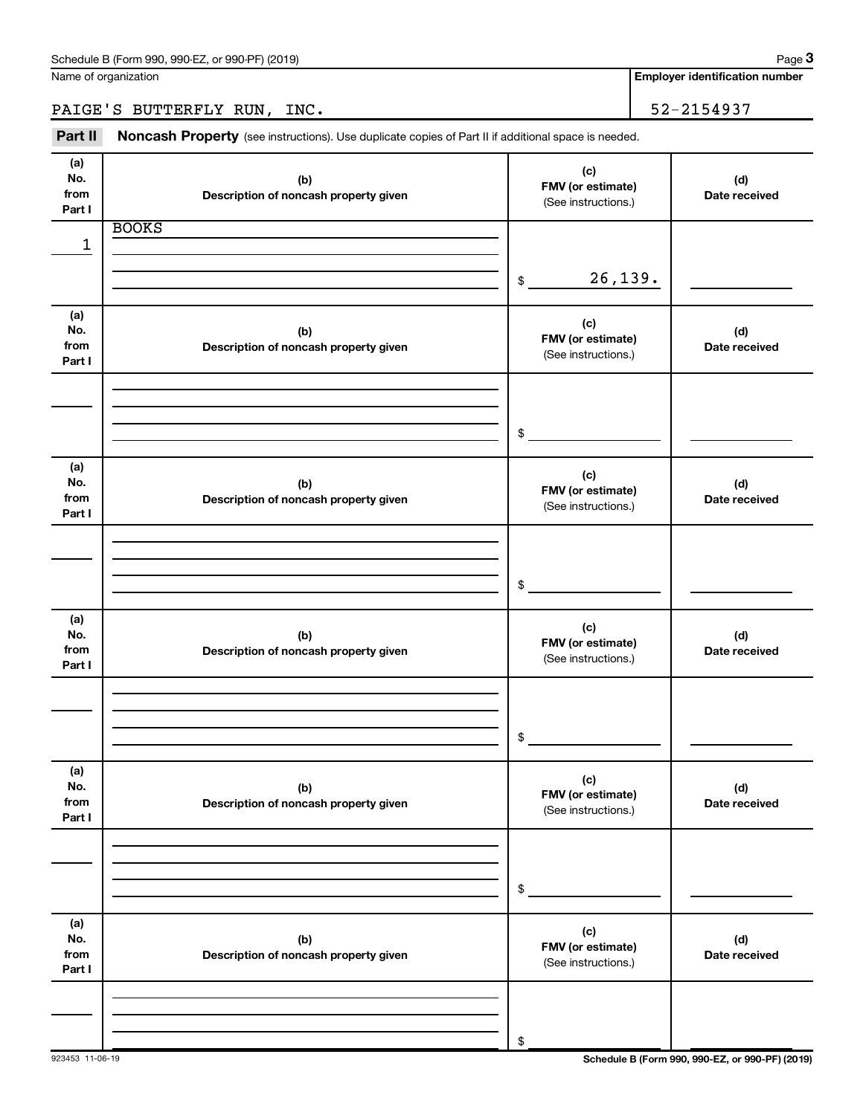PAIGE'S BUTTERFLY RUN, INC. 52-2154937

Part II Noncash Property (see instructions). Use duplicate copies of Part II if additional space is needed.

| (a)<br>No.<br>from           | (b)<br>Description of noncash property given | (c)<br>FMV (or estimate)<br>(See instructions.) | (d)<br>Date received |
|------------------------------|----------------------------------------------|-------------------------------------------------|----------------------|
| Part I                       |                                              |                                                 |                      |
| 1                            | <b>BOOKS</b>                                 |                                                 |                      |
|                              |                                              | 26, 139.<br>$\$\$                               |                      |
| (a)<br>No.<br>from<br>Part I | (b)<br>Description of noncash property given | (c)<br>FMV (or estimate)<br>(See instructions.) | (d)<br>Date received |
|                              |                                              | $$\circ$$                                       |                      |
| (a)<br>No.<br>from<br>Part I | (b)<br>Description of noncash property given | (c)<br>FMV (or estimate)<br>(See instructions.) | (d)<br>Date received |
|                              |                                              | \$                                              |                      |
| (a)<br>No.<br>from<br>Part I | (b)<br>Description of noncash property given | (c)<br>FMV (or estimate)<br>(See instructions.) | (d)<br>Date received |
|                              |                                              | \$                                              |                      |
| (a)<br>No.<br>from<br>Part I | (b)<br>Description of noncash property given | (c)<br>FMV (or estimate)<br>(See instructions.) | (d)<br>Date received |
|                              |                                              | \$                                              |                      |
| (a)<br>No.<br>from<br>Part I | (b)<br>Description of noncash property given | (c)<br>FMV (or estimate)<br>(See instructions.) | (d)<br>Date received |
|                              |                                              | \$                                              |                      |

923453 11-06-19 **Schedule B (Form 990, 990-EZ, or 990-PF) (2019)**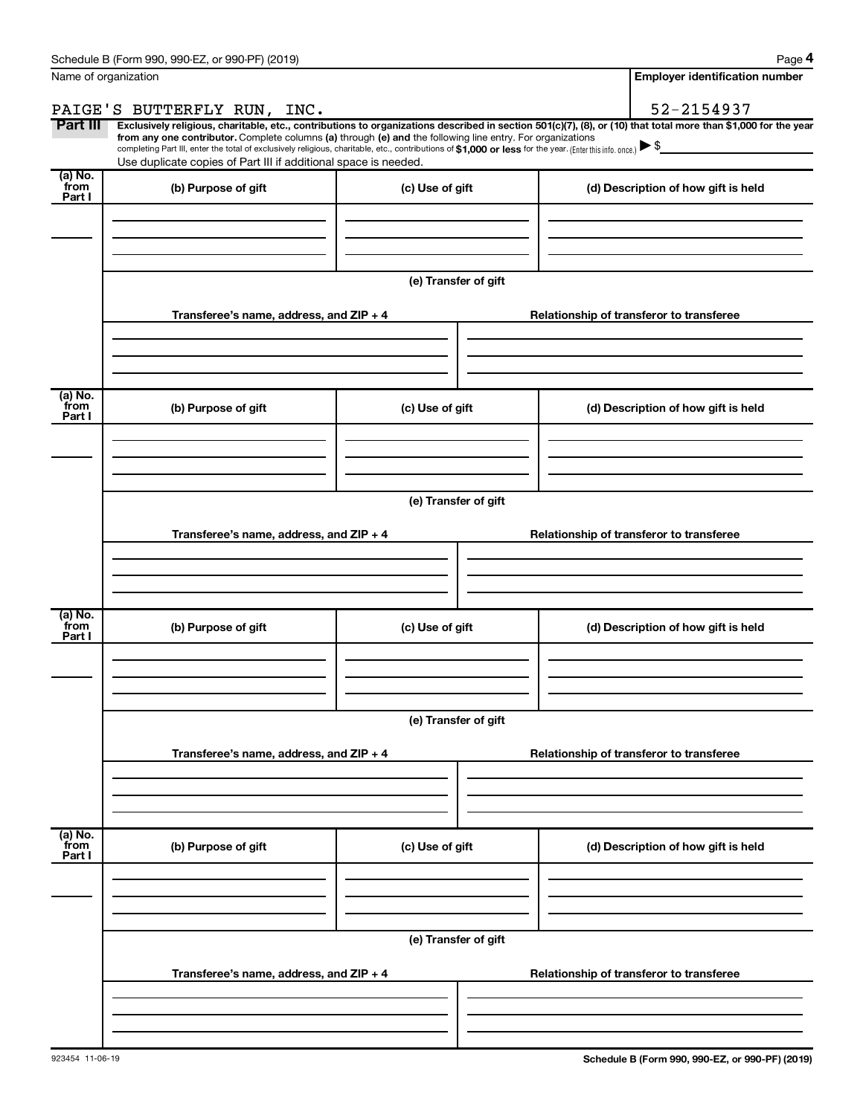| Name of organization      |                                                                                                                                                                                                                                                                                                                                           | <b>Employer identification number</b> |                                                                                                                                                                |  |  |  |
|---------------------------|-------------------------------------------------------------------------------------------------------------------------------------------------------------------------------------------------------------------------------------------------------------------------------------------------------------------------------------------|---------------------------------------|----------------------------------------------------------------------------------------------------------------------------------------------------------------|--|--|--|
|                           | PAIGE'S BUTTERFLY RUN, INC.                                                                                                                                                                                                                                                                                                               |                                       | 52-2154937                                                                                                                                                     |  |  |  |
| Part III                  | from any one contributor. Complete columns (a) through (e) and the following line entry. For organizations<br>completing Part III, enter the total of exclusively religious, charitable, etc., contributions of \$1,000 or less for the year. (Enter this info. once.)<br>Use duplicate copies of Part III if additional space is needed. |                                       | Exclusively religious, charitable, etc., contributions to organizations described in section 501(c)(7), (8), or (10) that total more than \$1,000 for the year |  |  |  |
| (a) No.<br>from<br>Part I | (b) Purpose of gift                                                                                                                                                                                                                                                                                                                       | (c) Use of gift                       | (d) Description of how gift is held                                                                                                                            |  |  |  |
|                           |                                                                                                                                                                                                                                                                                                                                           |                                       |                                                                                                                                                                |  |  |  |
|                           |                                                                                                                                                                                                                                                                                                                                           | (e) Transfer of gift                  |                                                                                                                                                                |  |  |  |
|                           | Transferee's name, address, and ZIP + 4                                                                                                                                                                                                                                                                                                   |                                       | Relationship of transferor to transferee                                                                                                                       |  |  |  |
| (a) No.<br>`from          | (b) Purpose of gift                                                                                                                                                                                                                                                                                                                       | (c) Use of gift                       | (d) Description of how gift is held                                                                                                                            |  |  |  |
| Part I                    |                                                                                                                                                                                                                                                                                                                                           |                                       |                                                                                                                                                                |  |  |  |
|                           |                                                                                                                                                                                                                                                                                                                                           | (e) Transfer of gift                  |                                                                                                                                                                |  |  |  |
|                           | Transferee's name, address, and ZIP + 4                                                                                                                                                                                                                                                                                                   |                                       | Relationship of transferor to transferee                                                                                                                       |  |  |  |
| (a) No.                   |                                                                                                                                                                                                                                                                                                                                           |                                       |                                                                                                                                                                |  |  |  |
| `from<br>Part I           | (b) Purpose of gift                                                                                                                                                                                                                                                                                                                       | (c) Use of gift                       | (d) Description of how gift is held                                                                                                                            |  |  |  |
|                           |                                                                                                                                                                                                                                                                                                                                           |                                       |                                                                                                                                                                |  |  |  |
|                           | Transferee's name, address, and ZIP + 4                                                                                                                                                                                                                                                                                                   | (e) Transfer of gift                  | Relationship of transferor to transferee                                                                                                                       |  |  |  |
|                           |                                                                                                                                                                                                                                                                                                                                           |                                       |                                                                                                                                                                |  |  |  |
| (a) No.<br>from<br>Part I | (b) Purpose of gift                                                                                                                                                                                                                                                                                                                       | (c) Use of gift                       | (d) Description of how gift is held                                                                                                                            |  |  |  |
|                           |                                                                                                                                                                                                                                                                                                                                           |                                       |                                                                                                                                                                |  |  |  |
|                           | (e) Transfer of gift                                                                                                                                                                                                                                                                                                                      |                                       |                                                                                                                                                                |  |  |  |
|                           | Transferee's name, address, and ZIP + 4                                                                                                                                                                                                                                                                                                   |                                       | Relationship of transferor to transferee                                                                                                                       |  |  |  |
|                           |                                                                                                                                                                                                                                                                                                                                           |                                       |                                                                                                                                                                |  |  |  |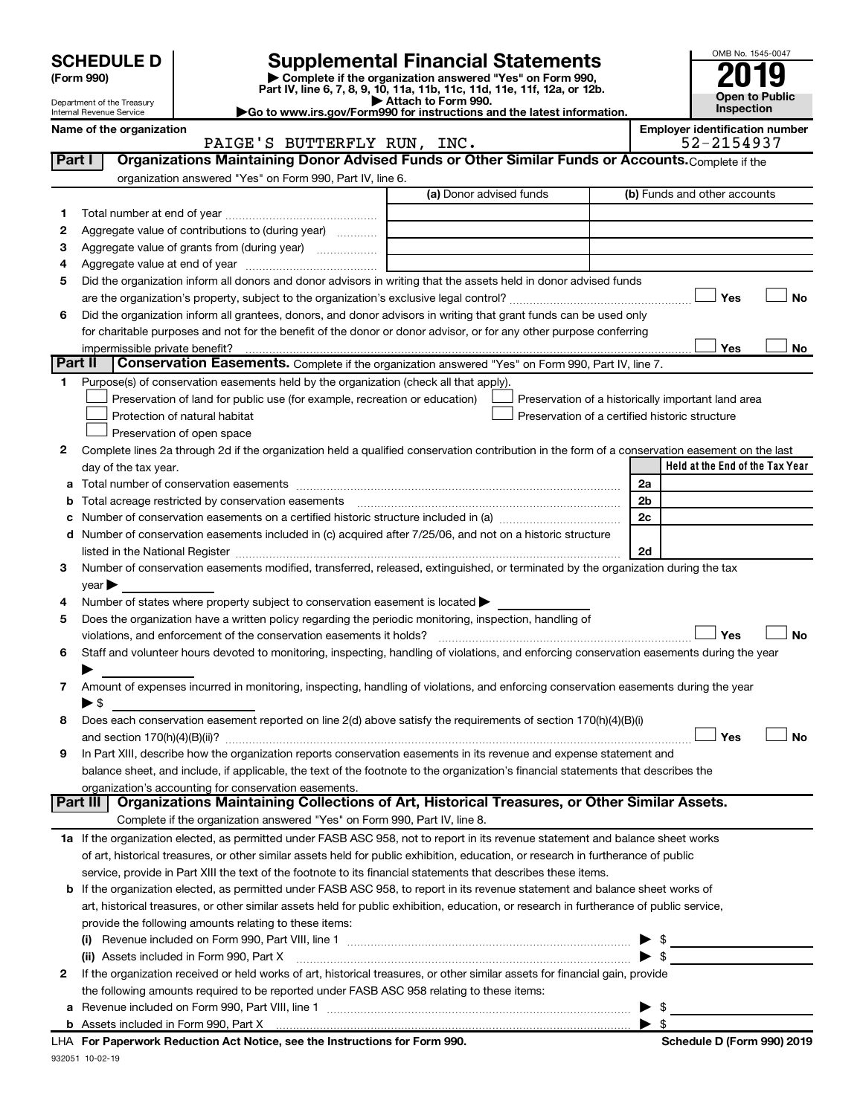|              | <b>SCHEDULE D</b><br>(Form 990)<br>Department of the Treasury<br>Internal Revenue Service |                                                                                                                                                | <b>Supplemental Financial Statements</b><br>Complete if the organization answered "Yes" on Form 990,<br>Part IV, line 6, 7, 8, 9, 10, 11a, 11b, 11c, 11d, 11e, 11f, 12a, or 12b.<br>Attach to Form 990.<br>Go to www.irs.gov/Form990 for instructions and the latest information. | OMB No. 1545-0047<br><b>Open to Public</b><br>Inspection |
|--------------|-------------------------------------------------------------------------------------------|------------------------------------------------------------------------------------------------------------------------------------------------|-----------------------------------------------------------------------------------------------------------------------------------------------------------------------------------------------------------------------------------------------------------------------------------|----------------------------------------------------------|
|              | Name of the organization                                                                  | PAIGE'S BUTTERFLY RUN, INC.                                                                                                                    |                                                                                                                                                                                                                                                                                   | <b>Employer identification number</b><br>52-2154937      |
|              | Part I                                                                                    | Organizations Maintaining Donor Advised Funds or Other Similar Funds or Accounts. Complete if the                                              |                                                                                                                                                                                                                                                                                   |                                                          |
|              |                                                                                           | organization answered "Yes" on Form 990, Part IV, line 6.                                                                                      | (a) Donor advised funds                                                                                                                                                                                                                                                           | (b) Funds and other accounts                             |
|              |                                                                                           |                                                                                                                                                |                                                                                                                                                                                                                                                                                   |                                                          |
|              |                                                                                           |                                                                                                                                                |                                                                                                                                                                                                                                                                                   |                                                          |
| 2            |                                                                                           | Aggregate value of contributions to (during year)                                                                                              |                                                                                                                                                                                                                                                                                   |                                                          |
| 3            |                                                                                           |                                                                                                                                                |                                                                                                                                                                                                                                                                                   |                                                          |
| 4            |                                                                                           |                                                                                                                                                |                                                                                                                                                                                                                                                                                   |                                                          |
| 5            |                                                                                           | Did the organization inform all donors and donor advisors in writing that the assets held in donor advised funds                               |                                                                                                                                                                                                                                                                                   |                                                          |
|              |                                                                                           |                                                                                                                                                |                                                                                                                                                                                                                                                                                   | Yes<br><b>No</b>                                         |
| 6            |                                                                                           | Did the organization inform all grantees, donors, and donor advisors in writing that grant funds can be used only                              |                                                                                                                                                                                                                                                                                   |                                                          |
|              |                                                                                           | for charitable purposes and not for the benefit of the donor or donor advisor, or for any other purpose conferring                             |                                                                                                                                                                                                                                                                                   |                                                          |
|              | impermissible private benefit?                                                            |                                                                                                                                                |                                                                                                                                                                                                                                                                                   | Yes<br><b>No</b>                                         |
|              | Part II                                                                                   | Conservation Easements. Complete if the organization answered "Yes" on Form 990, Part IV, line 7.                                              |                                                                                                                                                                                                                                                                                   |                                                          |
| 1.           |                                                                                           | Purpose(s) of conservation easements held by the organization (check all that apply).                                                          |                                                                                                                                                                                                                                                                                   |                                                          |
|              |                                                                                           | Preservation of land for public use (for example, recreation or education)                                                                     |                                                                                                                                                                                                                                                                                   | Preservation of a historically important land area       |
|              |                                                                                           | Protection of natural habitat                                                                                                                  |                                                                                                                                                                                                                                                                                   | Preservation of a certified historic structure           |
|              |                                                                                           | Preservation of open space                                                                                                                     |                                                                                                                                                                                                                                                                                   |                                                          |
| $\mathbf{2}$ |                                                                                           | Complete lines 2a through 2d if the organization held a qualified conservation contribution in the form of a conservation easement on the last |                                                                                                                                                                                                                                                                                   |                                                          |
|              | day of the tax year.                                                                      |                                                                                                                                                |                                                                                                                                                                                                                                                                                   | Held at the End of the Tax Year                          |

|   | uay vi tiiv tan yvai.                                                                                                                                                                                                         |                         |  |  |  |  |
|---|-------------------------------------------------------------------------------------------------------------------------------------------------------------------------------------------------------------------------------|-------------------------|--|--|--|--|
| a |                                                                                                                                                                                                                               | 2a                      |  |  |  |  |
| b | Total acreage restricted by conservation easements                                                                                                                                                                            | 2 <sub>b</sub>          |  |  |  |  |
|   | c Number of conservation easements on a certified historic structure included in (a) manufacture included in (a)                                                                                                              | 2c                      |  |  |  |  |
|   | d Number of conservation easements included in (c) acquired after 7/25/06, and not on a historic structure                                                                                                                    |                         |  |  |  |  |
|   | listed in the National Register [111] Marshall Register [11] Marshall Register [11] Marshall Register [11] Marshall Register [11] Marshall Register [11] Marshall Register [11] Marshall Register [11] Marshall Register [11] | 2d                      |  |  |  |  |
| З | Number of conservation easements modified, transferred, released, extinguished, or terminated by the organization during the tax                                                                                              |                         |  |  |  |  |
|   | $\vee$ ear $\blacktriangleright$                                                                                                                                                                                              |                         |  |  |  |  |
| 4 | Number of states where property subject to conservation easement is located >                                                                                                                                                 |                         |  |  |  |  |
| 5 | Does the organization have a written policy regarding the periodic monitoring, inspection, handling of                                                                                                                        |                         |  |  |  |  |
|   | violations, and enforcement of the conservation easements it holds?                                                                                                                                                           | Yes<br><b>No</b>        |  |  |  |  |
| 6 | Staff and volunteer hours devoted to monitoring, inspecting, handling of violations, and enforcing conservation easements during the year                                                                                     |                         |  |  |  |  |
|   |                                                                                                                                                                                                                               |                         |  |  |  |  |
| 7 | Amount of expenses incurred in monitoring, inspecting, handling of violations, and enforcing conservation easements during the year                                                                                           |                         |  |  |  |  |
|   | $\blacktriangleright$ \$                                                                                                                                                                                                      |                         |  |  |  |  |
| 8 | Does each conservation easement reported on line 2(d) above satisfy the requirements of section 170(h)(4)(B)(i)                                                                                                               |                         |  |  |  |  |
|   |                                                                                                                                                                                                                               | Yes<br><b>No</b>        |  |  |  |  |
| 9 | In Part XIII, describe how the organization reports conservation easements in its revenue and expense statement and                                                                                                           |                         |  |  |  |  |
|   | balance sheet, and include, if applicable, the text of the footnote to the organization's financial statements that describes the                                                                                             |                         |  |  |  |  |
|   | organization's accounting for conservation easements.                                                                                                                                                                         |                         |  |  |  |  |
|   | Organizations Maintaining Collections of Art, Historical Treasures, or Other Similar Assets.<br>Part III                                                                                                                      |                         |  |  |  |  |
|   | Complete if the organization answered "Yes" on Form 990, Part IV, line 8.                                                                                                                                                     |                         |  |  |  |  |
|   | 1a If the organization elected, as permitted under FASB ASC 958, not to report in its revenue statement and balance sheet works                                                                                               |                         |  |  |  |  |
|   | of art, historical treasures, or other similar assets held for public exhibition, education, or research in furtherance of public                                                                                             |                         |  |  |  |  |
|   | service, provide in Part XIII the text of the footnote to its financial statements that describes these items.                                                                                                                |                         |  |  |  |  |
|   | <b>b</b> If the organization elected, as permitted under FASB ASC 958, to report in its revenue statement and balance sheet works of                                                                                          |                         |  |  |  |  |
|   | art, historical treasures, or other similar assets held for public exhibition, education, or research in furtherance of public service,                                                                                       |                         |  |  |  |  |
|   | provide the following amounts relating to these items:                                                                                                                                                                        |                         |  |  |  |  |
|   |                                                                                                                                                                                                                               |                         |  |  |  |  |
|   | (ii) Assets included in Form 990, Part X [11] Marson Martin Marson Marson Marson Marson Marson Marson Marson M                                                                                                                |                         |  |  |  |  |
| 2 | If the organization received or held works of art, historical treasures, or other similar assets for financial gain, provide                                                                                                  |                         |  |  |  |  |
|   | the following amounts required to be reported under FASB ASC 958 relating to these items:                                                                                                                                     |                         |  |  |  |  |
|   |                                                                                                                                                                                                                               | $\blacktriangleright$ s |  |  |  |  |
|   |                                                                                                                                                                                                                               | $\blacktriangleright$ s |  |  |  |  |

932051 10-02-19 **For Paperwork Reduction Act Notice, see the Instructions for Form 990. Schedule D (Form 990) 2019** LHA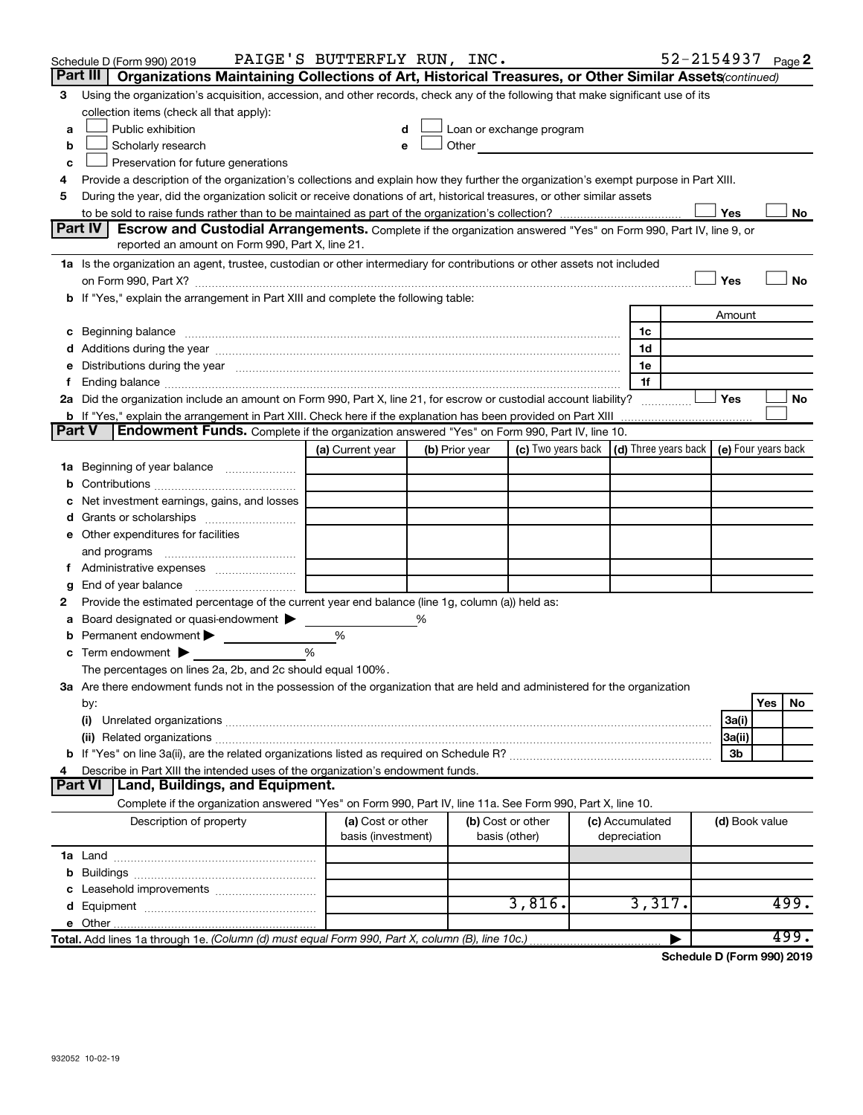|        | Schedule D (Form 990) 2019                                                                                                                                                                                                     | PAIGE'S BUTTERFLY RUN, INC.             |                |                                                                                                                                                                                                                               |                                                                             |                                 |  |                | 52-2154937 Page 2 |  |
|--------|--------------------------------------------------------------------------------------------------------------------------------------------------------------------------------------------------------------------------------|-----------------------------------------|----------------|-------------------------------------------------------------------------------------------------------------------------------------------------------------------------------------------------------------------------------|-----------------------------------------------------------------------------|---------------------------------|--|----------------|-------------------|--|
|        | Part III   Organizations Maintaining Collections of Art, Historical Treasures, or Other Similar Assets (continued)                                                                                                             |                                         |                |                                                                                                                                                                                                                               |                                                                             |                                 |  |                |                   |  |
| 3      | Using the organization's acquisition, accession, and other records, check any of the following that make significant use of its                                                                                                |                                         |                |                                                                                                                                                                                                                               |                                                                             |                                 |  |                |                   |  |
|        | collection items (check all that apply):                                                                                                                                                                                       |                                         |                |                                                                                                                                                                                                                               |                                                                             |                                 |  |                |                   |  |
| a      | Public exhibition                                                                                                                                                                                                              | d                                       |                | Loan or exchange program                                                                                                                                                                                                      |                                                                             |                                 |  |                |                   |  |
| b      | Scholarly research                                                                                                                                                                                                             | e                                       |                | Other and the contract of the contract of the contract of the contract of the contract of the contract of the contract of the contract of the contract of the contract of the contract of the contract of the contract of the |                                                                             |                                 |  |                |                   |  |
| c      | Preservation for future generations                                                                                                                                                                                            |                                         |                |                                                                                                                                                                                                                               |                                                                             |                                 |  |                |                   |  |
| 4      | Provide a description of the organization's collections and explain how they further the organization's exempt purpose in Part XIII.                                                                                           |                                         |                |                                                                                                                                                                                                                               |                                                                             |                                 |  |                |                   |  |
| 5      | During the year, did the organization solicit or receive donations of art, historical treasures, or other similar assets                                                                                                       |                                         |                |                                                                                                                                                                                                                               |                                                                             |                                 |  |                |                   |  |
|        | Yes<br>No<br>Part IV<br>Escrow and Custodial Arrangements. Complete if the organization answered "Yes" on Form 990, Part IV, line 9, or                                                                                        |                                         |                |                                                                                                                                                                                                                               |                                                                             |                                 |  |                |                   |  |
|        | reported an amount on Form 990, Part X, line 21.                                                                                                                                                                               |                                         |                |                                                                                                                                                                                                                               |                                                                             |                                 |  |                |                   |  |
|        | 1a Is the organization an agent, trustee, custodian or other intermediary for contributions or other assets not included                                                                                                       |                                         |                |                                                                                                                                                                                                                               |                                                                             |                                 |  |                |                   |  |
|        |                                                                                                                                                                                                                                |                                         |                |                                                                                                                                                                                                                               |                                                                             |                                 |  | Yes            | No                |  |
|        | b If "Yes," explain the arrangement in Part XIII and complete the following table:                                                                                                                                             |                                         |                |                                                                                                                                                                                                                               |                                                                             |                                 |  |                |                   |  |
|        |                                                                                                                                                                                                                                |                                         |                |                                                                                                                                                                                                                               |                                                                             |                                 |  | Amount         |                   |  |
|        | c Beginning balance measurements and the contract of Beginning balance measurements are all the contract of the contract of the contract of the contract of the contract of the contract of the contract of the contract of th |                                         |                |                                                                                                                                                                                                                               |                                                                             | 1c                              |  |                |                   |  |
|        |                                                                                                                                                                                                                                |                                         |                |                                                                                                                                                                                                                               |                                                                             | 1d                              |  |                |                   |  |
|        | e Distributions during the year manufactured and continuum control of the control of the control of the state of the control of the control of the control of the control of the control of the control of the control of the  |                                         |                |                                                                                                                                                                                                                               |                                                                             | 1e                              |  |                |                   |  |
| f.     |                                                                                                                                                                                                                                |                                         |                |                                                                                                                                                                                                                               |                                                                             | 1f                              |  |                |                   |  |
|        | 2a Did the organization include an amount on Form 990, Part X, line 21, for escrow or custodial account liability?                                                                                                             |                                         |                |                                                                                                                                                                                                                               |                                                                             |                                 |  | <b>Yes</b>     | No                |  |
|        |                                                                                                                                                                                                                                |                                         |                |                                                                                                                                                                                                                               |                                                                             |                                 |  |                |                   |  |
| Part V | Endowment Funds. Complete if the organization answered "Yes" on Form 990, Part IV, line 10.                                                                                                                                    |                                         |                |                                                                                                                                                                                                                               |                                                                             |                                 |  |                |                   |  |
|        |                                                                                                                                                                                                                                | (a) Current year                        | (b) Prior year |                                                                                                                                                                                                                               | (c) Two years back $\vert$ (d) Three years back $\vert$ (e) Four years back |                                 |  |                |                   |  |
|        | 1a Beginning of year balance                                                                                                                                                                                                   |                                         |                |                                                                                                                                                                                                                               |                                                                             |                                 |  |                |                   |  |
|        |                                                                                                                                                                                                                                |                                         |                |                                                                                                                                                                                                                               |                                                                             |                                 |  |                |                   |  |
|        | c Net investment earnings, gains, and losses                                                                                                                                                                                   |                                         |                |                                                                                                                                                                                                                               |                                                                             |                                 |  |                |                   |  |
|        |                                                                                                                                                                                                                                |                                         |                |                                                                                                                                                                                                                               |                                                                             |                                 |  |                |                   |  |
|        | e Other expenditures for facilities                                                                                                                                                                                            |                                         |                |                                                                                                                                                                                                                               |                                                                             |                                 |  |                |                   |  |
|        | and programs                                                                                                                                                                                                                   |                                         |                |                                                                                                                                                                                                                               |                                                                             |                                 |  |                |                   |  |
|        |                                                                                                                                                                                                                                |                                         |                |                                                                                                                                                                                                                               |                                                                             |                                 |  |                |                   |  |
| g      | End of year balance <i>manually contained</i>                                                                                                                                                                                  |                                         |                |                                                                                                                                                                                                                               |                                                                             |                                 |  |                |                   |  |
| 2      | Provide the estimated percentage of the current year end balance (line 1g, column (a)) held as:                                                                                                                                |                                         |                |                                                                                                                                                                                                                               |                                                                             |                                 |  |                |                   |  |
| а      | Board designated or quasi-endowment >                                                                                                                                                                                          |                                         | %              |                                                                                                                                                                                                                               |                                                                             |                                 |  |                |                   |  |
| b      | Permanent endowment                                                                                                                                                                                                            | $\%$<br>%                               |                |                                                                                                                                                                                                                               |                                                                             |                                 |  |                |                   |  |
|        | <b>c</b> Term endowment $\blacktriangleright$                                                                                                                                                                                  |                                         |                |                                                                                                                                                                                                                               |                                                                             |                                 |  |                |                   |  |
|        | The percentages on lines 2a, 2b, and 2c should equal 100%.<br>3a Are there endowment funds not in the possession of the organization that are held and administered for the organization                                       |                                         |                |                                                                                                                                                                                                                               |                                                                             |                                 |  |                |                   |  |
|        | by:                                                                                                                                                                                                                            |                                         |                |                                                                                                                                                                                                                               |                                                                             |                                 |  |                | No<br>Yes         |  |
|        | (i)                                                                                                                                                                                                                            |                                         |                |                                                                                                                                                                                                                               |                                                                             |                                 |  | 3a(i)          |                   |  |
|        |                                                                                                                                                                                                                                |                                         |                |                                                                                                                                                                                                                               |                                                                             |                                 |  | 3a(ii)         |                   |  |
|        |                                                                                                                                                                                                                                |                                         |                |                                                                                                                                                                                                                               |                                                                             |                                 |  | 3b             |                   |  |
| 4      | Describe in Part XIII the intended uses of the organization's endowment funds.                                                                                                                                                 |                                         |                |                                                                                                                                                                                                                               |                                                                             |                                 |  |                |                   |  |
|        | Land, Buildings, and Equipment.<br><b>Part VI</b>                                                                                                                                                                              |                                         |                |                                                                                                                                                                                                                               |                                                                             |                                 |  |                |                   |  |
|        | Complete if the organization answered "Yes" on Form 990, Part IV, line 11a. See Form 990, Part X, line 10.                                                                                                                     |                                         |                |                                                                                                                                                                                                                               |                                                                             |                                 |  |                |                   |  |
|        | Description of property                                                                                                                                                                                                        | (a) Cost or other<br>basis (investment) |                | (b) Cost or other<br>basis (other)                                                                                                                                                                                            |                                                                             | (c) Accumulated<br>depreciation |  | (d) Book value |                   |  |
|        |                                                                                                                                                                                                                                |                                         |                |                                                                                                                                                                                                                               |                                                                             |                                 |  |                |                   |  |
|        |                                                                                                                                                                                                                                |                                         |                |                                                                                                                                                                                                                               |                                                                             |                                 |  |                |                   |  |
|        |                                                                                                                                                                                                                                |                                         |                |                                                                                                                                                                                                                               |                                                                             |                                 |  |                |                   |  |
|        |                                                                                                                                                                                                                                |                                         |                | 3,816.                                                                                                                                                                                                                        |                                                                             | 3,317.                          |  |                | 499.              |  |
|        |                                                                                                                                                                                                                                |                                         |                |                                                                                                                                                                                                                               |                                                                             |                                 |  |                |                   |  |
|        | Total. Add lines 1a through 1e. (Column (d) must equal Form 990, Part X, column (B), line 10c.)                                                                                                                                |                                         |                |                                                                                                                                                                                                                               |                                                                             |                                 |  |                | 499.              |  |

**Schedule D (Form 990) 2019**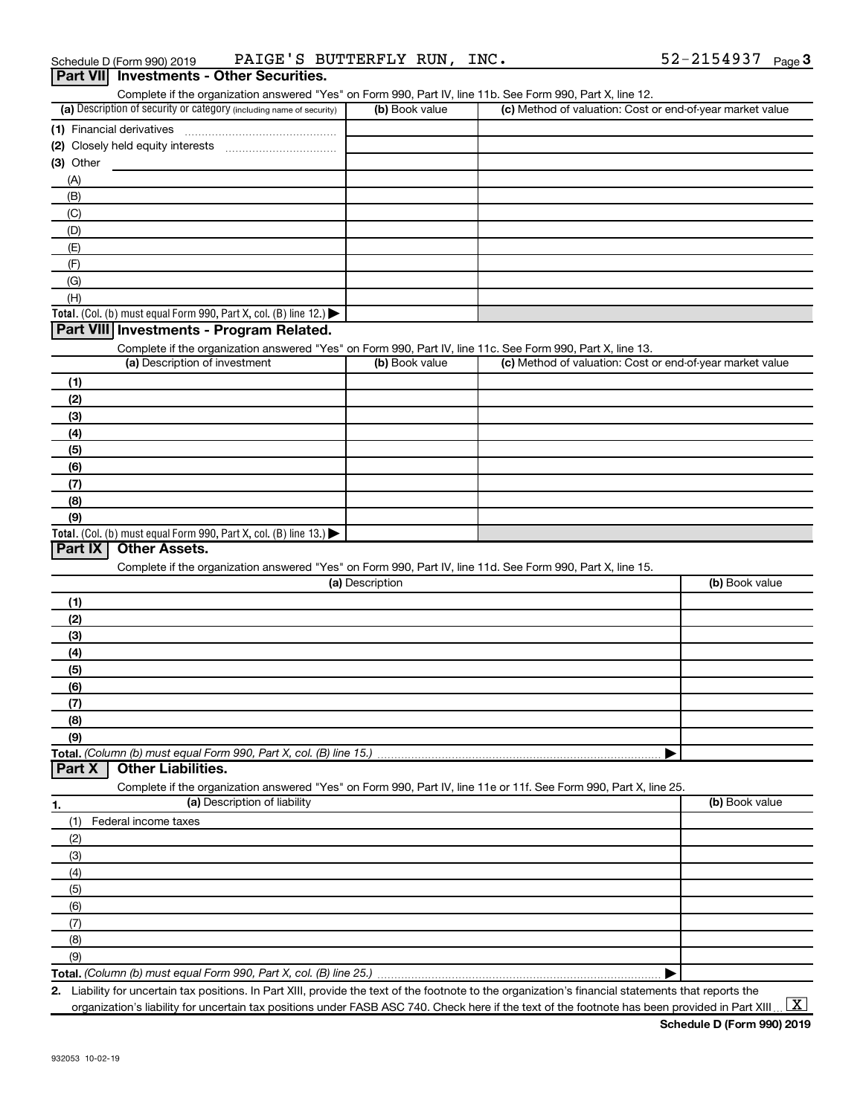| Schedule D (Form 990) 2019                      | PAIGE'S BUTTERFLY RUN, INC. |  | 52-2154937 $_{Page}$ 3 |  |
|-------------------------------------------------|-----------------------------|--|------------------------|--|
| <b>Part VII</b> Investments - Other Securities. |                             |  |                        |  |

|                                                                                                                   |                 | Complete if the organization answered "Yes" on Form 990, Part IV, line 11b. See Form 990, Part X, line 12. |                |
|-------------------------------------------------------------------------------------------------------------------|-----------------|------------------------------------------------------------------------------------------------------------|----------------|
| (a) Description of security or category (including name of security)                                              | (b) Book value  | (c) Method of valuation: Cost or end-of-year market value                                                  |                |
|                                                                                                                   |                 |                                                                                                            |                |
|                                                                                                                   |                 |                                                                                                            |                |
| (3) Other                                                                                                         |                 |                                                                                                            |                |
| (A)                                                                                                               |                 |                                                                                                            |                |
|                                                                                                                   |                 |                                                                                                            |                |
| (B)                                                                                                               |                 |                                                                                                            |                |
| (C)                                                                                                               |                 |                                                                                                            |                |
| (D)                                                                                                               |                 |                                                                                                            |                |
| (E)                                                                                                               |                 |                                                                                                            |                |
| (F)                                                                                                               |                 |                                                                                                            |                |
| (G)                                                                                                               |                 |                                                                                                            |                |
| (H)                                                                                                               |                 |                                                                                                            |                |
| Total. (Col. (b) must equal Form 990, Part X, col. (B) line 12.) $\blacktriangleright$                            |                 |                                                                                                            |                |
| Part VIII Investments - Program Related.                                                                          |                 |                                                                                                            |                |
| Complete if the organization answered "Yes" on Form 990, Part IV, line 11c. See Form 990, Part X, line 13.        |                 |                                                                                                            |                |
| (a) Description of investment                                                                                     | (b) Book value  | (c) Method of valuation: Cost or end-of-year market value                                                  |                |
| (1)                                                                                                               |                 |                                                                                                            |                |
| (2)                                                                                                               |                 |                                                                                                            |                |
| (3)                                                                                                               |                 |                                                                                                            |                |
| (4)                                                                                                               |                 |                                                                                                            |                |
| (5)                                                                                                               |                 |                                                                                                            |                |
| (6)                                                                                                               |                 |                                                                                                            |                |
| (7)                                                                                                               |                 |                                                                                                            |                |
| (8)                                                                                                               |                 |                                                                                                            |                |
| (9)                                                                                                               |                 |                                                                                                            |                |
|                                                                                                                   |                 |                                                                                                            |                |
|                                                                                                                   |                 |                                                                                                            |                |
| Total. (Col. (b) must equal Form 990, Part X, col. (B) line 13.) $\blacktriangleright$                            |                 |                                                                                                            |                |
| <b>Other Assets.</b><br>Part IX                                                                                   |                 |                                                                                                            |                |
| Complete if the organization answered "Yes" on Form 990, Part IV, line 11d. See Form 990, Part X, line 15.        |                 |                                                                                                            |                |
|                                                                                                                   | (a) Description |                                                                                                            | (b) Book value |
| (1)                                                                                                               |                 |                                                                                                            |                |
| (2)                                                                                                               |                 |                                                                                                            |                |
| (3)                                                                                                               |                 |                                                                                                            |                |
| (4)                                                                                                               |                 |                                                                                                            |                |
| (5)                                                                                                               |                 |                                                                                                            |                |
| (6)                                                                                                               |                 |                                                                                                            |                |
| (7)                                                                                                               |                 |                                                                                                            |                |
| (8)                                                                                                               |                 |                                                                                                            |                |
| (9)                                                                                                               |                 |                                                                                                            |                |
| Total. (Column (b) must equal Form 990, Part X, col. (B) line 15.)                                                |                 |                                                                                                            |                |
| <b>Other Liabilities.</b><br>Part X                                                                               |                 |                                                                                                            |                |
| Complete if the organization answered "Yes" on Form 990, Part IV, line 11e or 11f. See Form 990, Part X, line 25. |                 |                                                                                                            |                |
| (a) Description of liability<br>1.                                                                                |                 |                                                                                                            | (b) Book value |
| (1)<br>Federal income taxes                                                                                       |                 |                                                                                                            |                |
| (2)                                                                                                               |                 |                                                                                                            |                |
| (3)                                                                                                               |                 |                                                                                                            |                |
| (4)                                                                                                               |                 |                                                                                                            |                |
| (5)                                                                                                               |                 |                                                                                                            |                |
| (6)                                                                                                               |                 |                                                                                                            |                |
|                                                                                                                   |                 |                                                                                                            |                |
| (7)                                                                                                               |                 |                                                                                                            |                |
| (8)<br>(9)                                                                                                        |                 |                                                                                                            |                |

**2.** Liability for uncertain tax positions. In Part XIII, provide the text of the footnote to the organization's financial statements that reports the organization's liability for uncertain tax positions under FASB ASC 740. Check here if the text of the footnote has been provided in Part XIII ...  $\fbox{\bf X}$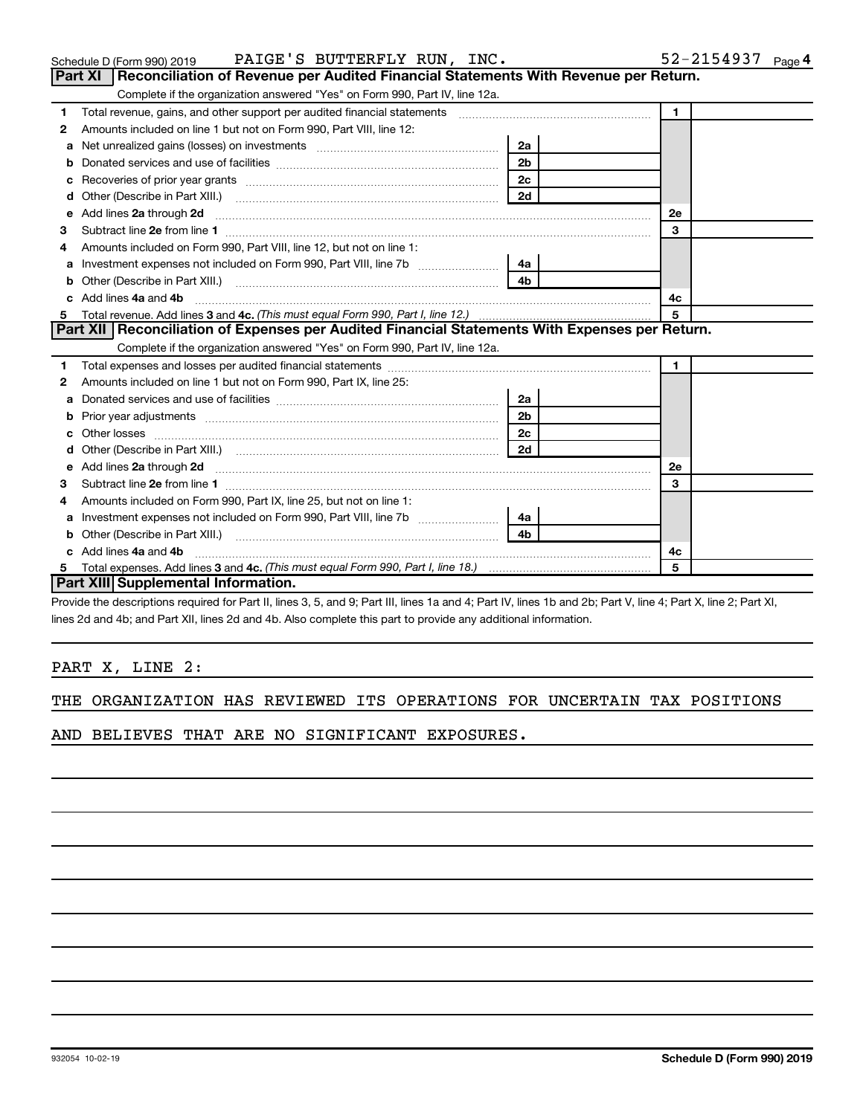|    |                                                                                                                                                                | 2a             |    |  |  |  |  |
|----|----------------------------------------------------------------------------------------------------------------------------------------------------------------|----------------|----|--|--|--|--|
|    |                                                                                                                                                                | 2 <sub>b</sub> |    |  |  |  |  |
|    |                                                                                                                                                                | 2c             |    |  |  |  |  |
|    |                                                                                                                                                                | 2d             |    |  |  |  |  |
| e  | Add lines 2a through 2d <b>contained a contained a contained a contained a</b> contained a contact the contact of the                                          |                | 2e |  |  |  |  |
| 3  |                                                                                                                                                                |                | з  |  |  |  |  |
| 4  | Amounts included on Form 990, Part IX, line 25, but not on line 1:                                                                                             |                |    |  |  |  |  |
| a  | Investment expenses not included on Form 990, Part VIII, line 7b [11, 11, 11, 11, 11]                                                                          | 4a             |    |  |  |  |  |
|    |                                                                                                                                                                | 4b             |    |  |  |  |  |
| 4c |                                                                                                                                                                |                |    |  |  |  |  |
|    |                                                                                                                                                                |                | 5  |  |  |  |  |
|    | <b>Part XIII Supplemental Information.</b>                                                                                                                     |                |    |  |  |  |  |
|    | Provide the descriptions required for Part II, lines 3, 5, and 9; Part III, lines 1a and 4; Part IV, lines 1b and 2b; Part V, line 4; Part X, line 2; Part XI, |                |    |  |  |  |  |
|    | lines 2d and 4b; and Part XII, lines 2d and 4b. Also complete this part to provide any additional information.                                                 |                |    |  |  |  |  |
|    | PART X, LINE 2:                                                                                                                                                |                |    |  |  |  |  |
|    | THE ORGANIZATION HAS REVIEWED ITS OPERATIONS FOR UNCERTAIN TAX POSITIONS                                                                                       |                |    |  |  |  |  |

# Schedule D (Form 990) 2019  $\quad$  PAIGE 'S BUTTERFLY RUN, INC .  $\quad$  52-2154937  $_{\rm Page}$

|              | Part XI   Reconciliation of Revenue per Audited Financial Statements With Revenue per Return.                       |                 |                |  |
|--------------|---------------------------------------------------------------------------------------------------------------------|-----------------|----------------|--|
|              | Complete if the organization answered "Yes" on Form 990, Part IV, line 12a.                                         |                 |                |  |
| 1.           | Total revenue, gains, and other support per audited financial statements [[[[[[[[[[[[[[[[[[[[[[[]]]]]]]]]]]]]       |                 | $\blacksquare$ |  |
| 2            | Amounts included on line 1 but not on Form 990, Part VIII, line 12:                                                 |                 |                |  |
| a            | Net unrealized gains (losses) on investments [11] matter contracts and the unrealized gains (losses) on investments | 2a              |                |  |
| b            |                                                                                                                     | 2 <sub>b</sub>  |                |  |
| c            |                                                                                                                     | 2c              |                |  |
| d            |                                                                                                                     | 2d              |                |  |
| $\mathbf{e}$ | Add lines 2a through 2d                                                                                             |                 | <b>2e</b>      |  |
| з            |                                                                                                                     |                 | 3              |  |
| 4            | Amounts included on Form 990, Part VIII, line 12, but not on line 1:                                                |                 |                |  |
| a            |                                                                                                                     | 4a l            |                |  |
| b            |                                                                                                                     |                 |                |  |
|              | c Add lines 4a and 4b                                                                                               | 4с              |                |  |
| 5            |                                                                                                                     |                 | 5              |  |
|              | Part XII   Reconciliation of Expenses per Audited Financial Statements With Expenses per Return.                    |                 |                |  |
|              | Complete if the organization answered "Yes" on Form 990, Part IV, line 12a.                                         |                 |                |  |
| 1            |                                                                                                                     |                 | $\blacksquare$ |  |
| 2            | Amounts included on line 1 but not on Form 990, Part IX, line 25:                                                   |                 |                |  |
| a            |                                                                                                                     | <b>2a</b>       |                |  |
| b            | Prior year adjustments [111] Prior year adjustments [11] Masseum Masseum Masseum Masseum Masseum Masseum Mass       | 2 <sub>b</sub>  |                |  |
| c            |                                                                                                                     | 2c              |                |  |
| d            |                                                                                                                     |                 |                |  |
| е            | Add lines 2a through 2d                                                                                             |                 | <b>2e</b>      |  |
| З            |                                                                                                                     |                 | 3              |  |
| 4            | Amounts included on Form 990, Part IX, line 25, but not on line 1:                                                  |                 |                |  |
|              |                                                                                                                     | 4a              |                |  |
|              | <b>h</b> Other (Describe in Dert VIII)                                                                              | $\overline{AB}$ |                |  |

AND BELIEVES THAT ARE NO SIGNIFICANT EXPOSURES.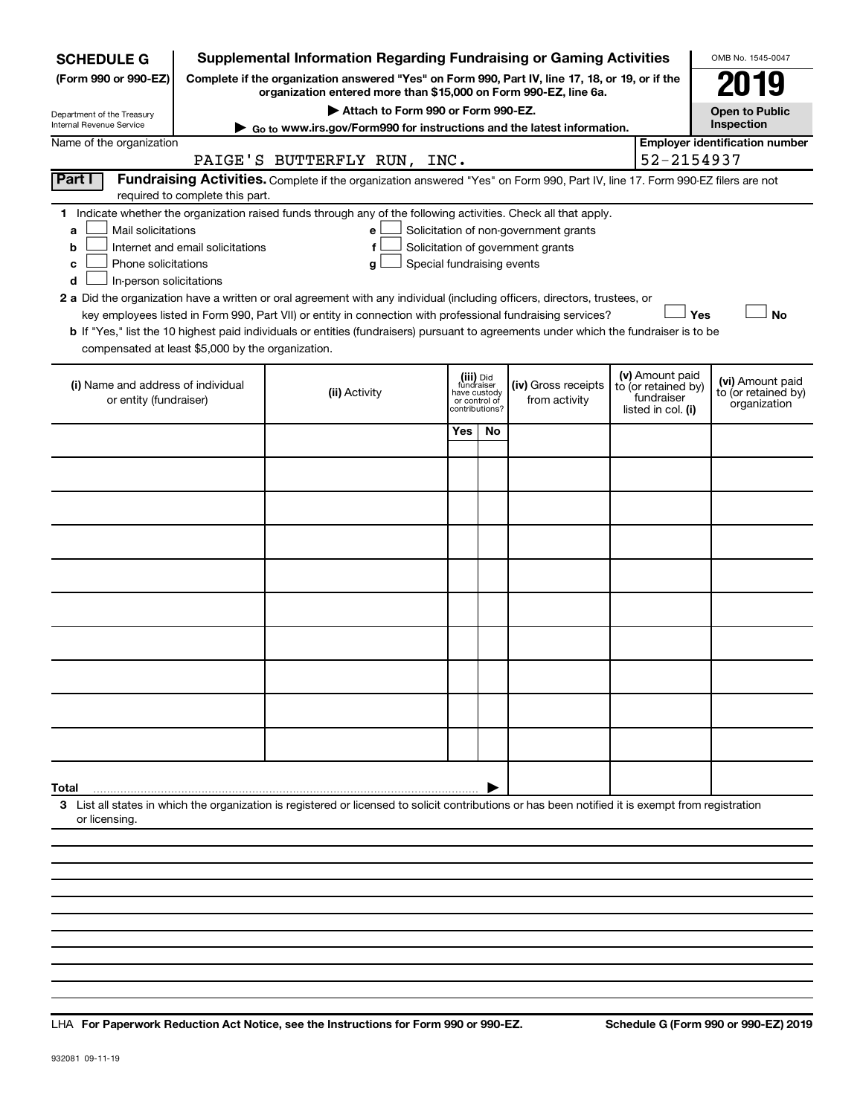| <b>SCHEDULE G</b>                                                                        |                                  | <b>Supplemental Information Regarding Fundraising or Gaming Activities</b>                                                                                                                                                                                                                 |                                                                            |     |                                                                            |                                                                                                                                       | OMB No. 1545-0047                     |
|------------------------------------------------------------------------------------------|----------------------------------|--------------------------------------------------------------------------------------------------------------------------------------------------------------------------------------------------------------------------------------------------------------------------------------------|----------------------------------------------------------------------------|-----|----------------------------------------------------------------------------|---------------------------------------------------------------------------------------------------------------------------------------|---------------------------------------|
| (Form 990 or 990-EZ)                                                                     |                                  | Complete if the organization answered "Yes" on Form 990, Part IV, line 17, 18, or 19, or if the<br>organization entered more than \$15,000 on Form 990-EZ, line 6a.                                                                                                                        |                                                                            |     |                                                                            |                                                                                                                                       | 179                                   |
| Department of the Treasury                                                               |                                  | Attach to Form 990 or Form 990-EZ.                                                                                                                                                                                                                                                         |                                                                            |     |                                                                            |                                                                                                                                       | <b>Open to Public</b>                 |
| Internal Revenue Service                                                                 |                                  | ► Go to www.irs.gov/Form990 for instructions and the latest information.                                                                                                                                                                                                                   |                                                                            |     |                                                                            |                                                                                                                                       | Inspection                            |
| Name of the organization                                                                 |                                  |                                                                                                                                                                                                                                                                                            |                                                                            |     |                                                                            |                                                                                                                                       | <b>Employer identification number</b> |
|                                                                                          |                                  | PAIGE'S BUTTERFLY RUN, INC.                                                                                                                                                                                                                                                                |                                                                            |     |                                                                            | 52-2154937                                                                                                                            |                                       |
| Part I                                                                                   | required to complete this part.  | Fundraising Activities. Complete if the organization answered "Yes" on Form 990, Part IV, line 17. Form 990-EZ filers are not                                                                                                                                                              |                                                                            |     |                                                                            |                                                                                                                                       |                                       |
| Mail solicitations<br>a<br>b<br>Phone solicitations<br>с<br>In-person solicitations<br>d | Internet and email solicitations | 1 Indicate whether the organization raised funds through any of the following activities. Check all that apply.<br>е<br>f<br>Special fundraising events<br>g<br>2 a Did the organization have a written or oral agreement with any individual (including officers, directors, trustees, or |                                                                            |     | Solicitation of non-government grants<br>Solicitation of government grants |                                                                                                                                       |                                       |
|                                                                                          |                                  | key employees listed in Form 990, Part VII) or entity in connection with professional fundraising services?                                                                                                                                                                                |                                                                            |     |                                                                            | Yes                                                                                                                                   | <b>No</b>                             |
| compensated at least \$5,000 by the organization.                                        |                                  | b If "Yes," list the 10 highest paid individuals or entities (fundraisers) pursuant to agreements under which the fundraiser is to be                                                                                                                                                      |                                                                            |     |                                                                            |                                                                                                                                       |                                       |
| (i) Name and address of individual<br>or entity (fundraiser)                             |                                  | (ii) Activity                                                                                                                                                                                                                                                                              | (iii) Did<br>fundraiser<br>have custody<br>or control of<br>contributions? |     | (iv) Gross receipts<br>from activity                                       | (v) Amount paid<br>(vi) Amount paid<br>to (or retained by)<br>to (or retained by)<br>fundraiser<br>organization<br>listed in col. (i) |                                       |
|                                                                                          |                                  |                                                                                                                                                                                                                                                                                            | Yes                                                                        | No. |                                                                            |                                                                                                                                       |                                       |
|                                                                                          |                                  |                                                                                                                                                                                                                                                                                            |                                                                            |     |                                                                            |                                                                                                                                       |                                       |
|                                                                                          |                                  |                                                                                                                                                                                                                                                                                            |                                                                            |     |                                                                            |                                                                                                                                       |                                       |
|                                                                                          |                                  |                                                                                                                                                                                                                                                                                            |                                                                            |     |                                                                            |                                                                                                                                       |                                       |
|                                                                                          |                                  |                                                                                                                                                                                                                                                                                            |                                                                            |     |                                                                            |                                                                                                                                       |                                       |
|                                                                                          |                                  |                                                                                                                                                                                                                                                                                            |                                                                            |     |                                                                            |                                                                                                                                       |                                       |
|                                                                                          |                                  |                                                                                                                                                                                                                                                                                            |                                                                            |     |                                                                            |                                                                                                                                       |                                       |
|                                                                                          |                                  |                                                                                                                                                                                                                                                                                            |                                                                            |     |                                                                            |                                                                                                                                       |                                       |
|                                                                                          |                                  |                                                                                                                                                                                                                                                                                            |                                                                            |     |                                                                            |                                                                                                                                       |                                       |
|                                                                                          |                                  |                                                                                                                                                                                                                                                                                            |                                                                            |     |                                                                            |                                                                                                                                       |                                       |
| Total                                                                                    |                                  |                                                                                                                                                                                                                                                                                            |                                                                            |     |                                                                            |                                                                                                                                       |                                       |
| or licensing.                                                                            |                                  | 3 List all states in which the organization is registered or licensed to solicit contributions or has been notified it is exempt from registration                                                                                                                                         |                                                                            |     |                                                                            |                                                                                                                                       |                                       |
|                                                                                          |                                  |                                                                                                                                                                                                                                                                                            |                                                                            |     |                                                                            |                                                                                                                                       |                                       |
|                                                                                          |                                  |                                                                                                                                                                                                                                                                                            |                                                                            |     |                                                                            |                                                                                                                                       |                                       |

**For Paperwork Reduction Act Notice, see the Instructions for Form 990 or 990-EZ. Schedule G (Form 990 or 990-EZ) 2019** LHA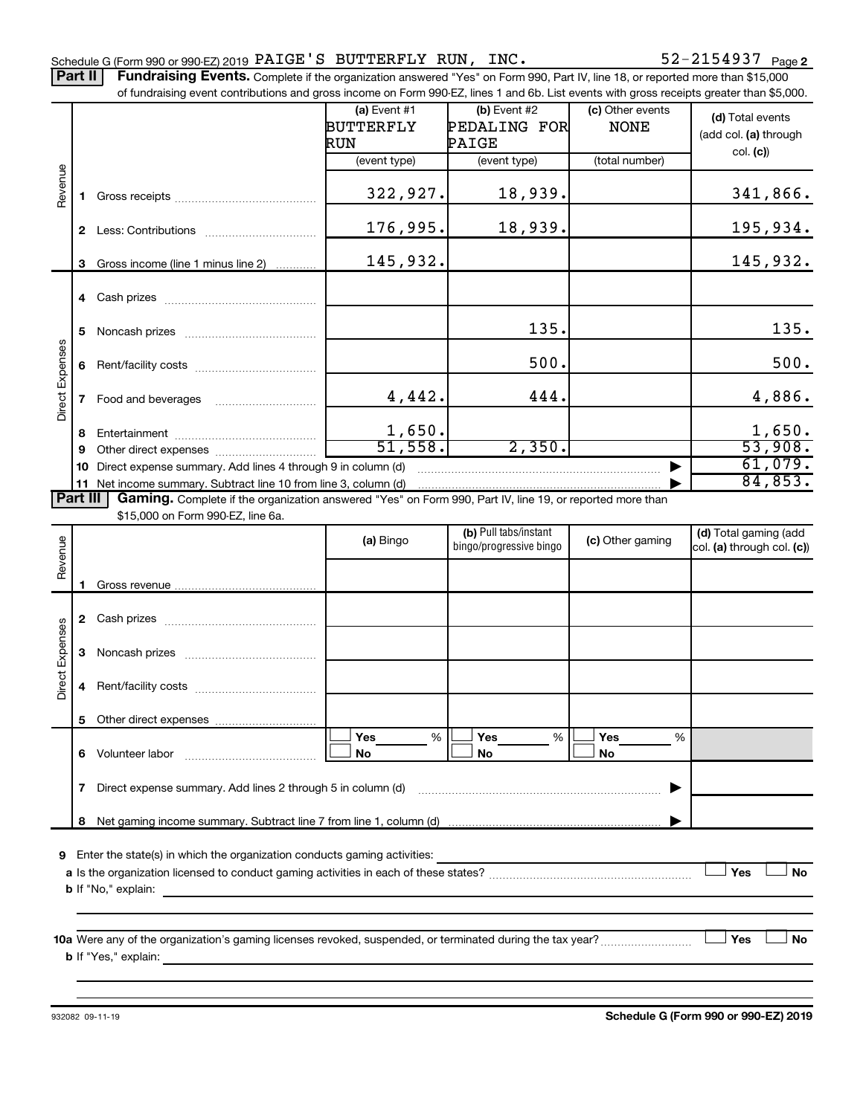Part II | Fundraising Events. Complete if the organization answered "Yes" on Form 990, Part IV, line 18, or reported more than \$15,000

|                 |              | of fundraising event contributions and gross income on Form 990-EZ, lines 1 and 6b. List events with gross receipts greater than \$5,000.     |                    |                         |                  |                            |
|-----------------|--------------|-----------------------------------------------------------------------------------------------------------------------------------------------|--------------------|-------------------------|------------------|----------------------------|
|                 |              |                                                                                                                                               | (a) Event #1       | $(b)$ Event #2          | (c) Other events | (d) Total events           |
|                 |              |                                                                                                                                               | <b>BUTTERFLY</b>   | PEDALING FOR            | <b>NONE</b>      | (add col. (a) through      |
|                 |              |                                                                                                                                               | RUN                | PAIGE                   |                  | col. (c)                   |
|                 |              |                                                                                                                                               | (event type)       | (event type)            | (total number)   |                            |
|                 |              |                                                                                                                                               |                    |                         |                  |                            |
| Revenue         | 1.           |                                                                                                                                               | 322,927.           | 18,939.                 |                  | 341,866.                   |
|                 |              |                                                                                                                                               | 176,995.           | 18,939.                 |                  | 195,934.                   |
|                 | 3            | Gross income (line 1 minus line 2)                                                                                                            | 145,932.           |                         |                  | 145,932.                   |
|                 |              |                                                                                                                                               |                    |                         |                  |                            |
|                 | 5            |                                                                                                                                               |                    | 135.                    |                  | 135.                       |
|                 | 6            |                                                                                                                                               |                    | 500.                    |                  | 500.                       |
| Direct Expenses | $\mathbf{7}$ | Food and beverages                                                                                                                            | 4,442.             | 444.                    |                  | 4,886.                     |
|                 |              |                                                                                                                                               |                    |                         |                  |                            |
|                 | 8            |                                                                                                                                               | 1,650.<br>51, 558. | 2,350.                  |                  | 1,650.<br>53,908.          |
|                 | 9            |                                                                                                                                               |                    |                         |                  | 61,079.                    |
|                 | 10           | Direct expense summary. Add lines 4 through 9 in column (d)                                                                                   |                    |                         |                  | 84,853.                    |
| <b>Part III</b> |              | 11 Net income summary. Subtract line 10 from line 3, column (d)                                                                               |                    |                         |                  |                            |
|                 |              | Gaming. Complete if the organization answered "Yes" on Form 990, Part IV, line 19, or reported more than<br>\$15,000 on Form 990-EZ, line 6a. |                    |                         |                  |                            |
|                 |              |                                                                                                                                               |                    | (b) Pull tabs/instant   |                  | (d) Total gaming (add      |
|                 |              |                                                                                                                                               | (a) Bingo          | bingo/progressive bingo | (c) Other gaming | col. (a) through col. (c)) |
| Revenue         |              |                                                                                                                                               |                    |                         |                  |                            |
|                 | 1.           |                                                                                                                                               |                    |                         |                  |                            |
|                 |              |                                                                                                                                               |                    |                         |                  |                            |
|                 |              |                                                                                                                                               |                    |                         |                  |                            |
|                 | 3            |                                                                                                                                               |                    |                         |                  |                            |
| Direct Expenses | 4            |                                                                                                                                               |                    |                         |                  |                            |
|                 |              |                                                                                                                                               |                    |                         |                  |                            |
|                 | 6.           | Volunteer labor                                                                                                                               | %<br>Yes<br>No     | %<br>Yes<br>No          | Yes<br>%<br>No   |                            |
|                 | 7            | Direct expense summary. Add lines 2 through 5 in column (d)                                                                                   |                    |                         |                  |                            |
|                 |              |                                                                                                                                               |                    |                         |                  |                            |
|                 |              |                                                                                                                                               |                    |                         |                  |                            |
| 9               |              | Enter the state(s) in which the organization conducts gaming activities:                                                                      |                    |                         |                  |                            |
|                 |              |                                                                                                                                               |                    |                         |                  | Yes<br><b>No</b>           |
|                 |              | <b>b</b> If "No," explain:                                                                                                                    |                    |                         |                  |                            |
|                 |              | <u> 1989 - Johann Stoff, deutscher Stoff, der Stoff, der Stoff, der Stoff, der Stoff, der Stoff, der Stoff, der S</u>                         |                    |                         |                  |                            |
|                 |              |                                                                                                                                               |                    |                         |                  |                            |
|                 |              |                                                                                                                                               |                    |                         |                  | Yes<br>No                  |
|                 |              | <b>b</b> If "Yes," explain: $\frac{1}{2}$                                                                                                     |                    |                         |                  |                            |
|                 |              |                                                                                                                                               |                    |                         |                  |                            |

932082 09-11-19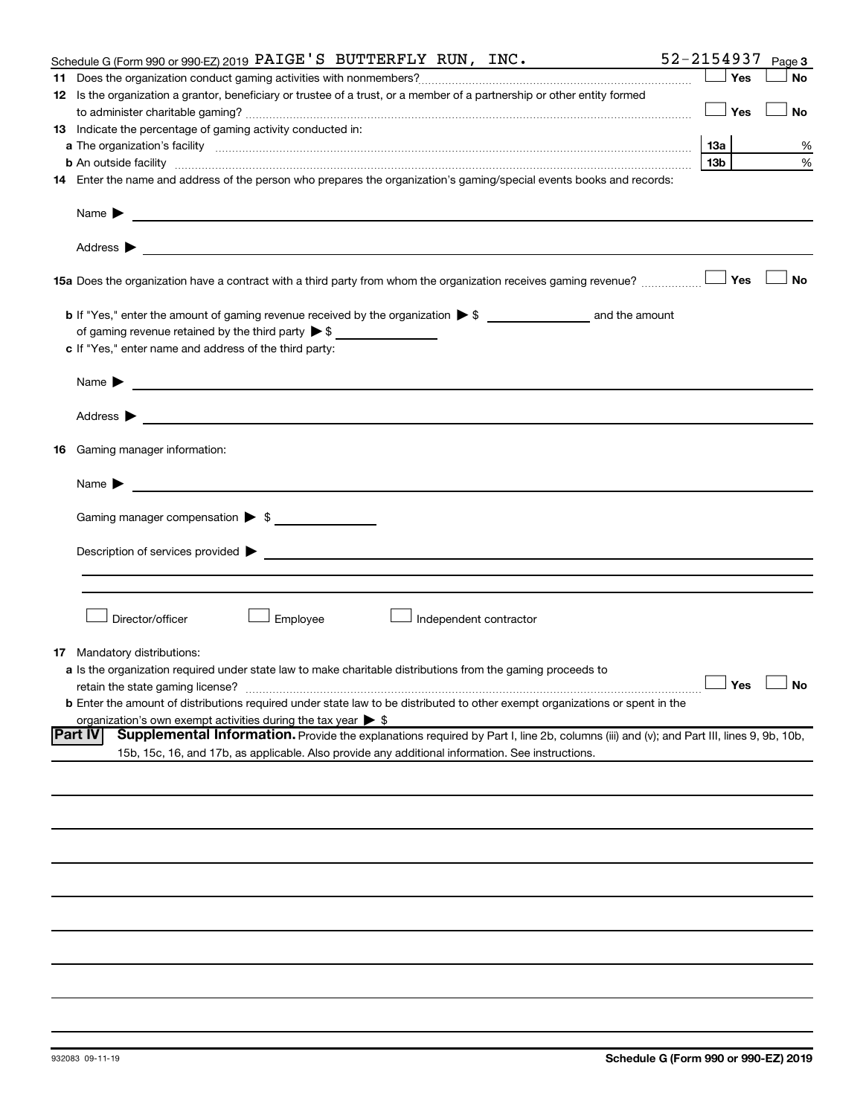|    | Schedule G (Form 990 or 990-EZ) 2019 $\mathsf{PAIGE}$ 'S BUTTERFLY RUN, INC.                                                                                                                                                                                          | 52-2154937 |     | Page 3               |
|----|-----------------------------------------------------------------------------------------------------------------------------------------------------------------------------------------------------------------------------------------------------------------------|------------|-----|----------------------|
|    |                                                                                                                                                                                                                                                                       |            | Yes | <b>No</b>            |
|    | 12 Is the organization a grantor, beneficiary or trustee of a trust, or a member of a partnership or other entity formed                                                                                                                                              |            |     |                      |
|    |                                                                                                                                                                                                                                                                       |            | Yes | <b>No</b>            |
|    | 13 Indicate the percentage of gaming activity conducted in:                                                                                                                                                                                                           |            |     |                      |
|    |                                                                                                                                                                                                                                                                       | 1За        |     | %                    |
|    | <b>b</b> An outside facility <i>www.communicality www.communicality.communicality www.communicality www.communicality.communicality www.communicality.com</i>                                                                                                         | 13b        |     | %                    |
|    | 14 Enter the name and address of the person who prepares the organization's gaming/special events books and records:                                                                                                                                                  |            |     |                      |
|    |                                                                                                                                                                                                                                                                       |            |     |                      |
|    | Name $\blacktriangleright$<br><u>and the control of the control of the control of the control of the control of the control of the control of</u>                                                                                                                     |            |     |                      |
|    | Address $\blacktriangleright$<br><u>and the state of the state of the state of the state of the state of the state of the state of the state of the state of the state of the state of the state of the state of the state of the state of the state of the state</u> |            |     |                      |
|    | <b>15a</b> Does the organization have a contract with a third party from whom the organization receives gaming revenue? $\ldots$                                                                                                                                      |            |     | <b>No</b>            |
|    |                                                                                                                                                                                                                                                                       |            |     |                      |
|    | of gaming revenue retained by the third party $\triangleright$ \$                                                                                                                                                                                                     |            |     |                      |
|    | c If "Yes," enter name and address of the third party:                                                                                                                                                                                                                |            |     |                      |
|    |                                                                                                                                                                                                                                                                       |            |     |                      |
|    | <u>and the state of the state of the state of the state of the state of the state of the state of the state of the state of the state of the state of the state of the state of the state of the state of the state of the state</u><br>Name $\blacktriangleright$    |            |     |                      |
|    | Address $\blacktriangleright$<br><u>and the control of the control of the control of the control of the control of the control of the control of</u>                                                                                                                  |            |     |                      |
| 16 | Gaming manager information:                                                                                                                                                                                                                                           |            |     |                      |
|    | <u> 1990 - Johann Barbara, martin amerikan basal dan berasal dan berasal dalam basal dalam basal dalam basal dala</u><br>Name $\blacktriangleright$                                                                                                                   |            |     |                      |
|    | Gaming manager compensation > \$                                                                                                                                                                                                                                      |            |     |                      |
|    |                                                                                                                                                                                                                                                                       |            |     |                      |
|    |                                                                                                                                                                                                                                                                       |            |     |                      |
|    |                                                                                                                                                                                                                                                                       |            |     |                      |
|    | Director/officer<br>Employee<br>Independent contractor                                                                                                                                                                                                                |            |     |                      |
| 17 | Mandatory distributions:                                                                                                                                                                                                                                              |            |     |                      |
|    | a Is the organization required under state law to make charitable distributions from the gaming proceeds to                                                                                                                                                           |            |     |                      |
|    | retain the state gaming license?                                                                                                                                                                                                                                      |            |     | $\Box$ Yes $\Box$ No |
|    | b Enter the amount of distributions required under state law to be distributed to other exempt organizations or spent in the                                                                                                                                          |            |     |                      |
|    | organization's own exempt activities during the tax year $\triangleright$ \$                                                                                                                                                                                          |            |     |                      |
|    | Part IV<br>Supplemental Information. Provide the explanations required by Part I, line 2b, columns (iii) and (v); and Part III, lines 9, 9b, 10b,                                                                                                                     |            |     |                      |
|    | 15b, 15c, 16, and 17b, as applicable. Also provide any additional information. See instructions.                                                                                                                                                                      |            |     |                      |
|    |                                                                                                                                                                                                                                                                       |            |     |                      |
|    |                                                                                                                                                                                                                                                                       |            |     |                      |
|    |                                                                                                                                                                                                                                                                       |            |     |                      |
|    |                                                                                                                                                                                                                                                                       |            |     |                      |
|    |                                                                                                                                                                                                                                                                       |            |     |                      |
|    |                                                                                                                                                                                                                                                                       |            |     |                      |
|    |                                                                                                                                                                                                                                                                       |            |     |                      |
|    |                                                                                                                                                                                                                                                                       |            |     |                      |
|    |                                                                                                                                                                                                                                                                       |            |     |                      |
|    |                                                                                                                                                                                                                                                                       |            |     |                      |
|    |                                                                                                                                                                                                                                                                       |            |     |                      |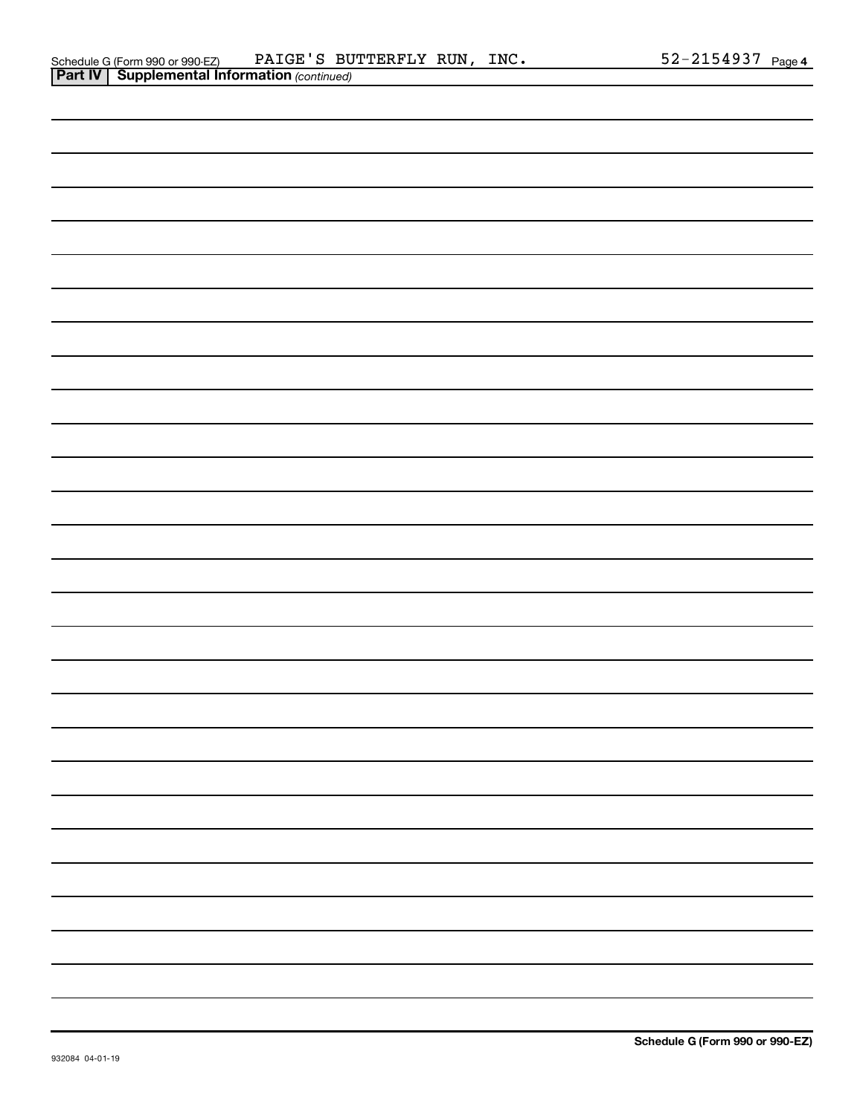| Schedule G (Form 990 or 990-EZ)                       | PAIGE'S BUTTERFLY RUN, | INC. | 52-2154937 | Page 4 |
|-------------------------------------------------------|------------------------|------|------------|--------|
| <b>Part IV   Supplemental Information (continued)</b> |                        |      |            |        |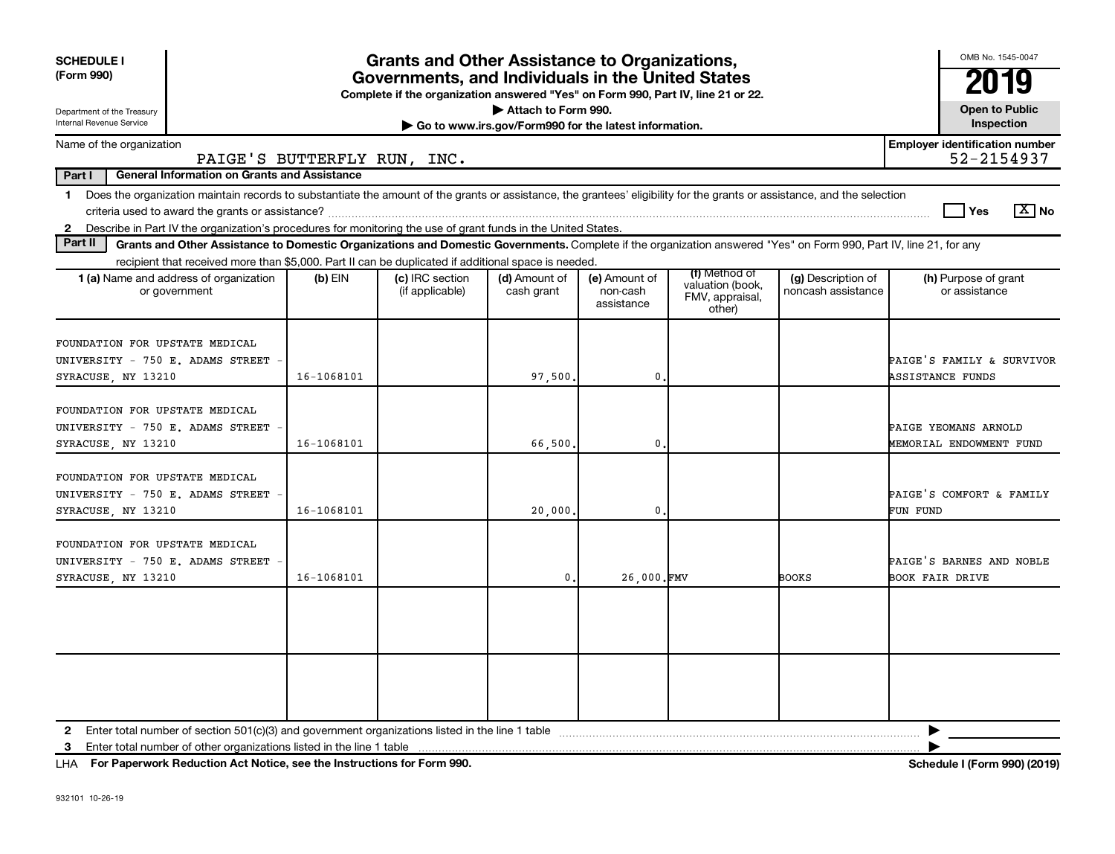| <b>SCHEDULE I</b>                                                                                                                                                                                                                                                                             | <b>Grants and Other Assistance to Organizations,</b> |                                                                                                                                       |                                                                              |                                         |                                                                |                                          | OMB No. 1545-0047                                    |
|-----------------------------------------------------------------------------------------------------------------------------------------------------------------------------------------------------------------------------------------------------------------------------------------------|------------------------------------------------------|---------------------------------------------------------------------------------------------------------------------------------------|------------------------------------------------------------------------------|-----------------------------------------|----------------------------------------------------------------|------------------------------------------|------------------------------------------------------|
| (Form 990)                                                                                                                                                                                                                                                                                    |                                                      | Governments, and Individuals in the United States<br>Complete if the organization answered "Yes" on Form 990, Part IV, line 21 or 22. |                                                                              |                                         |                                                                |                                          | 19                                                   |
| Department of the Treasury<br>Internal Revenue Service                                                                                                                                                                                                                                        |                                                      |                                                                                                                                       | Attach to Form 990.<br>Go to www.irs.gov/Form990 for the latest information. |                                         |                                                                |                                          | <b>Open to Public</b><br>Inspection                  |
| Name of the organization<br>PAIGE'S BUTTERFLY RUN, INC.                                                                                                                                                                                                                                       |                                                      |                                                                                                                                       |                                                                              |                                         |                                                                |                                          | <b>Employer identification number</b><br>52-2154937  |
| Part I<br><b>General Information on Grants and Assistance</b>                                                                                                                                                                                                                                 |                                                      |                                                                                                                                       |                                                                              |                                         |                                                                |                                          |                                                      |
| 1 Does the organization maintain records to substantiate the amount of the grants or assistance, the grantees' eligibility for the grants or assistance, and the selection<br>2 Describe in Part IV the organization's procedures for monitoring the use of grant funds in the United States. |                                                      |                                                                                                                                       |                                                                              |                                         |                                                                |                                          | $\boxed{\text{X}}$ No<br>Yes                         |
| Part II<br>Grants and Other Assistance to Domestic Organizations and Domestic Governments. Complete if the organization answered "Yes" on Form 990, Part IV, line 21, for any                                                                                                                 |                                                      |                                                                                                                                       |                                                                              |                                         |                                                                |                                          |                                                      |
| recipient that received more than \$5,000. Part II can be duplicated if additional space is needed.                                                                                                                                                                                           |                                                      |                                                                                                                                       |                                                                              |                                         |                                                                |                                          |                                                      |
| <b>1 (a)</b> Name and address of organization<br>or government                                                                                                                                                                                                                                | $(b)$ EIN                                            | (c) IRC section<br>(if applicable)                                                                                                    | (d) Amount of<br>cash grant                                                  | (e) Amount of<br>non-cash<br>assistance | (f) Method of<br>valuation (book,<br>FMV, appraisal,<br>other) | (g) Description of<br>noncash assistance | (h) Purpose of grant<br>or assistance                |
| FOUNDATION FOR UPSTATE MEDICAL<br>UNIVERSITY - 750 E. ADAMS STREET<br>SYRACUSE, NY 13210                                                                                                                                                                                                      | 16-1068101                                           |                                                                                                                                       | 97,500                                                                       | $\mathbf 0$ .                           |                                                                |                                          | PAIGE'S FAMILY & SURVIVOR<br><b>ASSISTANCE FUNDS</b> |
| FOUNDATION FOR UPSTATE MEDICAL<br>UNIVERSITY - 750 E. ADAMS STREET<br>SYRACUSE, NY 13210                                                                                                                                                                                                      | 16-1068101                                           |                                                                                                                                       | 66,500                                                                       | 0                                       |                                                                |                                          | PAIGE YEOMANS ARNOLD<br>MEMORIAL ENDOWMENT FUND      |
| FOUNDATION FOR UPSTATE MEDICAL<br>UNIVERSITY - 750 E. ADAMS STREET<br>SYRACUSE, NY 13210                                                                                                                                                                                                      | 16-1068101                                           |                                                                                                                                       | 20,000.                                                                      | $\mathbf{0}$                            |                                                                |                                          | PAIGE'S COMFORT & FAMILY<br>FUN FUND                 |
| FOUNDATION FOR UPSTATE MEDICAL<br>UNIVERSITY - 750 E. ADAMS STREET<br>SYRACUSE, NY 13210                                                                                                                                                                                                      | 16-1068101                                           |                                                                                                                                       | 0.                                                                           | 26,000.FMV                              |                                                                | BOOKS                                    | PAIGE'S BARNES AND NOBLE<br><b>BOOK FAIR DRIVE</b>   |
|                                                                                                                                                                                                                                                                                               |                                                      |                                                                                                                                       |                                                                              |                                         |                                                                |                                          |                                                      |
|                                                                                                                                                                                                                                                                                               |                                                      |                                                                                                                                       |                                                                              |                                         |                                                                |                                          |                                                      |
| Enter total number of other organizations listed in the line 1 table<br>3                                                                                                                                                                                                                     |                                                      |                                                                                                                                       |                                                                              |                                         |                                                                |                                          |                                                      |

**For Paperwork Reduction Act Notice, see the Instructions for Form 990. Schedule I (Form 990) (2019)** LHA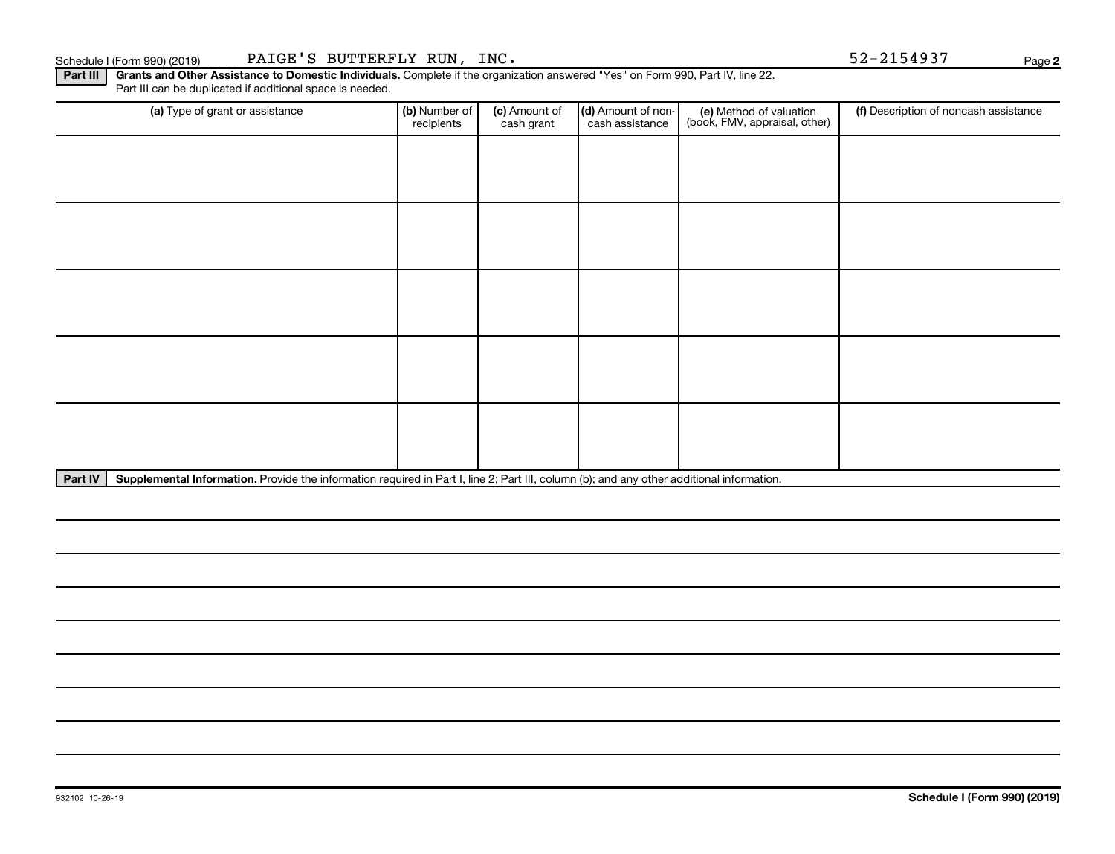Part III | Grants and Other Assistance to Domestic Individuals. Complete if the organization answered "Yes" on Form 990, Part IV, line 22. Part III can be duplicated if additional space is needed.

| (a) Type of grant or assistance | (b) Number of<br>recipients | (c) Amount of<br>cash grant | (d) Amount of non-<br>cash assistance | (e) Method of valuation<br>(book, FMV, appraisal, other) | (f) Description of noncash assistance |
|---------------------------------|-----------------------------|-----------------------------|---------------------------------------|----------------------------------------------------------|---------------------------------------|
|                                 |                             |                             |                                       |                                                          |                                       |
|                                 |                             |                             |                                       |                                                          |                                       |
|                                 |                             |                             |                                       |                                                          |                                       |
|                                 |                             |                             |                                       |                                                          |                                       |
|                                 |                             |                             |                                       |                                                          |                                       |
|                                 |                             |                             |                                       |                                                          |                                       |
|                                 |                             |                             |                                       |                                                          |                                       |
|                                 |                             |                             |                                       |                                                          |                                       |
|                                 |                             |                             |                                       |                                                          |                                       |
|                                 |                             |                             |                                       |                                                          |                                       |

Part IV | Supplemental Information. Provide the information required in Part I, line 2; Part III, column (b); and any other additional information.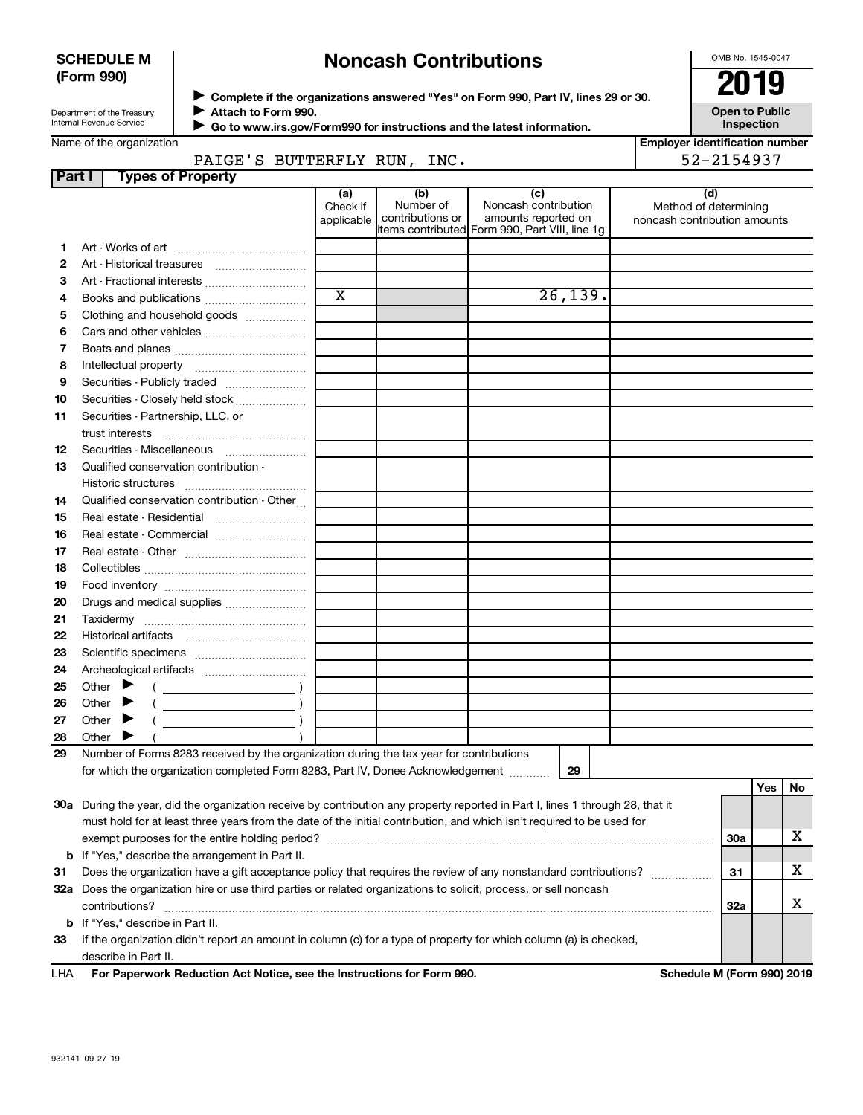# **SCHEDULE M (Form 990)**

# **Noncash Contributions**

OMB No. 1545-0047

| Department of the Treasury |  |
|----------------------------|--|
| Internal Revenue Service   |  |

◆ Complete if the organizations answered "Yes" on Form 990, Part IV, lines 29 or 30.<br>▶ Complete if the organizations answered "Yes" on Form 990, Part IV, lines 29 or 30. **Attach to Form 990.** J

won to rorm ooc.<br>a to www.irs.gov/Eorm990 for instructions and the latest informatio

**Open to Public**

|               | Internal Revenue Service                                                                                                                                                                                                                                |                               |                                      | Go to www.irs.gov/Form990 for instructions and the latest information.                               | Inspection                                                   |
|---------------|---------------------------------------------------------------------------------------------------------------------------------------------------------------------------------------------------------------------------------------------------------|-------------------------------|--------------------------------------|------------------------------------------------------------------------------------------------------|--------------------------------------------------------------|
|               | Name of the organization<br>PAIGE'S BUTTERFLY RUN, INC.                                                                                                                                                                                                 |                               |                                      |                                                                                                      | <b>Employer identification number</b><br>52-2154937          |
| <b>Part I</b> | <b>Types of Property</b>                                                                                                                                                                                                                                |                               |                                      |                                                                                                      |                                                              |
|               |                                                                                                                                                                                                                                                         | (a)<br>Check if<br>applicable | (b)<br>Number of<br>contributions or | (c)<br>Noncash contribution<br>amounts reported on<br>items contributed Form 990, Part VIII, line 1g | (d)<br>Method of determining<br>noncash contribution amounts |
| 1.            |                                                                                                                                                                                                                                                         |                               |                                      |                                                                                                      |                                                              |
| 2             | Art - Historical treasures                                                                                                                                                                                                                              |                               |                                      |                                                                                                      |                                                              |
| з             | Art - Fractional interests                                                                                                                                                                                                                              |                               |                                      |                                                                                                      |                                                              |
| 4             | Books and publications                                                                                                                                                                                                                                  | $\overline{\text{x}}$         |                                      | 26, 139.                                                                                             |                                                              |
| 5             | Clothing and household goods                                                                                                                                                                                                                            |                               |                                      |                                                                                                      |                                                              |
| 6             |                                                                                                                                                                                                                                                         |                               |                                      |                                                                                                      |                                                              |
| 7             |                                                                                                                                                                                                                                                         |                               |                                      |                                                                                                      |                                                              |
| 8             |                                                                                                                                                                                                                                                         |                               |                                      |                                                                                                      |                                                              |
| 9             | Securities - Publicly traded                                                                                                                                                                                                                            |                               |                                      |                                                                                                      |                                                              |
| 10            | Securities - Closely held stock                                                                                                                                                                                                                         |                               |                                      |                                                                                                      |                                                              |
| 11            | Securities - Partnership, LLC, or                                                                                                                                                                                                                       |                               |                                      |                                                                                                      |                                                              |
|               | trust interests                                                                                                                                                                                                                                         |                               |                                      |                                                                                                      |                                                              |
| 12            | Securities - Miscellaneous                                                                                                                                                                                                                              |                               |                                      |                                                                                                      |                                                              |
| 13            | Qualified conservation contribution -                                                                                                                                                                                                                   |                               |                                      |                                                                                                      |                                                              |
|               |                                                                                                                                                                                                                                                         |                               |                                      |                                                                                                      |                                                              |
| 14            | Qualified conservation contribution - Other                                                                                                                                                                                                             |                               |                                      |                                                                                                      |                                                              |
| 15            | Real estate - Residential                                                                                                                                                                                                                               |                               |                                      |                                                                                                      |                                                              |
| 16            | Real estate - Commercial                                                                                                                                                                                                                                |                               |                                      |                                                                                                      |                                                              |
| 17            |                                                                                                                                                                                                                                                         |                               |                                      |                                                                                                      |                                                              |
| 18            |                                                                                                                                                                                                                                                         |                               |                                      |                                                                                                      |                                                              |
| 19            |                                                                                                                                                                                                                                                         |                               |                                      |                                                                                                      |                                                              |
| 20            | Drugs and medical supplies                                                                                                                                                                                                                              |                               |                                      |                                                                                                      |                                                              |
| 21            |                                                                                                                                                                                                                                                         |                               |                                      |                                                                                                      |                                                              |
| 22            |                                                                                                                                                                                                                                                         |                               |                                      |                                                                                                      |                                                              |
| 23            |                                                                                                                                                                                                                                                         |                               |                                      |                                                                                                      |                                                              |
| 24            |                                                                                                                                                                                                                                                         |                               |                                      |                                                                                                      |                                                              |
| 25            | Other $\blacktriangleright$                                                                                                                                                                                                                             |                               |                                      |                                                                                                      |                                                              |
| 26            | Other $\blacktriangleright$                                                                                                                                                                                                                             |                               |                                      |                                                                                                      |                                                              |
| 27            | Other $\blacktriangleright$                                                                                                                                                                                                                             |                               |                                      |                                                                                                      |                                                              |
| 28            | Other $\blacktriangleright$                                                                                                                                                                                                                             |                               |                                      |                                                                                                      |                                                              |
| 29            | Number of Forms 8283 received by the organization during the tax year for contributions                                                                                                                                                                 |                               |                                      |                                                                                                      |                                                              |
|               | for which the organization completed Form 8283, Part IV, Donee Acknowledgement                                                                                                                                                                          |                               |                                      | 29                                                                                                   |                                                              |
|               | 30a During the year, did the organization receive by contribution any property reported in Part I, lines 1 through 28, that it<br>must hold for at least three years from the date of the initial contribution, and which isn't required to be used for |                               |                                      |                                                                                                      | <b>Yes</b><br>No<br>х<br>30a                                 |

**31** Does the organization have a gift acceptance policy that requires the review of any nonstandard contributions?  $\ldots$  $\ldots$  $\ldots$ **32 a** Does the organization hire or use third parties or related organizations to solicit, process, or sell noncash **b** If "Yes," describe the arrangement in Part II. contributions? ~~~~~~~~~~~~~~~~~~~~~~~~~~~~~~~~~~~~~~~~~~~~~~~~~~~~~~

**33** If the organization didn't report an amount in column (c) for a type of property for which column (a) is checked, **b** If "Yes," describe in Part II. describe in Part II.

**For Paperwork Reduction Act Notice, see the Instructions for Form 990. Schedule M (Form 990) 2019** LHA

**31**

X

X

**32a**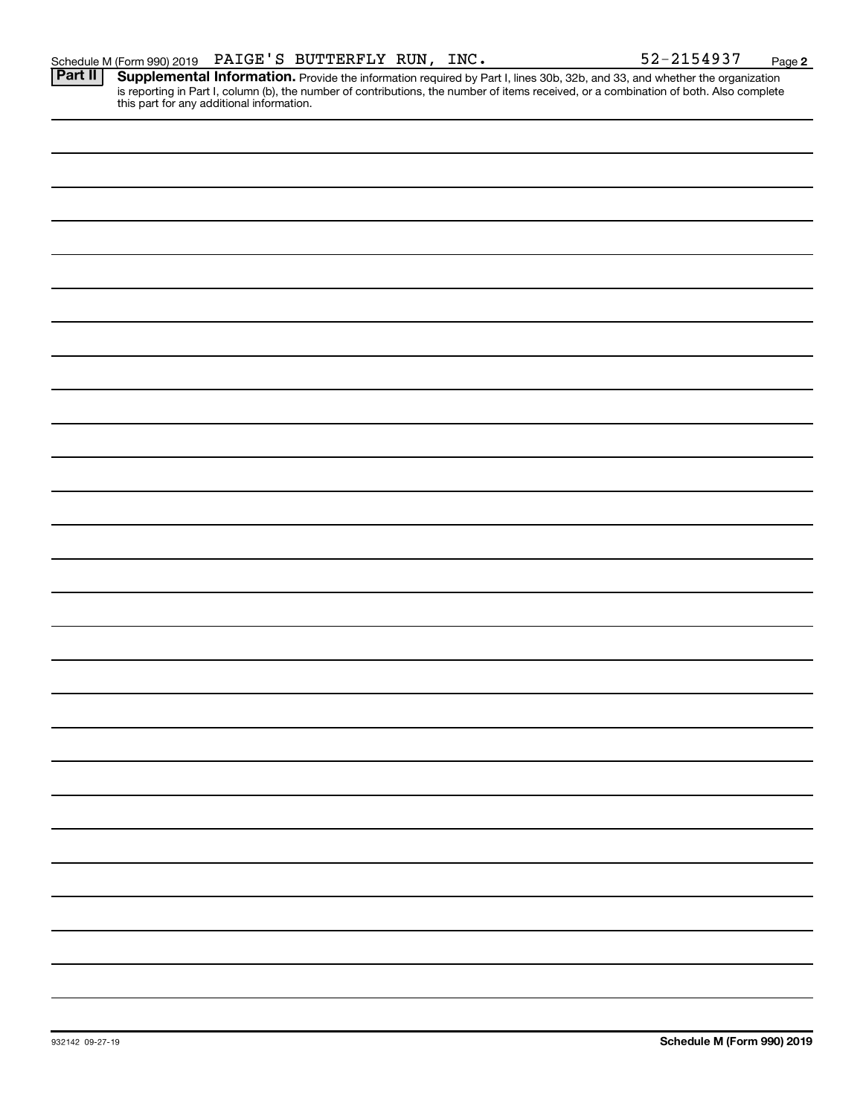Provide the information required by Part I, lines 30b, 32b, and 33, and whether the organization is reporting in Part I, column (b), the number of contributions, the number of items received, or a combination of both. Also complete this part for any additional information. **Part II Supplemental Information.**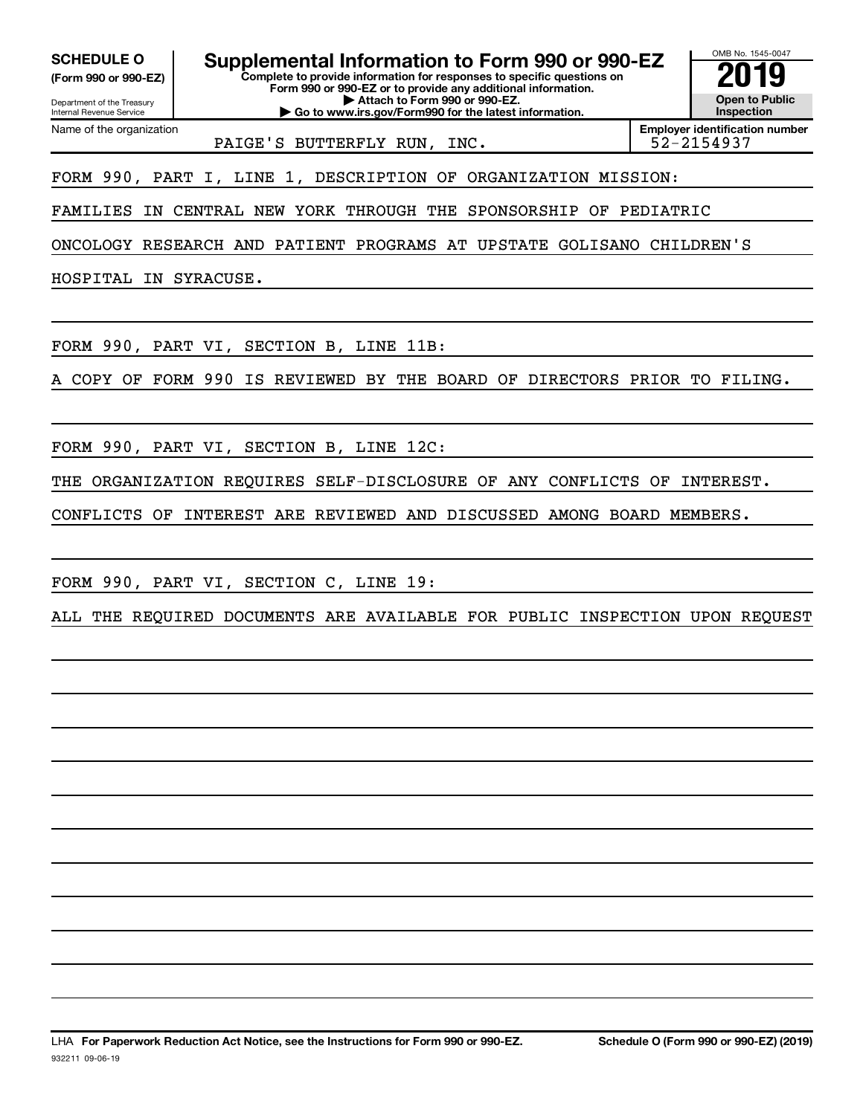**(Form 990 or 990-EZ)**

Department of the Treasury Internal Revenue Service

Name of the organization

**Complete to provide information for responses to specific questions on Form 990 or 990-EZ or to provide any additional information. | Attach to Form 990 or 990-EZ. SCHEDULE O Supplemental Information to Form 990 or 990-EZ 2019** 

**| Go to www.irs.gov/Form990 for the latest information.**

OMB No. 1545-0047 **Open to Public Inspection**

PAIGE'S BUTTERFLY RUN, INC.

**Employer identification number**

FORM 990, PART I, LINE 1, DESCRIPTION OF ORGANIZATION MISSION:

FAMILIES IN CENTRAL NEW YORK THROUGH THE SPONSORSHIP OF PEDIATRIC

ONCOLOGY RESEARCH AND PATIENT PROGRAMS AT UPSTATE GOLISANO CHILDREN'S

HOSPITAL IN SYRACUSE.

FORM 990, PART VI, SECTION B, LINE 11B:

A COPY OF FORM 990 IS REVIEWED BY THE BOARD OF DIRECTORS PRIOR TO FILING.

FORM 990, PART VI, SECTION B, LINE 12C:

THE ORGANIZATION REQUIRES SELF-DISCLOSURE OF ANY CONFLICTS OF INTEREST.

CONFLICTS OF INTEREST ARE REVIEWED AND DISCUSSED AMONG BOARD MEMBERS.

FORM 990, PART VI, SECTION C, LINE 19:

ALL THE REQUIRED DOCUMENTS ARE AVAILABLE FOR PUBLIC INSPECTION UPON REQUEST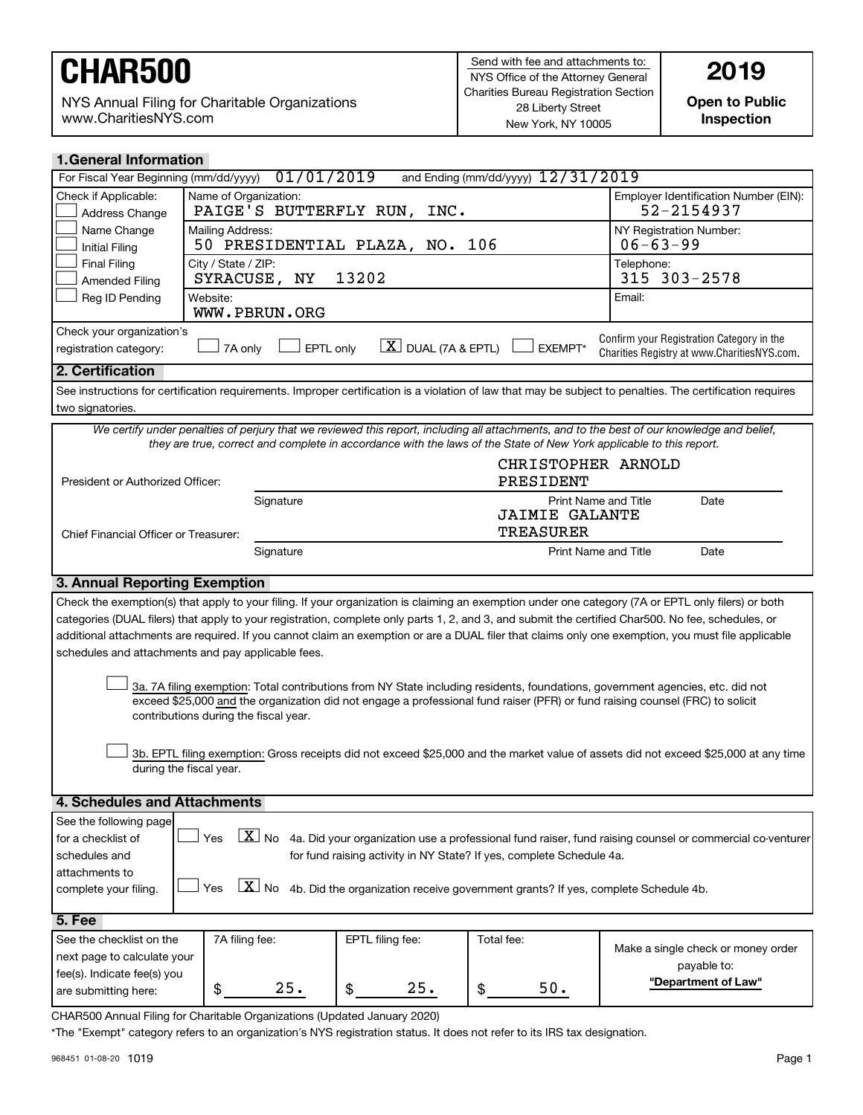NYS Annual Filing for Charitable Organizations www.CharitiesNYS.com

**Open to Public Inspection**

| <b>1. General Information</b>                                                                                                                                                                                                                                   |                                                                                                                |               |                                                                           |                                                                                                                     |                                                                                                                                                            |  |
|-----------------------------------------------------------------------------------------------------------------------------------------------------------------------------------------------------------------------------------------------------------------|----------------------------------------------------------------------------------------------------------------|---------------|---------------------------------------------------------------------------|---------------------------------------------------------------------------------------------------------------------|------------------------------------------------------------------------------------------------------------------------------------------------------------|--|
| and Ending (mm/dd/yyyy) 12/31/2019<br>01/01/2019<br>For Fiscal Year Beginning (mm/dd/yyyy)                                                                                                                                                                      |                                                                                                                |               |                                                                           |                                                                                                                     |                                                                                                                                                            |  |
| Check if Applicable:<br>Address Change                                                                                                                                                                                                                          | Name of Organization:<br>Employer Identification Number (EIN):<br>52-2154937<br>PAIGE'S BUTTERFLY RUN,<br>INC. |               |                                                                           |                                                                                                                     |                                                                                                                                                            |  |
| Name Change<br><b>Initial Filing</b>                                                                                                                                                                                                                            | Mailing Address:                                                                                               |               | 50 PRESIDENTIAL PLAZA, NO.                                                | 106                                                                                                                 | NY Registration Number:<br>$06 - 63 - 99$                                                                                                                  |  |
| <b>Final Filing</b><br><b>Amended Filing</b>                                                                                                                                                                                                                    | City / State / ZIP:                                                                                            | SYRACUSE, NY  | 13202                                                                     |                                                                                                                     | Telephone:<br>315 303-2578                                                                                                                                 |  |
| Reg ID Pending                                                                                                                                                                                                                                                  | Website:                                                                                                       | WWW.PBRUN.ORG |                                                                           |                                                                                                                     | Email:                                                                                                                                                     |  |
| Check your organization's<br>Confirm your Registration Category in the<br>$\lfloor \underline{X} \rfloor$ DUAL (7A & EPTL)<br>EPTL only<br>EXEMPT*<br>7A only<br>registration category:<br>Charities Registry at www.CharitiesNYS.com.                          |                                                                                                                |               |                                                                           |                                                                                                                     |                                                                                                                                                            |  |
| 2. Certification                                                                                                                                                                                                                                                |                                                                                                                |               |                                                                           |                                                                                                                     |                                                                                                                                                            |  |
|                                                                                                                                                                                                                                                                 |                                                                                                                |               |                                                                           |                                                                                                                     | See instructions for certification requirements. Improper certification is a violation of law that may be subject to penalties. The certification requires |  |
| two signatories.                                                                                                                                                                                                                                                |                                                                                                                |               |                                                                           |                                                                                                                     |                                                                                                                                                            |  |
|                                                                                                                                                                                                                                                                 |                                                                                                                |               |                                                                           |                                                                                                                     | We certify under penalties of perjury that we reviewed this report, including all attachments, and to the best of our knowledge and belief,                |  |
|                                                                                                                                                                                                                                                                 |                                                                                                                |               |                                                                           | they are true, correct and complete in accordance with the laws of the State of New York applicable to this report. |                                                                                                                                                            |  |
| President or Authorized Officer:                                                                                                                                                                                                                                |                                                                                                                |               |                                                                           | CHRISTOPHER ARNOLD<br>PRESIDENT                                                                                     |                                                                                                                                                            |  |
|                                                                                                                                                                                                                                                                 |                                                                                                                | Signature     |                                                                           | Print Name and Title                                                                                                | Date                                                                                                                                                       |  |
|                                                                                                                                                                                                                                                                 |                                                                                                                |               |                                                                           | <b>JAIMIE GALANTE</b><br><b>TREASURER</b>                                                                           |                                                                                                                                                            |  |
| Chief Financial Officer or Treasurer:                                                                                                                                                                                                                           |                                                                                                                | Signature     |                                                                           | <b>Print Name and Title</b>                                                                                         | Date                                                                                                                                                       |  |
| 3. Annual Reporting Exemption                                                                                                                                                                                                                                   |                                                                                                                |               |                                                                           |                                                                                                                     |                                                                                                                                                            |  |
|                                                                                                                                                                                                                                                                 |                                                                                                                |               |                                                                           |                                                                                                                     | Check the exemption(s) that apply to your filing. If your organization is claiming an exemption under one category (7A or EPTL only filers) or both        |  |
|                                                                                                                                                                                                                                                                 |                                                                                                                |               |                                                                           |                                                                                                                     | categories (DUAL filers) that apply to your registration, complete only parts 1, 2, and 3, and submit the certified Char500. No fee, schedules, or         |  |
|                                                                                                                                                                                                                                                                 |                                                                                                                |               |                                                                           |                                                                                                                     | additional attachments are required. If you cannot claim an exemption or are a DUAL filer that claims only one exemption, you must file applicable         |  |
| schedules and attachments and pay applicable fees.                                                                                                                                                                                                              |                                                                                                                |               |                                                                           |                                                                                                                     |                                                                                                                                                            |  |
|                                                                                                                                                                                                                                                                 |                                                                                                                |               |                                                                           |                                                                                                                     |                                                                                                                                                            |  |
| 3a. 7A filing exemption: Total contributions from NY State including residents, foundations, government agencies, etc. did not<br>exceed \$25,000 and the organization did not engage a professional fund raiser (PFR) or fund raising counsel (FRC) to solicit |                                                                                                                |               |                                                                           |                                                                                                                     |                                                                                                                                                            |  |
| contributions during the fiscal year.                                                                                                                                                                                                                           |                                                                                                                |               |                                                                           |                                                                                                                     |                                                                                                                                                            |  |
|                                                                                                                                                                                                                                                                 |                                                                                                                |               |                                                                           |                                                                                                                     | 3b. EPTL filing exemption: Gross receipts did not exceed \$25,000 and the market value of assets did not exceed \$25,000 at any time                       |  |
|                                                                                                                                                                                                                                                                 | during the fiscal year.                                                                                        |               |                                                                           |                                                                                                                     |                                                                                                                                                            |  |
|                                                                                                                                                                                                                                                                 |                                                                                                                |               |                                                                           |                                                                                                                     |                                                                                                                                                            |  |
| 4. Schedules and Attachments                                                                                                                                                                                                                                    |                                                                                                                |               |                                                                           |                                                                                                                     |                                                                                                                                                            |  |
| See the following page                                                                                                                                                                                                                                          |                                                                                                                |               |                                                                           |                                                                                                                     |                                                                                                                                                            |  |
| $\boxed{\textbf{X}}$ No 4a. Did your organization use a professional fund raiser, fund raising counsel or commercial co-venturer<br>Yes<br>for a checklist of                                                                                                   |                                                                                                                |               |                                                                           |                                                                                                                     |                                                                                                                                                            |  |
| for fund raising activity in NY State? If yes, complete Schedule 4a.<br>schedules and                                                                                                                                                                           |                                                                                                                |               |                                                                           |                                                                                                                     |                                                                                                                                                            |  |
| attachments to                                                                                                                                                                                                                                                  |                                                                                                                |               |                                                                           |                                                                                                                     |                                                                                                                                                            |  |
| $\lfloor x \rfloor$ No 4b. Did the organization receive government grants? If yes, complete Schedule 4b.<br>Yes<br>complete your filing.                                                                                                                        |                                                                                                                |               |                                                                           |                                                                                                                     |                                                                                                                                                            |  |
| 5. Fee                                                                                                                                                                                                                                                          |                                                                                                                |               |                                                                           |                                                                                                                     |                                                                                                                                                            |  |
| See the checklist on the                                                                                                                                                                                                                                        | 7A filing fee:                                                                                                 |               | EPTL filing fee:                                                          | Total fee:                                                                                                          |                                                                                                                                                            |  |
| next page to calculate your                                                                                                                                                                                                                                     |                                                                                                                |               |                                                                           | Make a single check or money order                                                                                  |                                                                                                                                                            |  |
| payable to:<br>fee(s). Indicate fee(s) you                                                                                                                                                                                                                      |                                                                                                                |               |                                                                           |                                                                                                                     |                                                                                                                                                            |  |
| are submitting here:                                                                                                                                                                                                                                            | \$                                                                                                             | 25.           | 25.<br>\$                                                                 | $50.$<br>\$                                                                                                         | "Department of Law"                                                                                                                                        |  |
|                                                                                                                                                                                                                                                                 |                                                                                                                |               | CHAR500 Annual Filing for Charitable Organizations (Updated January 2020) |                                                                                                                     |                                                                                                                                                            |  |

\*The "Exempt" category refers to an organization's NYS registration status. It does not refer to its IRS tax designation.